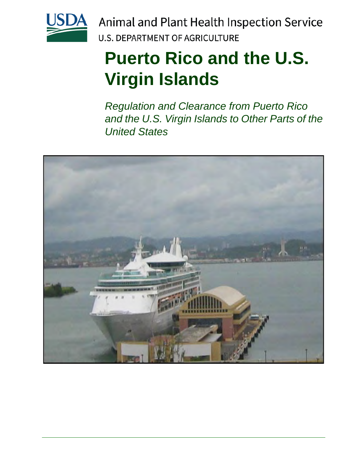

Animal and Plant Health Inspection Service **U.S. DEPARTMENT OF AGRICULTURE** 

# **Puerto Rico and the U.S. Virgin Islands**

*Regulation and Clearance from Puerto Rico and the U.S. Virgin Islands to Other Parts of the United States* 

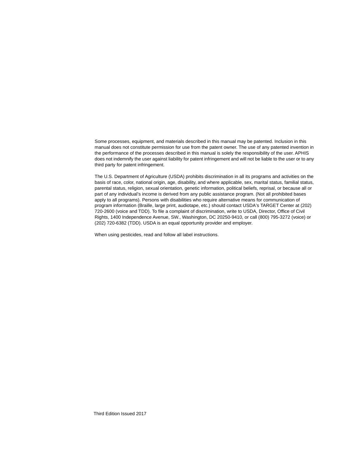Some processes, equipment, and materials described in this manual may be patented. Inclusion in this manual does not constitute permission for use from the patent owner. The use of any patented invention in the performance of the processes described in this manual is solely the responsibility of the user. APHIS does not indemnify the user against liability for patent infringement and will not be liable to the user or to any third party for patent infringement.

The U.S. Department of Agriculture (USDA) prohibits discrimination in all its programs and activities on the basis of race, color, national origin, age, disability, and where applicable, sex, marital status, familial status, parental status, religion, sexual orientation, genetic information, political beliefs, reprisal, or because all or part of any individual's income is derived from any public assistance program. (Not all prohibited bases apply to all programs). Persons with disabilities who require alternative means for communication of program information (Braille, large print, audiotape, etc.) should contact USDA's TARGET Center at (202) 720-2600 (voice and TDD). To file a complaint of discrimination, write to USDA, Director, Office of Civil Rights, 1400 Independence Avenue, SW., Washington, DC 20250-9410, or call (800) 795-3272 (voice) or (202) 720-6382 (TDD). USDA is an equal opportunity provider and employer.

When using pesticides, read and follow all label instructions.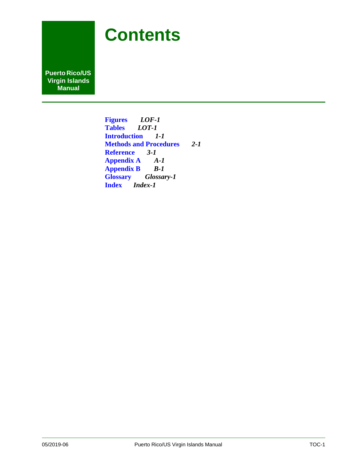# **Contents**

**Puerto Rico/US Virgin Islands Manual** 

> **[Figures](#page-4-0)** *LOF-1* **[Tables](#page-6-0)** *LOT-1* **[Introduction](#page-8-0)** *1-1* **[Methods and Procedures](#page-16-0)** *2-1* **[Reference](#page-26-0)** *3-1* **[Appendix A](#page-42-0)** *A-1* **[Appendix B](#page-74-0)** *B-1* **[Glossary](#page-78-0)** *Glossary-1* **[Index](#page-82-0)** *Index-1*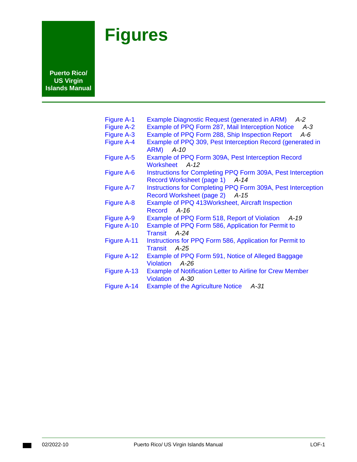# <span id="page-4-0"></span>**Figures**

**Puerto Rico/ US Virgin Islands Manual** 

| Figure A-1  | Example Diagnostic Request (generated in ARM)<br>$A-2$           |
|-------------|------------------------------------------------------------------|
| Figure A-2  | Example of PPQ Form 287, Mail Interception Notice<br>$A-3$       |
| Figure A-3  | Example of PPQ Form 288, Ship Inspection Report<br>$A - 6$       |
| Figure A-4  | Example of PPQ 309, Pest Interception Record (generated in       |
|             | ARM) A-10                                                        |
| Figure A-5  | Example of PPQ Form 309A, Pest Interception Record               |
|             | Worksheet A-12                                                   |
| Figure A-6  | Instructions for Completing PPQ Form 309A, Pest Interception     |
|             | Record Worksheet (page 1) A-14                                   |
| Figure A-7  | Instructions for Completing PPQ Form 309A, Pest Interception     |
|             | Record Worksheet (page 2) A-15                                   |
| Figure A-8  | Example of PPQ 413Worksheet, Aircraft Inspection                 |
|             | Record<br>$A-16$                                                 |
| Figure A-9  | Example of PPQ Form 518, Report of Violation<br>$A-19$           |
| Figure A-10 | Example of PPQ Form 586, Application for Permit to               |
|             | <b>Transit</b><br>A-24                                           |
| Figure A-11 | Instructions for PPQ Form 586, Application for Permit to         |
|             | <b>Transit</b><br>$A-25$                                         |
| Figure A-12 | Example of PPQ Form 591, Notice of Alleged Baggage               |
|             | Violation<br>A-26                                                |
| Figure A-13 | <b>Example of Notification Letter to Airline for Crew Member</b> |
|             | <b>Violation</b><br>$A-30$                                       |
| Figure A-14 | <b>Example of the Agriculture Notice</b><br>A-31                 |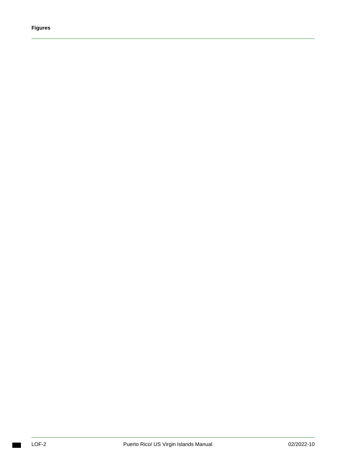**Figures**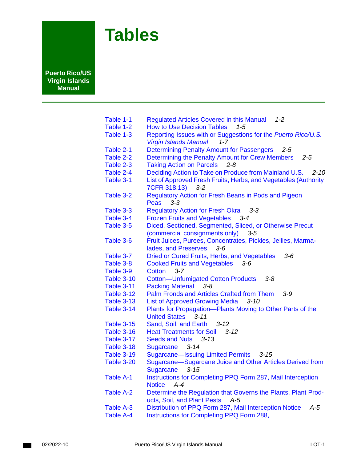# <span id="page-6-0"></span>**Tables**

**Puerto Rico/US Virgin Islands Manual** 

| Table 1-1         | <b>Regulated Articles Covered in this Manual</b><br>$1 - 2$       |
|-------------------|-------------------------------------------------------------------|
| Table 1-2         | <b>How to Use Decision Tables</b><br>1-5                          |
| Table 1-3         | Reporting Issues with or Suggestions for the Puerto Rico/U.S.     |
|                   | <b>Virgin Islands Manual</b><br>$1 - 7$                           |
| Table 2-1         | <b>Determining Penalty Amount for Passengers</b><br>$2 - 5$       |
| Table 2-2         | Determining the Penalty Amount for Crew Members<br>$2 - 5$        |
| Table 2-3         | <b>Taking Action on Parcels</b><br>$2 - 8$                        |
| Table 2-4         | Deciding Action to Take on Produce from Mainland U.S.<br>$2 - 10$ |
| Table 3-1         | List of Approved Fresh Fruits, Herbs, and Vegetables (Authority   |
|                   | 7CFR 318.13)<br>$3 - 2$                                           |
| Table 3-2         | Regulatory Action for Fresh Beans in Pods and Pigeon              |
|                   | $3-3$<br>Peas                                                     |
| Table 3-3         | <b>Regulatory Action for Fresh Okra</b> 3-3                       |
| Table 3-4         | <b>Frozen Fruits and Vegetables</b><br>$3 - 4$                    |
| Table 3-5         | Diced, Sectioned, Segmented, Sliced, or Otherwise Precut          |
|                   | (commercial consignments only) 3-5                                |
| Table 3-6         | Fruit Juices, Purees, Concentrates, Pickles, Jellies, Marma-      |
|                   | lades, and Preserves<br>3-6                                       |
| Table 3-7         | Dried or Cured Fruits, Herbs, and Vegetables<br>$3-6$             |
| Table 3-8         | <b>Cooked Fruits and Vegetables</b><br>$3-6$                      |
| Table 3-9         | <b>Cotton</b><br>$3 - 7$                                          |
| <b>Table 3-10</b> | <b>Cotton--- Unfumigated Cotton Products</b><br>$3 - 8$           |
| <b>Table 3-11</b> | <b>Packing Material</b><br>$3 - 8$                                |
| Table 3-12        | Palm Fronds and Articles Crafted from Them<br>$3 - 9$             |
| <b>Table 3-13</b> | <b>List of Approved Growing Media</b><br>$3 - 10$                 |
| Table 3-14        | Plants for Propagation-Plants Moving to Other Parts of the        |
|                   | <b>United States</b><br>$3 - 11$                                  |
| <b>Table 3-15</b> | Sand, Soil, and Earth<br>$3 - 12$                                 |
| <b>Table 3-16</b> | <b>Heat Treatments for Soil</b><br>$3 - 12$                       |
| <b>Table 3-17</b> | Seeds and Nuts 3-13                                               |
| <b>Table 3-18</b> | $3 - 14$<br>Sugarcane                                             |
| <b>Table 3-19</b> | Sugarcane-Issuing Limited Permits 3-15                            |
| <b>Table 3-20</b> | Sugarcane-Sugarcane Juice and Other Articles Derived from         |
|                   | $3 - 15$<br><b>Sugarcane</b>                                      |
| <b>Table A-1</b>  | Instructions for Completing PPQ Form 287, Mail Interception       |
|                   | <b>Notice</b><br>$A - 4$                                          |
| <b>Table A-2</b>  | Determine the Regulation that Governs the Plants, Plant Prod-     |
|                   | ucts, Soil, and Plant Pests<br>$A-5$                              |
| Table A-3         | Distribution of PPQ Form 287, Mail Interception Notice<br>A-5     |
| <b>Table A-4</b>  | Instructions for Completing PPQ Form 288,                         |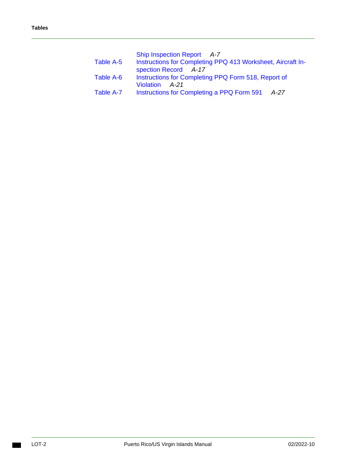|           | Ship Inspection Report A-7                                  |
|-----------|-------------------------------------------------------------|
| Table A-5 | Instructions for Completing PPQ 413 Worksheet, Aircraft In- |
|           | spection Record A-17                                        |
| Table A-6 | Instructions for Completing PPQ Form 518, Report of         |
|           | Violation A-21                                              |
| Table A-7 | Instructions for Completing a PPQ Form 591<br>A-27          |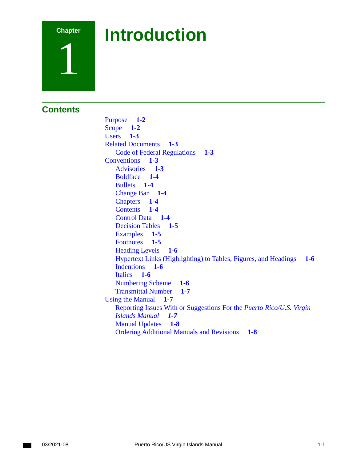1

# <span id="page-8-0"></span>**Introduction Chapter**

**Contents** 

[Purpose](#page-9-1) **1-2**  [Scope](#page-9-2) **1-2**  [Users](#page-10-0) **1-3**  [Related Documents](#page-10-1) **1-3**  [Code of Federal Regulations](#page-10-3) **1-3**  [Conventions](#page-10-2) **1-3**  [Advisories](#page-10-4) **1-3**  [Boldface](#page-11-0) **1-4**  [Bullets](#page-11-1) **1-4**  [Change Bar](#page-11-2) **1-4**  [Chapters](#page-11-3) **1-4**  [Contents](#page-11-4) **1-4**  [Control Data](#page-11-5) **1-4**  [Decision Tables](#page-12-1) **1-5**  [Examples](#page-12-2) **1-5**  [Footnotes](#page-12-3) **1-5**  [Heading Levels](#page-13-0) **1-6**  [Hypertext Links \(Highlighting\) to Tables, Figures, and Headings](#page-13-1) **1-6**  [Indentions](#page-13-2) **1-6**  [Italics](#page-13-3) **1-6**  [Numbering Scheme](#page-13-4) **1-6**  [Transmittal Number](#page-14-2) **1-7**  [Using the Manual](#page-14-1) **1-7**  [Reporting Issues With or Suggestions For the](#page-14-3) *Puerto Rico/U.S. Virgin [Islands Manual](#page-14-3) 1-7* [Manual Updates](#page-15-0) **1-8**  [Ordering Additional Manuals and Revisions](#page-15-1) **1-8**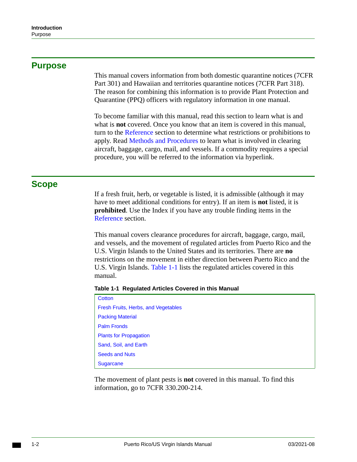# <span id="page-9-1"></span>**Purpose**

This manual covers information from both domestic quarantine notices (7CFR Part 301) and Hawaiian and territories quarantine notices (7CFR Part 318). The reason for combining this information is to provide Plant Protection and Quarantine (PPQ) officers with regulatory information in one manual.

To become familiar with this manual, read this section to learn what is and what is **not** covered. Once you know that an item is covered in this manual, turn to the [Reference](#page-26-1) section to determine what restrictions or prohibitions to apply. Read Methods and Procedures to learn what is involved in clearing aircraft, baggage, cargo, mail, and vessels. If a commodity requires a special procedure, you will be referred to the information via hyperlink.

# <span id="page-9-2"></span>**Scope**

If a fresh fruit, herb, or vegetable is listed, it is admissible (although it may have to meet additional conditions for entry). If an item is **not** listed, it is **prohibited**. Use the Index if you have any trouble finding items in the [Reference](#page-26-1) section.

This manual covers clearance procedures for aircraft, baggage, cargo, mail, and vessels, and the movement of regulated articles from Puerto Rico and the U.S. Virgin Islands to the United States and its territories. There are **no**  restrictions on the movement in either direction between Puerto Rico and the U.S. Virgin Islands. [Table 1-1](#page-9-0) lists the regulated articles covered in this manual.

<span id="page-9-0"></span>**Table 1-1 Regulated Articles Covered in this Manual** 

| Cotton                              |
|-------------------------------------|
| Fresh Fruits, Herbs, and Vegetables |
| <b>Packing Material</b>             |
| <b>Palm Fronds</b>                  |
| <b>Plants for Propagation</b>       |
| Sand, Soil, and Earth               |
| <b>Seeds and Nuts</b>               |
| <b>Sugarcane</b>                    |

The movement of plant pests is **not** covered in this manual. To find this information, go to 7CFR 330.200-214.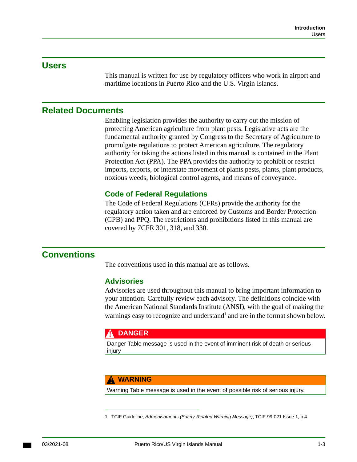# <span id="page-10-0"></span>**Users**

This manual is written for use by regulatory officers who work in airport and maritime locations in Puerto Rico and the U.S. Virgin Islands.

# <span id="page-10-1"></span>**Related Documents**

Enabling legislation provides the authority to carry out the mission of protecting American agriculture from plant pests. Legislative acts are the fundamental authority granted by Congress to the Secretary of Agriculture to promulgate regulations to protect American agriculture. The regulatory authority for taking the actions listed in this manual is contained in the Plant Protection Act (PPA). The PPA provides the authority to prohibit or restrict imports, exports, or interstate movement of plants pests, plants, plant products, noxious weeds, biological control agents, and means of conveyance.

# <span id="page-10-3"></span>**Code of Federal Regulations**

The Code of Federal Regulations (CFRs) provide the authority for the regulatory action taken and are enforced by Customs and Border Protection (CPB) and PPQ. The restrictions and prohibitions listed in this manual are covered by 7CFR 301, 318, and 330.

# <span id="page-10-2"></span>**Conventions**

The conventions used in this manual are as follows.

# <span id="page-10-4"></span>**Advisories**

Advisories are used throughout this manual to bring important information to your attention. Carefully review each advisory. The definitions coincide with the American National Standards Institute (ANSI), with the goal of making the warnings easy to recognize and understand<sup>1</sup> and are in the format shown below.

# **! DANGER**

Danger Table message is used in the event of imminent risk of death or serious injury

# **! WARNING**

Warning Table message is used in the event of possible risk of serious injury.

<sup>1</sup> TCIF Guideline, *Admonishments (Safety-Related Warning Message)*, TCIF-99-021 Issue 1, p.4.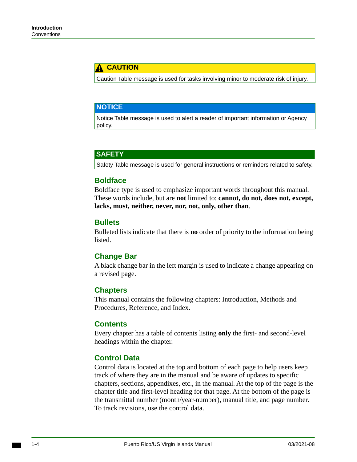#### **! CAUTION**

Caution Table message is used for tasks involving minor to moderate risk of injury.

#### **NOTICE**

Notice Table message is used to alert a reader of important information or Agency policy.

#### **SAFETY**

Safety Table message is used for general instructions or reminders related to safety.

#### <span id="page-11-0"></span>**Boldface**

Boldface type is used to emphasize important words throughout this manual. These words include, but are **not** limited to: **cannot, do not, does not, except, lacks, must, neither, never, nor, not, only, other than**.

#### <span id="page-11-1"></span>**Bullets**

Bulleted lists indicate that there is **no** order of priority to the information being listed.

#### <span id="page-11-2"></span>**Change Bar**

A black change bar in the left margin is used to indicate a change appearing on a revised page.

#### <span id="page-11-3"></span>**Chapters**

This manual contains the following chapters: Introduction, Methods and Procedures, Reference, and Index.

#### <span id="page-11-4"></span>**Contents**

Every chapter has a table of contents listing **only** the first- and second-level headings within the chapter.

#### <span id="page-11-5"></span>**Control Data**

Control data is located at the top and bottom of each page to help users keep track of where they are in the manual and be aware of updates to specific chapters, sections, appendixes, etc., in the manual. At the top of the page is the chapter title and first-level heading for that page. At the bottom of the page is the transmittal number (month/year-number), manual title, and page number. To track revisions, use the control data.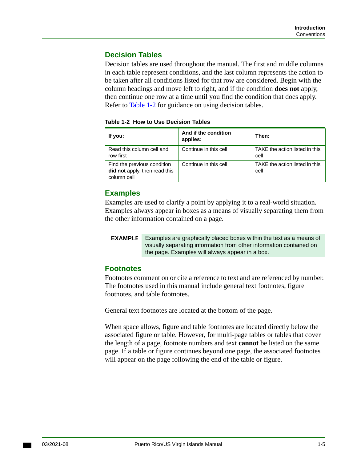# <span id="page-12-1"></span>**Decision Tables**

Decision tables are used throughout the manual. The first and middle columns in each table represent conditions, and the last column represents the action to be taken after all conditions listed for that row are considered. Begin with the column headings and move left to right, and if the condition **does not** apply, then continue one row at a time until you find the condition that does apply. Refer to [Table 1-2](#page-12-0) for guidance on using decision tables.

#### <span id="page-12-0"></span>**Table 1-2 How to Use Decision Tables**

| If you:                                                                     | And if the condition<br>applies: | Then:                                  |  |  |
|-----------------------------------------------------------------------------|----------------------------------|----------------------------------------|--|--|
| Read this column cell and<br>row first                                      | Continue in this cell            | TAKE the action listed in this<br>cell |  |  |
| Find the previous condition<br>did not apply, then read this<br>column cell | Continue in this cell            | TAKE the action listed in this<br>cell |  |  |

# <span id="page-12-2"></span>**Examples**

Examples are used to clarify a point by applying it to a real-world situation. Examples always appear in boxes as a means of visually separating them from the other information contained on a page.

**EXAMPLE** Examples are graphically placed boxes within the text as a means of visually separating information from other information contained on the page. Examples will always appear in a box.

# <span id="page-12-3"></span>**Footnotes**

Footnotes comment on or cite a reference to text and are referenced by number. The footnotes used in this manual include general text footnotes, figure footnotes, and table footnotes.

General text footnotes are located at the bottom of the page.

When space allows, figure and table footnotes are located directly below the associated figure or table. However, for multi-page tables or tables that cover the length of a page, footnote numbers and text **cannot** be listed on the same page. If a table or figure continues beyond one page, the associated footnotes will appear on the page following the end of the table or figure.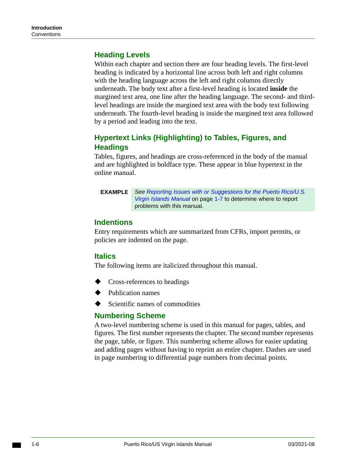# <span id="page-13-0"></span>**Heading Levels**

Within each chapter and section there are four heading levels. The first-level heading is indicated by a horizontal line across both left and right columns with the heading language across the left and right columns directly underneath. The body text after a first-level heading is located **inside** the margined text area, one line after the heading language. The second- and thirdlevel headings are inside the margined text area with the body text following underneath. The fourth-level heading is inside the margined text area followed by a period and leading into the text.

# <span id="page-13-1"></span>**Hypertext Links (Highlighting) to Tables, Figures, and Headings**

Tables, figures, and headings are cross-referenced in the body of the manual and are highlighted in boldface type. These appear in blue hypertext in the online manual.

 **EXAMPLE** *[See Reporting Issues with or Suggestions for the Puerto Rico/U.S.](#page-14-0)  [Virgin Islands Manual](#page-14-0)* on page 1-7 to determine where to report problems with this manual.

#### <span id="page-13-2"></span>**Indentions**

Entry requirements which are summarized from CFRs, import permits, or policies are indented on the page.

# <span id="page-13-3"></span>**Italics**

The following items are italicized throughout this manual.

- Cross-references to headings
- Publication names
- Scientific names of commodities

# <span id="page-13-4"></span>**Numbering Scheme**

A two-level numbering scheme is used in this manual for pages, tables, and figures. The first number represents the chapter. The second number represents the page, table, or figure. This numbering scheme allows for easier updating and adding pages without having to reprint an entire chapter. Dashes are used in page numbering to differential page numbers from decimal points.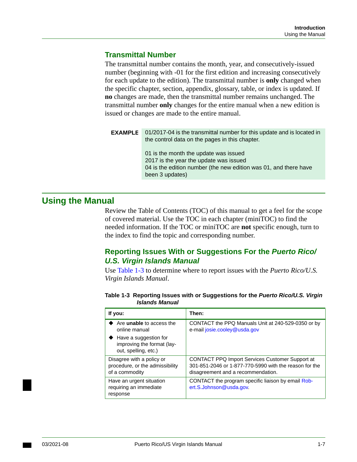# <span id="page-14-2"></span>**Transmittal Number**

The transmittal number contains the month, year, and consecutively-issued number (beginning with -01 for the first edition and increasing consecutively for each update to the edition). The transmittal number is **only** changed when the specific chapter, section, appendix, glossary, table, or index is updated. If **no** changes are made, then the transmittal number remains unchanged. The transmittal number **only** changes for the entire manual when a new edition is issued or changes are made to the entire manual.

**EXAMPLE** 01/2017-04 is the transmittal number for this update and is located in the control data on the pages in this chapter.

 04 is the edition number (the new edition was 01, and there have 01 is the month the update was issued 2017 is the year the update was issued been 3 updates)

# <span id="page-14-1"></span>**Using the Manual**

Review the Table of Contents (TOC) of this manual to get a feel for the scope of covered material. Use the TOC in each chapter (miniTOC) to find the needed information. If the TOC or miniTOC are **not** specific enough, turn to the index to find the topic and corresponding number.

# <span id="page-14-3"></span>**Reporting Issues With or Suggestions For the** *Puerto Rico/ U.S. Virgin Islands Manual*

Use [Table 1-3](#page-14-0) to determine where to report issues with the *Puerto Rico/U.S. Virgin Islands Manual*.

<span id="page-14-0"></span>

| Table 1-3 Reporting Issues with or Suggestions for the Puerto Rico/U.S. Virgin |  |  |
|--------------------------------------------------------------------------------|--|--|
| Islands Manual                                                                 |  |  |

| If you:                                                                        | Then:                                                                                                                                                  |
|--------------------------------------------------------------------------------|--------------------------------------------------------------------------------------------------------------------------------------------------------|
| Are unable to access the<br>online manual                                      | CONTACT the PPQ Manuals Unit at 240-529-0350 or by<br>e-mail josie.cooley@usda.gov                                                                     |
| Have a suggestion for<br>improving the format (lay-<br>out, spelling, etc.)    |                                                                                                                                                        |
| Disagree with a policy or<br>procedure, or the admissibility<br>of a commodity | <b>CONTACT PPQ Import Services Customer Support at</b><br>301-851-2046 or 1-877-770-5990 with the reason for the<br>disagreement and a recommendation. |
| Have an urgent situation<br>requiring an immediate<br>response                 | CONTACT the program specific liaison by email Rob-<br>ert.S.Johnson@usda.gov.                                                                          |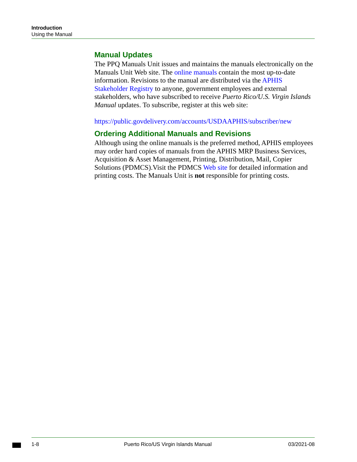# <span id="page-15-0"></span>**Manual Updates**

The PPQ Manuals Unit issues and maintains the manuals electronically on the Manuals Unit Web site. The [online manuals](http://www.aphis.usda.gov/import_export/plants/manuals/online_manuals.shtml) contain the most up-to-date information. Revisions to the manual are distributed via the [APHIS](https://public.govdelivery.com/accounts/USDAAPHIS/subscriber/new)  [Stakeholder Registry](https://public.govdelivery.com/accounts/USDAAPHIS/subscriber/new) to anyone, government employees and external stakeholders, who have subscribed to receive *Puerto Rico/U.S. Virgin Islands Manual* updates. To subscribe, register at this web site:

<https://public.govdelivery.com/accounts/USDAAPHIS/subscriber/new>

# <span id="page-15-1"></span>**Ordering Additional Manuals and Revisions**

Although using the online manuals is the preferred method, APHIS employees may order hard copies of manuals from the APHIS MRP Business Services, Acquisition & Asset Management, Printing, Distribution, Mail, Copier Solutions (PDMCS).Visit the PDMCS [Web site](https://my.aphis.usda.gov/myportal/myaphis/employeeresources/administrative-services/Printing_Distribution_Mail_Copier_Solutions) for detailed information and printing costs. The Manuals Unit is **not** responsible for printing costs.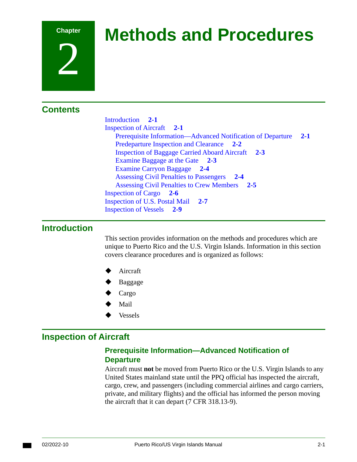2

# <span id="page-16-0"></span>**Methods and Procedures Chapter**

# **Contents**

[Introduction](#page-16-1) **2-1**  [Inspection of Aircraft](#page-16-2) **2-1**  [Prerequisite Information—Advanced Notification of Departure](#page-16-3) **2-1**  [Predeparture Inspection and Clearance](#page-17-0) **2-2**  [Inspection of Baggage Carried Aboard Aircraft](#page-18-0) **2-3**  [Examine Baggage at the Gate](#page-18-1) **2-3**  [Examine Carryon Baggage](#page-19-1) **2-4**  [Assessing Civil Penalties to Passengers](#page-19-0) **2-4**  [Assessing Civil Penalties to Crew Members](#page-20-2) **2-5**  [Inspection of Cargo](#page-21-0) **2-6**  [Inspection of U.S. Postal Mail](#page-22-0) **2-7**  [Inspection of Vessels](#page-24-0) **2-9** 

# <span id="page-16-1"></span>**Introduction**

This section provides information on the methods and procedures which are unique to Puerto Rico and the U.S. Virgin Islands. Information in this section covers clearance procedures and is organized as follows:

- Aircraft
- Baggage
- Cargo
- Mail
- Vessels

# <span id="page-16-2"></span>**Inspection of Aircraft**

# <span id="page-16-3"></span>**Prerequisite Information—Advanced Notification of Departure**

Aircraft must **not** be moved from Puerto Rico or the U.S. Virgin Islands to any United States mainland state until the PPQ official has inspected the aircraft, cargo, crew, and passengers (including commercial airlines and cargo carriers, private, and military flights) and the official has informed the person moving the aircraft that it can depart (7 CFR 318.13-9).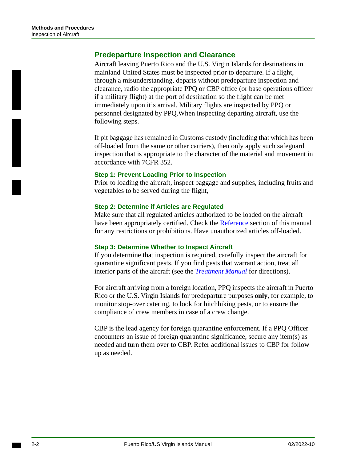# <span id="page-17-0"></span>**Predeparture Inspection and Clearance**

Aircraft leaving Puerto Rico and the U.S. Virgin Islands for destinations in mainland United States must be inspected prior to departure. If a flight, through a misunderstanding, departs without predeparture inspection and clearance, radio the appropriate PPQ or CBP office (or base operations officer if a military flight) at the port of destination so the flight can be met immediately upon it's arrival. Military flights are inspected by PPQ or personnel designated by PPQ.When inspecting departing aircraft, use the following steps.

If pit baggage has remained in Customs custody (including that which has been off-loaded from the same or other carriers), then only apply such safeguard inspection that is appropriate to the character of the material and movement in accordance with 7CFR 352.

#### **Step 1: Prevent Loading Prior to Inspection**

Prior to loading the aircraft, inspect baggage and supplies, including fruits and vegetables to be served during the flight,

#### **Step 2: Determine if Articles are Regulated**

Make sure that all regulated articles authorized to be loaded on the aircraft have been appropriately certified. Check the [Reference](#page-26-1) section of this manual for any restrictions or prohibitions. Have unauthorized articles off-loaded.

#### **Step 3: Determine Whether to Inspect Aircraft**

If you determine that inspection is required, carefully inspect the aircraft for quarantine significant pests. If you find pests that warrant action, treat all interior parts of the aircraft (see the *[Treatment Manual](https://www.aphis.usda.gov/import_export/plants/manuals/ports/downloads/treatment.pdf)* for directions).

For aircraft arriving from a foreign location, PPQ inspects the aircraft in Puerto Rico or the U.S. Virgin Islands for predeparture purposes **only**, for example, to monitor stop-over catering, to look for hitchhiking pests, or to ensure the compliance of crew members in case of a crew change.

CBP is the lead agency for foreign quarantine enforcement. If a PPQ Officer encounters an issue of foreign quarantine significance, secure any item(s) as needed and turn them over to CBP. Refer additional issues to CBP for follow up as needed.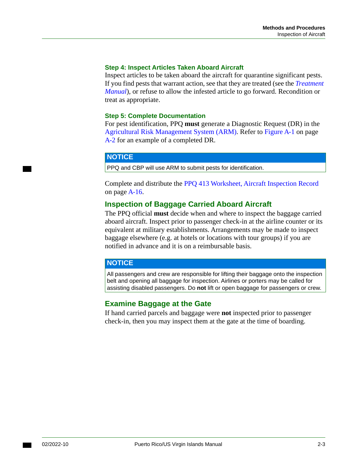#### **Step 4: Inspect Articles Taken Aboard Aircraft**

Inspect articles to be taken aboard the aircraft for quarantine significant pests. If you find pests that warrant action, see that they are treated (see the *[Treatment](http://www.aphis.usda.gov/import_export/plants/manuals/ports/downloads/treatment.pdf)  [Manual](http://www.aphis.usda.gov/import_export/plants/manuals/ports/downloads/treatment.pdf)*), or refuse to allow the infested article to go forward. Recondition or treat as appropriate.

#### **Step 5: Complete Documentation**

For pest identification, PPQ **must** generate a Diagnostic Request (DR) in the [Agricultural Risk Management System \(ARM\).](https://arm.aphis.edc.usda.gov/) Refer to [Figure A-1 on page](#page-43-1)  [A-2](#page-43-1) for an example of a completed DR.

#### **NOTICE**

PPQ and CBP will use ARM to submit pests for identification.

Complete and distribute the [PPQ 413 Worksheet, Aircraft Inspection Record](#page-57-1)  [on page A-16.](#page-57-1)

# <span id="page-18-0"></span>**Inspection of Baggage Carried Aboard Aircraft**

The PPQ official **must** decide when and where to inspect the baggage carried aboard aircraft. Inspect prior to passenger check-in at the airline counter or its equivalent at military establishments. Arrangements may be made to inspect baggage elsewhere (e.g. at hotels or locations with tour groups) if you are notified in advance and it is on a reimbursable basis.

# **NOTICE**

 belt and opening all baggage for inspection. Airlines or porters may be called for assisting disabled passengers. Do **not** lift or open baggage for passengers or crew. All passengers and crew are responsible for lifting their baggage onto the inspection

# <span id="page-18-1"></span>**Examine Baggage at the Gate**

If hand carried parcels and baggage were **not** inspected prior to passenger check-in, then you may inspect them at the gate at the time of boarding.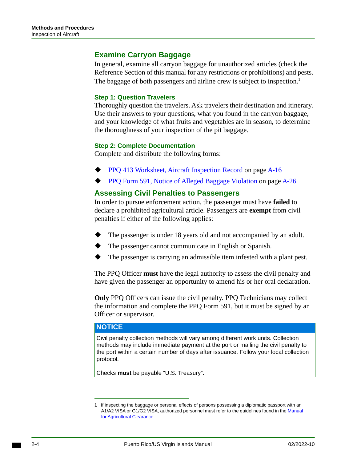# <span id="page-19-1"></span>**Examine Carryon Baggage**

In general, examine all carryon baggage for unauthorized articles (check the Reference Section of this manual for any restrictions or prohibitions) and pests. The baggage of both passengers and airline crew is subject to inspection.<sup>1</sup>

#### **Step 1: Question Travelers**

Thoroughly question the travelers. Ask travelers their destination and itinerary. Use their answers to your questions, what you found in the carryon baggage, and your knowledge of what fruits and vegetables are in season, to determine the thoroughness of your inspection of the pit baggage.

#### **Step 2: Complete Documentation**

Complete and distribute the following forms:

- [PPQ 413 Worksheet, Aircraft Inspection Record on page A-16](#page-57-1)
- [PPQ Form 591, Notice of Alleged Baggage Violation on page A-26](#page-67-1)

#### <span id="page-19-0"></span>**Assessing Civil Penalties to Passengers**

In order to pursue enforcement action, the passenger must have **failed** to declare a prohibited agricultural article. Passengers are **exempt** from civil penalties if either of the following applies:

- The passenger is under 18 years old and not accompanied by an adult.
- The passenger cannot communicate in English or Spanish.
- The passenger is carrying an admissible item infested with a plant pest.

The PPQ Officer **must** have the legal authority to assess the civil penalty and have given the passenger an opportunity to amend his or her oral declaration.

**Only** PPQ Officers can issue the civil penalty. PPQ Technicians may collect the information and complete the PPQ Form 591, but it must be signed by an Officer or supervisor.

#### **NOTICE**

Civil penalty collection methods will vary among different work units. Collection methods may include immediate payment at the port or mailing the civil penalty to the port within a certain number of days after issuance. Follow your local collection protocol.

Checks **must** be payable "U.S. Treasury".

<sup>1</sup> If inspecting the baggage or personal effects of persons possessing a diplomatic passport with an A1/A2 VISA or G1/G2 VISA, authorized personnel must refer to the guidelines found in the [Manual](https://cbp.aphis.usda.gov/ppq/php/manual/mac.pdf)  [for Agricultural Clearance](https://cbp.aphis.usda.gov/ppq/php/manual/mac.pdf).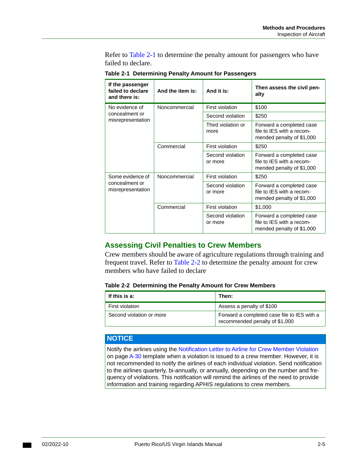Refer to [Table 2-1](#page-20-0) to determine the penalty amount for passengers who have failed to declare.

| If the passenger<br>failed to declare<br>and there is: | And the item is: | And it is:                  | Then assess the civil pen-<br>alty                                                 |  |  |
|--------------------------------------------------------|------------------|-----------------------------|------------------------------------------------------------------------------------|--|--|
| No evidence of                                         | Noncommercial    | First violation             | \$100                                                                              |  |  |
| concealment or<br>misrepresentation                    |                  | Second violation            | \$250                                                                              |  |  |
|                                                        |                  | Third violation or<br>more  | Forward a completed case<br>file to IES with a recom-<br>mended penalty of \$1,000 |  |  |
|                                                        | Commercial       | First violation             | \$250                                                                              |  |  |
|                                                        |                  | Second violation<br>or more | Forward a completed case<br>file to IES with a recom-<br>mended penalty of \$1,000 |  |  |
| Some evidence of                                       | Noncommercial    | First violation             | \$250                                                                              |  |  |
| concealment or<br>misrepresentation                    |                  | Second violation<br>or more | Forward a completed case<br>file to IES with a recom-<br>mended penalty of \$1,000 |  |  |
|                                                        | Commercial       | First violation             | \$1,000                                                                            |  |  |
|                                                        |                  | Second violation<br>or more | Forward a completed case<br>file to IES with a recom-<br>mended penalty of \$1,000 |  |  |

<span id="page-20-0"></span>**Table 2-1 Determining Penalty Amount for Passengers** 

# <span id="page-20-2"></span>**Assessing Civil Penalties to Crew Members**

Crew members should be aware of agriculture regulations through training and frequent travel. Refer to [Table 2-2](#page-20-1) to determine the penalty amount for crew members who have failed to declare

#### <span id="page-20-1"></span> **Table 2-2 Determining the Penalty Amount for Crew Members**

| If this is a:            | Then:                                                                         |
|--------------------------|-------------------------------------------------------------------------------|
| First violation          | Assess a penalty of \$100                                                     |
| Second violation or more | Forward a completed case file to IES with a<br>recommended penalty of \$1,000 |

#### **NOTICE**

 Notify the airlines using the [Notification Letter to Airline for Crew Member Violation](#page-71-1)  [on page A-30](#page-71-1) template when a violation is issued to a crew member. However, it is to the airlines quarterly, bi-annually, or annually, depending on the number and fre- information and training regarding APHIS regulations to crew members. not recommended to notify the airlines of each individual violation. Send notification quency of violations. This notification will remind the airlines of the need to provide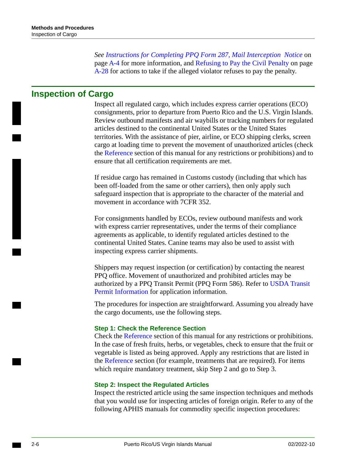*[See Instructions for Completing PPQ Form 287, Mail Interception Notice](#page-45-1)* on [page A-4](#page-45-1) for more information, and [Refusing to Pay the Civil Penalty on page](#page-69-0)  [A-28](#page-69-0) for actions to take if the alleged violator refuses to pay the penalty.

# <span id="page-21-0"></span>**Inspection of Cargo**

Inspect all regulated cargo, which includes express carrier operations (ECO) consignments, prior to departure from Puerto Rico and the U.S. Virgin Islands. Review outbound manifests and air waybills or tracking numbers for regulated articles destined to the continental United States or the United States territories. With the assistance of pier, airline, or ECO shipping clerks, screen cargo at loading time to prevent the movement of unauthorized articles (check the [Reference](#page-26-1) section of this manual for any restrictions or prohibitions) and to ensure that all certification requirements are met.

If residue cargo has remained in Customs custody (including that which has been off-loaded from the same or other carriers), then only apply such safeguard inspection that is appropriate to the character of the material and movement in accordance with 7CFR 352.

For consignments handled by ECOs, review outbound manifests and work with express carrier representatives, under the terms of their compliance agreements as applicable, to identify regulated articles destined to the continental United States. Canine teams may also be used to assist with inspecting express carrier shipments.

Shippers may request inspection (or certification) by contacting the nearest PPQ office. Movement of unauthorized and prohibited articles may be authorized by a PPQ Transit Permit (PPQ Form 586). Refer to USDA Transit Permit Information for application information.

The procedures for inspection are straightforward. Assuming you already have the cargo documents, use the following steps.

#### **Step 1: Check the Reference Section**

Check the [Reference](#page-26-1) section of this manual for any restrictions or prohibitions. In the case of fresh fruits, herbs, or vegetables, check to ensure that the fruit or vegetable is listed as being approved. Apply any restrictions that are listed in the [Reference](#page-26-1) section (for example, treatments that are required). For items which require mandatory treatment, skip Step 2 and go to Step 3.

#### **Step 2: Inspect the Regulated Articles**

Inspect the restricted article using the same inspection techniques and methods that you would use for inspecting articles of foreign origin. Refer to any of the following APHIS manuals for commodity specific inspection procedures: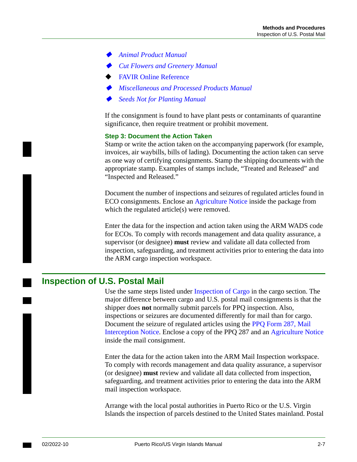- *[Animal Product Manual](https://www.aphis.usda.gov/import_export/plants/manuals/ports/downloads/apm.pdf)*
- *[Cut Flowers and Greenery Manual](https://www.aphis.usda.gov/import_export/plants/manuals/ports/downloads/cut_flower_imports.pdf)*
- [FAVIR Online Reference](https://epermits.aphis.usda.gov/manual/index.cfm?CFID=1282418&CFTOKEN=90126508f6c75ca2-50A49175-0A7C-3C59-B6E7F52D40D5B84E&ACTION=pubHome)
- *[Miscellaneous and Processed Products Manual](https://www.aphis.usda.gov/import_export/plants/manuals/ports/downloads/miscellaneous.pdf)*
- *[Seeds Not for Planting Manual](https://www.aphis.usda.gov/import_export/plants/manuals/ports/downloads/seeds_not_for_planting.pdf)*

If the consignment is found to have plant pests or contaminants of quarantine significance, then require treatment or prohibit movement.

#### **Step 3: Document the Action Taken**

Stamp or write the action taken on the accompanying paperwork (for example, invoices, air waybills, bills of lading). Documenting the action taken can serve as one way of certifying consignments. Stamp the shipping documents with the appropriate stamp. Examples of stamps include, "Treated and Released" and "Inspected and Released."

Document the number of inspections and seizures of regulated articles found in ECO consignments. Enclose an [Agriculture Notice](#page-72-1) inside the package from which the regulated article(s) were removed.

Enter the data for the inspection and action taken using the ARM WADS code for ECOs. To comply with records management and data quality assurance, a supervisor (or designee) **must** review and validate all data collected from inspection, safeguarding, and treatment activities prior to entering the data into the ARM cargo inspection workspace.

# <span id="page-22-0"></span>**Inspection of U.S. Postal Mail**

Use the same steps listed under [Inspection of Cargo](#page-21-0) in the cargo section. The major difference between cargo and U.S. postal mail consignments is that the shipper does **not** normally submit parcels for PPQ inspection. Also, inspections or seizures are documented differently for mail than for cargo. Document the seizure of regulated articles using the [PPQ Form 287, Mail](#page-44-1)  [Interception Notice.](#page-44-1) Enclose a copy of the PPQ 287 and an [Agriculture Notice](#page-72-1) inside the mail consignment.

Enter the data for the action taken into the ARM Mail Inspection workspace. To comply with records management and data quality assurance, a supervisor (or designee) **must** review and validate all data collected from inspection, safeguarding, and treatment activities prior to entering the data into the ARM mail inspection workspace.

Arrange with the local postal authorities in Puerto Rico or the U.S. Virgin Islands the inspection of parcels destined to the United States mainland. Postal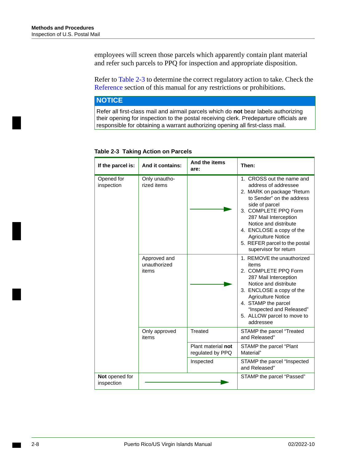employees will screen those parcels which apparently contain plant material and refer such parcels to PPQ for inspection and appropriate disposition.

Refer to [Table 2-3](#page-23-0) to determine the correct regulatory action to take. Check the [Reference](#page-26-1) section of this manual for any restrictions or prohibitions.

#### **NOTICE**

 Refer all first-class mail and airmail parcels which do **not** bear labels authorizing their opening for inspection to the postal receiving clerk. Predeparture officials are responsible for obtaining a warrant authorizing opening all first-class mail.

| If the parcel is:            | And it contains:                      | And the items<br>are:                  | Then:                                                                                                                                                                                                                                                                                                                       |
|------------------------------|---------------------------------------|----------------------------------------|-----------------------------------------------------------------------------------------------------------------------------------------------------------------------------------------------------------------------------------------------------------------------------------------------------------------------------|
| Opened for<br>inspection     | Only unautho-<br>rized items          |                                        | 1. CROSS out the name and<br>address of addressee<br>2. MARK on package "Return<br>to Sender" on the address<br>side of parcel<br>3. COMPLETE PPQ Form<br>287 Mail Interception<br>Notice and distribute<br>4. ENCLOSE a copy of the<br><b>Agriculture Notice</b><br>5. REFER parcel to the postal<br>supervisor for return |
|                              | Approved and<br>unauthorized<br>items |                                        | 1. REMOVE the unauthorized<br>items<br>2. COMPLETE PPQ Form<br>287 Mail Interception<br>Notice and distribute<br>3. ENCLOSE a copy of the<br><b>Agriculture Notice</b><br>4. STAMP the parcel<br>"Inspected and Released"<br>5. ALLOW parcel to move to<br>addressee                                                        |
|                              | Only approved<br>items                | Treated                                | STAMP the parcel "Treated<br>and Released"                                                                                                                                                                                                                                                                                  |
|                              |                                       | Plant material not<br>regulated by PPQ | STAMP the parcel "Plant<br>Material"                                                                                                                                                                                                                                                                                        |
|                              |                                       | Inspected                              | STAMP the parcel "Inspected<br>and Released"                                                                                                                                                                                                                                                                                |
| Not opened for<br>inspection |                                       |                                        | STAMP the parcel "Passed"                                                                                                                                                                                                                                                                                                   |

#### <span id="page-23-0"></span> **Table 2-3 Taking Action on Parcels**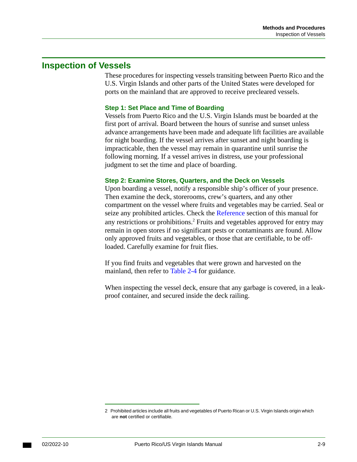# <span id="page-24-0"></span>**Inspection of Vessels**

These procedures for inspecting vessels transiting between Puerto Rico and the U.S. Virgin Islands and other parts of the United States were developed for ports on the mainland that are approved to receive precleared vessels.

#### **Step 1: Set Place and Time of Boarding**

Vessels from Puerto Rico and the U.S. Virgin Islands must be boarded at the first port of arrival. Board between the hours of sunrise and sunset unless advance arrangements have been made and adequate lift facilities are available for night boarding. If the vessel arrives after sunset and night boarding is impracticable, then the vessel may remain in quarantine until sunrise the following morning. If a vessel arrives in distress, use your professional judgment to set the time and place of boarding.

#### **Step 2: Examine Stores, Quarters, and the Deck on Vessels**

Upon boarding a vessel, notify a responsible ship's officer of your presence. Then examine the deck, storerooms, crew's quarters, and any other compartment on the vessel where fruits and vegetables may be carried. Seal or seize any prohibited articles. Check the [Reference](#page-26-1) section of this manual for any restrictions or prohibitions.<sup>2</sup> Fruits and vegetables approved for entry may remain in open stores if no significant pests or contaminants are found. Allow only approved fruits and vegetables, or those that are certifiable, to be offloaded. Carefully examine for fruit flies.

If you find fruits and vegetables that were grown and harvested on the mainland, then refer to [Table 2-4](#page-25-0) for guidance.

When inspecting the vessel deck, ensure that any garbage is covered, in a leakproof container, and secured inside the deck railing.

<sup>2</sup> Prohibited articles include all fruits and vegetables of Puerto Rican or U.S. Virgin Islands origin which are **not** certified or certifiable.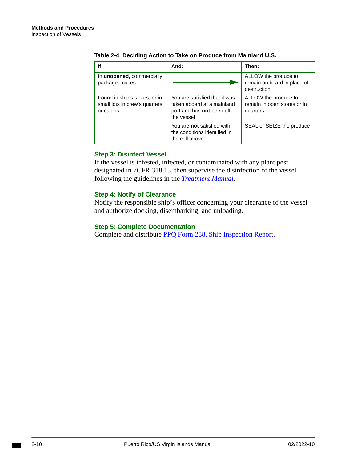| lf:                                                                         | And:                                                                                                   | Then:                                                              |
|-----------------------------------------------------------------------------|--------------------------------------------------------------------------------------------------------|--------------------------------------------------------------------|
| In <b>unopened</b> , commercially<br>packaged cases                         |                                                                                                        | ALLOW the produce to<br>remain on board in place of<br>destruction |
| Found in ship's stores, or in<br>small lots in crew's quarters<br>or cabins | You are satisfied that it was<br>taken aboard at a mainland<br>port and has not been off<br>the vessel | ALLOW the produce to<br>remain in open stores or in<br>quarters    |
|                                                                             | You are not satisfied with<br>the conditions identified in<br>the cell above                           | SEAL or SEIZE the produce                                          |

<span id="page-25-0"></span>

|  | Table 2-4 Deciding Action to Take on Produce from Mainland U.S. |  |  |  |  |  |  |  |
|--|-----------------------------------------------------------------|--|--|--|--|--|--|--|
|--|-----------------------------------------------------------------|--|--|--|--|--|--|--|

#### **Step 3: Disinfect Vessel**

If the vessel is infested, infected, or contaminated with any plant pest designated in 7CFR 318.13, then supervise the disinfection of the vessel following the guidelines in the *[Treatment Manual](http://www.aphis.usda.gov/import_export/plants/manuals/ports/downloads/treatment.pdf)*.

#### **Step 4: Notify of Clearance**

Notify the responsible ship's officer concerning your clearance of the vessel and authorize docking, disembarking, and unloading.

#### **Step 5: Complete Documentation**

Complete and distribute [PPQ Form 288, Ship Inspection Report.](#page-47-1)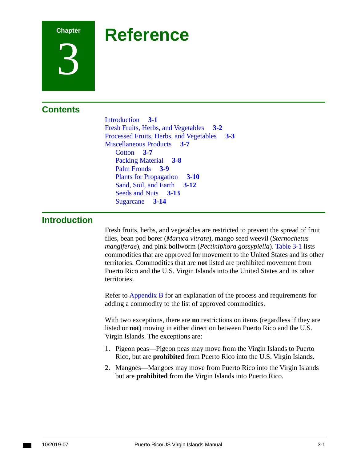3

# <span id="page-26-1"></span><span id="page-26-0"></span>**Reference Chapter**

**Contents** 

[Introduction](#page-26-2) **3-1**  [Fresh Fruits, Herbs, and Vegetables](#page-27-2) **3-2**  [Processed Fruits, Herbs, and Vegetables](#page-28-2) **3-3**  [Miscellaneous Products](#page-32-2) **3-7**  [Cotton](#page-32-3) **3-7**  [Packing Material](#page-33-3) **3-8**  [Palm Fronds](#page-34-2) **3-9**  [Plants for Propagation](#page-35-2) **3-10**  [Sand, Soil, and Earth](#page-37-3) **3-12**  [Seeds and Nuts](#page-38-2) **3-13**  [Sugarcane](#page-39-2) **3-14** 

# <span id="page-26-2"></span>**Introduction**

Fresh fruits, herbs, and vegetables are restricted to prevent the spread of fruit flies, bean pod borer (*Maruca vitrata*), mango seed weevil (*Sternochetus mangiferae*), and pink bollworm (*Pectiniphora gossypiella*). [Table 3-1](#page-27-0) lists commodities that are approved for movement to the United States and its other territories. Commodities that are **not** listed are prohibited movement from Puerto Rico and the U.S. Virgin Islands into the United States and its other territories.

Refer to [Appendix B](#page-74-1) for an explanation of the process and requirements for adding a commodity to the list of approved commodities.

With two exceptions, there are **no** restrictions on items (regardless if they are listed or **not**) moving in either direction between Puerto Rico and the U.S. Virgin Islands. The exceptions are:

- 1. Pigeon peas—Pigeon peas may move from the Virgin Islands to Puerto Rico, but are **prohibited** from Puerto Rico into the U.S. Virgin Islands.
- 2. Mangoes—Mangoes may move from Puerto Rico into the Virgin Islands but are **prohibited** from the Virgin Islands into Puerto Rico.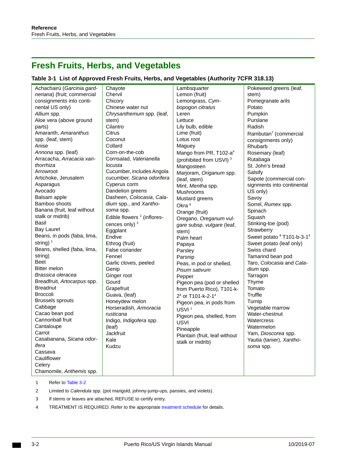# <span id="page-27-2"></span><span id="page-27-1"></span>**Fresh Fruits, Herbs, and Vegetables**

#### <span id="page-27-0"></span> **Table 3-1 List of Approved Fresh Fruits, Herbs, and Vegetables (Authority 7CFR 318.13)**

| Achachairú (Garcinia gard-  | Chayote                                | Lambsquarter                              | Pokeweed greens (leaf,            |
|-----------------------------|----------------------------------------|-------------------------------------------|-----------------------------------|
| neriana) (fruit; commercial | Chervil                                | Lemon (fruit)                             | stem)                             |
| consignments into conti-    | Chicory                                | Lemongrass, Cym-                          | Pomegranate arils                 |
| nental US only)             | Chinese water nut                      | bopogon citratus                          | Potato                            |
| Allium spp.                 | Chrysanthemum spp. (leaf,              | Leren                                     | Pumpkin                           |
| Aloe vera (above ground     | stem)                                  | Lettuce                                   | Purslane                          |
| parts)                      | Cilantro                               | Lily bulb, edible                         | Radish                            |
| Amaranth, Amaranthus        | Citrus                                 | Lime (fruit)                              | Rambutan <sup>7</sup> (commercial |
| spp. (leaf, stem)           | Coconut                                | Lotus root                                | consignments only)                |
| Anise                       | Collard                                | Maguey                                    | Rhubarb                           |
| Annona spp. (leaf)          | Corn-on-the-cob                        | Mango from PR, T102-a <sup>4</sup>        | Rosemary (leaf)                   |
| Arracacha, Arracacia xan-   | Cornsalad, Valerianella                | (prohibited from USVI) <sup>5</sup>       | Rutabaga                          |
| thorrhiza                   | locusta                                | Mangosteen                                | St. John's bread                  |
| Arrowroot                   | Cucumber, includes Angola              | Marjoram, Origanum spp.                   | Salsify                           |
| Artichoke, Jerusalem        | cucumber, Sicana odorifera             | (leaf, stem)                              | Sapote (commercial con-           |
| Asparagus                   | Cyperus corm                           | Mint, Mentha spp.                         | signments into continental        |
| Avocado                     | Dandelion greens                       | Mushrooms                                 | US only)                          |
| Balsam apple                | Dasheen, Colocasia, Cala-              | Mustard greens                            | Savoy                             |
| Bamboo shoots               | dium spp., and Xantho-                 | Okra <sup>6</sup>                         | Sorrel, Rumex spp.                |
| Banana (fruit, leaf without | soma spp.                              | Orange (fruit)                            | Spinach                           |
| stalk or midrib)            | Edible flowers <sup>2</sup> (inflores- | Oregano, Oreganum vul-                    | Squash                            |
| Basil                       | cences only) 3                         | gare subsp. vulgare (leaf,                | Stinking-toe (pod)                |
| <b>Bay Laurel</b>           | Eggplant                               | stem)                                     | Strawberry                        |
| Beans, in pods (faba, lima, | Endive                                 | Palm heart                                | Sweet potato 8 T101-b-3-14        |
| string) $1$                 | Ethrog (fruit)                         | Papaya                                    | Sweet potato (leaf only)          |
| Beans, shelled (faba, lima, | False coriander                        | Parsley                                   | Swiss chard                       |
| string)                     | Fennel                                 | Parsnip                                   | Tamarind bean pod                 |
| <b>Beet</b>                 | Garlic cloves, peeled                  | Peas, in pod or shelled,                  | Taro, Colocasia and Cala-         |
| <b>Bitter melon</b>         | Genip                                  | Pisum sativum                             | dium spp.                         |
| Brassica oleracea           | Ginger root                            | Pepper                                    | Tarragon                          |
| Breadfruit, Artocarpus spp. | Gourd                                  | Pigeon pea (pod or shelled                | Thyme                             |
| <b>Breadnut</b>             | Grapefruit                             | from Puerto Rico), T101-k-                | Tomato                            |
| <b>Broccoli</b>             | Guava, (leaf)                          | 2 <sup>4</sup> or T101-k-2-1 <sup>4</sup> | Truffle                           |
| <b>Brussels sprouts</b>     | Honeydew melon                         | Pigeon pea, in pods from                  | Turnip                            |
| Cabbage                     | Horseradish, Armoracia                 | USVI <sup>1</sup>                         | Vegetable marrow                  |
| Cacao bean pod              | rusticana                              | Pigeon pea, shelled, from                 | Water-chestnut                    |
| Cannonball fruit            | Indigo, Indigofera spp.                | <b>USVI</b>                               | Watercress                        |
| Cantaloupe                  | (leaf)                                 | Pineapple                                 | Watermelon                        |
| Carrot                      | <b>Jackfruit</b>                       | Plantain (fruit, leaf without             | Yam, Dioscorea spp.               |
| Casabanana, Sicana odor-    | Kale                                   | stalk or midrib)                          | Yautia (tanier), Xantho-          |
| ifera                       | Kudzu                                  |                                           | soma spp.                         |
| Cassava                     |                                        |                                           |                                   |
| Cauliflower                 |                                        |                                           |                                   |
| Celery                      |                                        |                                           |                                   |
| Chamomile, Anthemis spp.    |                                        |                                           |                                   |

- <span id="page-27-3"></span>1 Refer to [Table 3-2](#page-28-0)
- 2 Limited to *Calendula* spp. (pot marigold, johnny-jump-ups, pansies, and violets).
- 3 If stems or leaves are attached, REFUSE to certify entry.
- <span id="page-27-4"></span>4 TREATMENT IS REQUIRED. Refer to the appropriate [treatment schedule](https://www.aphis.usda.gov/import_export/plants/manuals/ports/downloads/treatment.pdf) for details.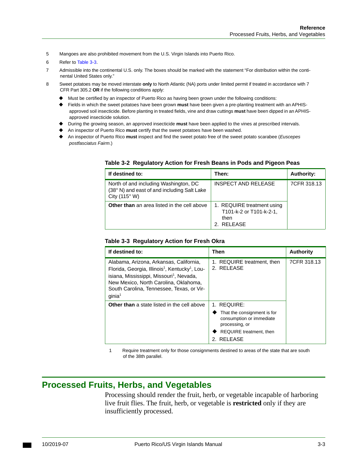- 5 Mangoes are also prohibited movement from the U.S. Virgin Islands into Puerto Rico.
- 6 Refer to [Table 3-3.](#page-28-1)
- 7 Admissible into the continental U.S. only. The boxes should be marked with the statement "For distribution within the continental United States only."
- 8 Sweet potatoes may be moved interstate **only** to North Atlantic (NA) ports under limited permit if treated in accordance with 7 CFR Part 305.2 **OR** if the following conditions apply:
	- Must be certified by an inspector of Puerto Rico as having been grown under the following conditions:
	- Fields in which the sweet potatoes have been grown **must** have been given a pre-planting treatment with an APHISapproved soil insecticide. Before planting in treated fields, vine and draw cuttings **must** have been dipped in an APHISapproved insecticide solution.
	- During the growing season, an approved insecticide **must** have been applied to the vines at prescribed intervals.
	- An inspector of Puerto Rico **must** certify that the sweet potatoes have been washed.
	- An inspector of Puerto Rico **must** inspect and find the sweet potato free of the sweet potato scarabee (*Euscepes postfasciatus Fairm*.)

| If destined to:                                                                                                | Then:                                                                       | <b>Authority:</b> |
|----------------------------------------------------------------------------------------------------------------|-----------------------------------------------------------------------------|-------------------|
| North of and including Washington, DC<br>(38° N) and east of and including Salt Lake<br>City $(115^{\circ}$ W) | <b>INSPECT AND RELEASE</b>                                                  | 7CFR 318.13       |
| <b>Other than</b> an area listed in the cell above                                                             | 1. REQUIRE treatment using<br>T101-k-2 or T101-k-2-1,<br>then<br>2. RELEASE |                   |

#### <span id="page-28-0"></span> **Table 3-2 Regulatory Action for Fresh Beans in Pods and Pigeon Peas**

#### <span id="page-28-1"></span>**Table 3-3 Regulatory Action for Fresh Okra**

| If destined to:                                                                                                                                                                                                                                                                       | <b>Then</b>                                                                                                                         | <b>Authority</b> |
|---------------------------------------------------------------------------------------------------------------------------------------------------------------------------------------------------------------------------------------------------------------------------------------|-------------------------------------------------------------------------------------------------------------------------------------|------------------|
| Alabama, Arizona, Arkansas, California,<br>Florida, Georgia, Illinois <sup>1</sup> , Kentucky <sup>1</sup> , Lou-<br>isiana, Mississippi, Missouri <sup>1</sup> , Nevada,<br>New Mexico, North Carolina, Oklahoma,<br>South Carolina, Tennessee, Texas, or Vir-<br>ginia <sup>1</sup> | 1. REQUIRE treatment, then<br>2. RELEASE                                                                                            | 7CFR 318.13      |
| <b>Other than</b> a state listed in the cell above                                                                                                                                                                                                                                    | 1. REQUIRE:<br>That the consignment is for<br>consumption or immediate<br>processing, or<br>♦ REQUIRE treatment, then<br>2. RELEASE |                  |

<span id="page-28-3"></span>1 Require treatment only for those consignments destined to areas of the state that are south of the 38th parallel.

# <span id="page-28-2"></span>**Processed Fruits, Herbs, and Vegetables**

Processing should render the fruit, herb, or vegetable incapable of harboring live fruit flies. The fruit, herb, or vegetable is **restricted** only if they are insufficiently processed.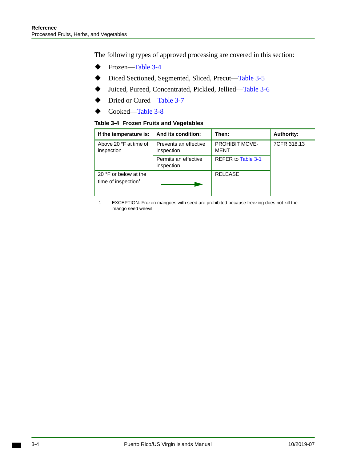The following types of approved processing are covered in this section:

- Frozen[—Table 3-4](#page-29-0)
- Diced Sectioned, Segmented, Sliced, Precut—[Table 3-5](#page-30-0)
- Juiced, Pureed, Concentrated, Pickled, Jellied[—Table 3-6](#page-31-0)
- Dried or Cured[—Table 3-7](#page-31-1)
- Cooked[—Table 3-8](#page-31-2)

#### <span id="page-29-0"></span> **Table 3-4 Frozen Fruits and Vegetables**

| If the temperature is:                          | And its condition:                  | Then:                  | <b>Authority:</b> |
|-------------------------------------------------|-------------------------------------|------------------------|-------------------|
| Above 20 °F at time of<br>inspection            | Prevents an effective<br>inspection | PROHIBIT MOVE-<br>MENT | 7CFR 318.13       |
|                                                 | Permits an effective<br>inspection  | REFER to Table 3-1     |                   |
| 20 °F or below at the<br>time of inspection $1$ |                                     | <b>RELEASE</b>         |                   |

1 EXCEPTION: Frozen mangoes with seed are prohibited because freezing does not kill the mango seed weevil.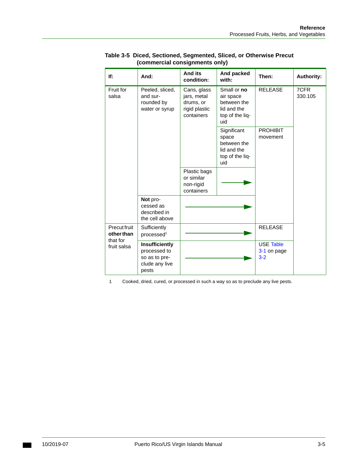| lf:                        | And:                                                                       | And its<br>condition:                                                  | And packed<br>with:                                                              | Then:                                      | <b>Authority:</b> |
|----------------------------|----------------------------------------------------------------------------|------------------------------------------------------------------------|----------------------------------------------------------------------------------|--------------------------------------------|-------------------|
| Fruit for<br>salsa         | Peeled, sliced,<br>and sur-<br>rounded by<br>water or syrup                | Cans, glass<br>jars, metal<br>drums, or<br>rigid plastic<br>containers | Small or no<br>air space<br>between the<br>lid and the<br>top of the liq-<br>uid | <b>RELEASE</b>                             | 7CFR<br>330.105   |
|                            |                                                                            |                                                                        | Significant<br>space<br>between the<br>lid and the<br>top of the liq-<br>uid     | <b>PROHIBIT</b><br>movement                |                   |
|                            |                                                                            | Plastic bags<br>or similar<br>non-rigid<br>containers                  |                                                                                  |                                            |                   |
|                            | Not pro-<br>cessed as<br>described in<br>the cell above                    |                                                                        |                                                                                  |                                            |                   |
| Precut fruit<br>other than | Sufficiently<br>processed <sup>1</sup>                                     |                                                                        |                                                                                  | <b>RELEASE</b>                             |                   |
| that for<br>fruit salsa    | Insufficiently<br>processed to<br>so as to pre-<br>clude any live<br>pests |                                                                        |                                                                                  | <b>USE Table</b><br>3-1 on page<br>$3 - 2$ |                   |

#### <span id="page-30-0"></span> **Table 3-5 Diced, Sectioned, Segmented, Sliced, or Otherwise Precut (commercial consignments only)**

1 Cooked, dried, cured, or processed in such a way so as to preclude any live pests.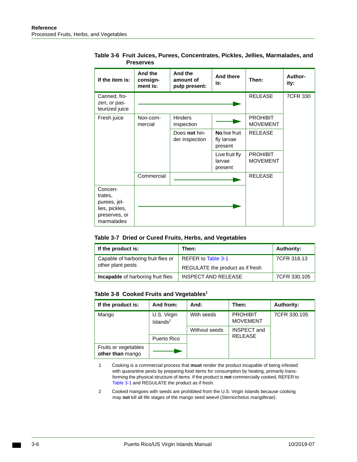| If the item is:                                                                     | And the<br>consign-<br>ment is: | And the<br>amount of<br>pulp present: | And there<br>is:                       | Then:                              | Author-<br>ity: |
|-------------------------------------------------------------------------------------|---------------------------------|---------------------------------------|----------------------------------------|------------------------------------|-----------------|
| Canned, fro-<br>zen, or pas-<br>teurized juice                                      |                                 |                                       |                                        | <b>RELEASE</b>                     | <b>7CFR 330</b> |
| Fresh juice                                                                         | Non-com-<br>mercial             | <b>Hinders</b><br>inspection          |                                        | <b>PROHIBIT</b><br><b>MOVEMENT</b> |                 |
|                                                                                     |                                 | Does not hin-<br>der inspection       | No live fruit<br>fly larvae<br>present | <b>RELEASE</b>                     |                 |
|                                                                                     |                                 |                                       | Live fruit fly<br>larvae<br>present    | <b>PROHIBIT</b><br><b>MOVEMENT</b> |                 |
|                                                                                     | Commercial                      |                                       |                                        | <b>RELEASE</b>                     |                 |
| Concen-<br>trates,<br>purees, jel-<br>lies, pickles,<br>preserves, or<br>marmalades |                                 |                                       |                                        |                                    |                 |

<span id="page-31-0"></span>**Table 3-6 Fruit Juices, Purees, Concentrates, Pickles, Jellies, Marmalades, and Preserves** 

<span id="page-31-1"></span>

| If the product is:                        | Then:                            | <b>Authority:</b> |
|-------------------------------------------|----------------------------------|-------------------|
| Capable of harboring fruit flies or       | REFER to Table 3-1               | 7CFR 318.13       |
| other plant pests                         | REGULATE the product as if fresh |                   |
| <b>Incapable</b> of harboring fruit flies | <b>INSPECT AND RELEASE</b>       | 7CFR 330.105      |

#### <span id="page-31-2"></span>**Table 3-8 Cooked Fruits and Vegetables1**

| If the product is:                       | And from:                              | And:          | Then:                              | <b>Authority:</b> |
|------------------------------------------|----------------------------------------|---------------|------------------------------------|-------------------|
| Mango                                    | U.S. Virgin<br>$Is$ lands <sup>2</sup> | With seeds    | <b>PROHIBIT</b><br><b>MOVEMENT</b> | 7CFR 330.105      |
|                                          |                                        | Without seeds | <b>INSPECT</b> and                 |                   |
|                                          | Puerto Rico                            |               | <b>RELEASE</b>                     |                   |
| Fruits or vegetables<br>other than mango |                                        |               |                                    |                   |

1 Cooking is a commercial process that **must** render the product incapable of being infested with quarantine pests by preparing food items for consumption by heating, primarily transforming the physical structure of items. If the product is **not** commercially cooked, REFER to [Table 3-1](#page-27-0) and REGULATE the product as if fresh.

2 Cooked mangoes with seeds are prohibited from the U.S. Virgin Islands because cooking may **not** kill all life stages of the mango seed weevil (*Sternochetus mangiferae*).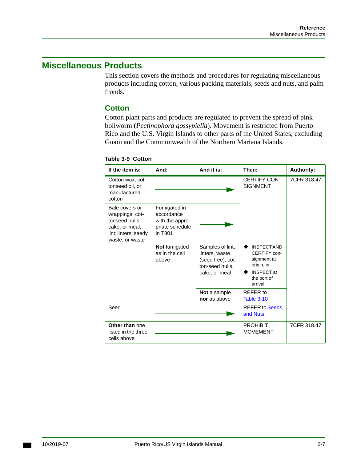# <span id="page-32-2"></span>**Miscellaneous Products**

This section covers the methods and procedures for regulating miscellaneous products including cotton, various packing materials, seeds and nuts, and palm fronds.

#### <span id="page-32-3"></span><span id="page-32-1"></span>**Cotton**

Cotton plant parts and products are regulated to prevent the spread of pink bollworm (*Pectinophora gossypiella*). Movement is restricted from Puerto Rico and the U.S. Virgin Islands to other parts of the United States, excluding Guam and the Commonwealth of the Northern Mariana Islands.

<span id="page-32-0"></span>

| If the item is:                                                                                                  | And:                                                                        | And it is:                                                                                  | Then:                                                                                                         | <b>Authority:</b> |
|------------------------------------------------------------------------------------------------------------------|-----------------------------------------------------------------------------|---------------------------------------------------------------------------------------------|---------------------------------------------------------------------------------------------------------------|-------------------|
| Cotton wax, cot-<br>tonseed oil, or<br>manufactured<br>cotton                                                    |                                                                             |                                                                                             | <b>CERTIFY CON-</b><br><b>SIGNMENT</b>                                                                        | 7CFR 318.47       |
| Bale covers or<br>wrappings; cot-<br>tonseed hulls.<br>cake, or meal;<br>lint; linters; seedy<br>waste; or waste | Fumigated in<br>accordance<br>with the appro-<br>priate schedule<br>in T301 |                                                                                             |                                                                                                               |                   |
|                                                                                                                  | Not fumigated<br>as in the cell<br>above                                    | Samples of lint,<br>linters, waste<br>(seed free), cot-<br>ton-seed hulls,<br>cake, or meal | <b>INSPECTAND</b><br>CERTIFY con-<br>signment at<br>origin, or<br><b>INSPECT at</b><br>the port of<br>arrival |                   |
|                                                                                                                  |                                                                             | Not a sample<br>nor as above                                                                | REFER to<br><b>Table 3-10</b>                                                                                 |                   |
| Seed                                                                                                             |                                                                             |                                                                                             | <b>REFER to Seeds</b><br>and Nuts                                                                             |                   |
| Other than one<br>listed in the three<br>cells above                                                             |                                                                             |                                                                                             | <b>PROHIBIT</b><br><b>MOVEMENT</b>                                                                            | 7CFR 318.47       |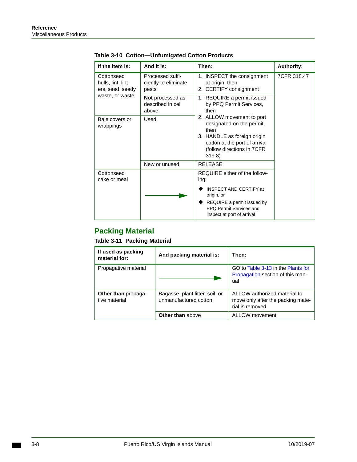| If the item is:                                      | And it is:                                        | Then:                                                                                                                                                                  | <b>Authority:</b> |
|------------------------------------------------------|---------------------------------------------------|------------------------------------------------------------------------------------------------------------------------------------------------------------------------|-------------------|
| Cottonseed<br>hulls, lint, lint-<br>ers, seed, seedy | Processed suffi-<br>ciently to eliminate<br>pests | 1. INSPECT the consignment<br>at origin, then<br>2. CERTIFY consignment                                                                                                | 7CFR 318.47       |
| waste, or waste                                      | Not processed as<br>described in cell<br>above    | 1. REQUIRE a permit issued<br>by PPQ Permit Services,<br>then                                                                                                          |                   |
| Bale covers or<br>wrappings                          | Used                                              | 2. ALLOW movement to port<br>designated on the permit,<br>then<br>3. HANDLE as foreign origin<br>cotton at the port of arrival<br>(follow directions in 7CFR<br>319.8) |                   |
|                                                      | New or unused                                     | <b>RELEASE</b>                                                                                                                                                         |                   |
| Cottonseed<br>cake or meal                           |                                                   | REQUIRE either of the follow-<br>ing:                                                                                                                                  |                   |
|                                                      |                                                   | <b>INSPECT AND CERTIFY at</b><br>origin, or<br>REQUIRE a permit issued by<br>PPO Permit Services and<br>inspect at port of arrival                                     |                   |

<span id="page-33-0"></span>**Table 3-10 Cotton—Unfumigated Cotton Products** 

# <span id="page-33-3"></span><span id="page-33-2"></span>**Packing Material**

#### <span id="page-33-1"></span> **Table 3-11 Packing Material**

| If used as packing<br>material for:         | And packing material is:                                 | Then:                                                                                |  |
|---------------------------------------------|----------------------------------------------------------|--------------------------------------------------------------------------------------|--|
| Propagative material                        |                                                          | GO to Table 3-13 in the Plants for<br>Propagation section of this man-<br>ual        |  |
| <b>Other than propaga-</b><br>tive material | Bagasse, plant litter, soil, or<br>unmanufactured cotton | ALLOW authorized material to<br>move only after the packing mate-<br>rial is removed |  |
|                                             | <b>Other than above</b>                                  | ALLOW movement                                                                       |  |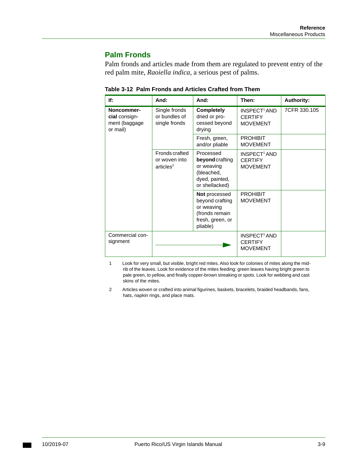# <span id="page-34-2"></span><span id="page-34-1"></span>**Palm Fronds**

Palm fronds and articles made from them are regulated to prevent entry of the red palm mite, *Raoiella indica*, a serious pest of palms.

| If:                                                      | And:                                                     | And:                                                                                             | Then:                                                         | <b>Authority:</b> |
|----------------------------------------------------------|----------------------------------------------------------|--------------------------------------------------------------------------------------------------|---------------------------------------------------------------|-------------------|
| Noncommer-<br>cial consign-<br>ment (baggage<br>or mail) | Single fronds<br>or bundles of<br>single fronds          | <b>Completely</b><br>dried or pro-<br>cessed beyond<br>drying                                    | INSPECT <sup>1</sup> AND<br><b>CERTIFY</b><br><b>MOVEMENT</b> | 7CFR 330.105      |
|                                                          |                                                          | Fresh, green,<br>and/or pliable                                                                  | <b>PROHIBIT</b><br><b>MOVEMENT</b>                            |                   |
|                                                          | Fronds crafted<br>or woven into<br>articles <sup>2</sup> | Processed<br>beyond crafting<br>or weaving<br>(bleached,<br>dyed, painted,<br>or shellacked)     | INSPECT <sup>1</sup> AND<br><b>CERTIFY</b><br><b>MOVEMENT</b> |                   |
|                                                          |                                                          | Not processed<br>beyond crafting<br>or weaving<br>(fronds remain<br>fresh, green, or<br>pliable) | <b>PROHIBIT</b><br><b>MOVEMENT</b>                            |                   |
| Commercial con-<br>signment                              |                                                          |                                                                                                  | INSPECT <sup>1</sup> AND<br><b>CERTIFY</b><br><b>MOVEMENT</b> |                   |

<span id="page-34-0"></span>**Table 3-12 Palm Fronds and Articles Crafted from Them** 

<span id="page-34-3"></span>1 Look for very small, but visible, bright red mites. Also look for colonies of mites along the midrib of the leaves. Look for evidence of the mites feeding: green leaves having bright green to pale green, to yellow, and finally copper-brown streaking or spots. Look for webbing and cast skins of the mites.

2 Articles woven or crafted into animal figurines, baskets, bracelets, braided headbands, fans, hats, napkin rings, and place mats.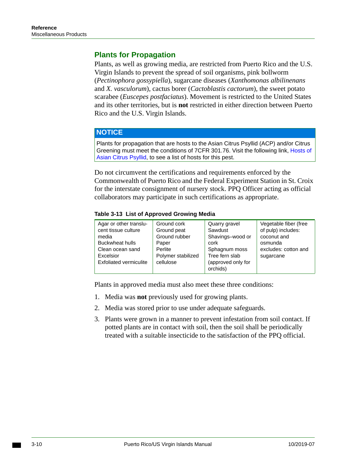# <span id="page-35-2"></span><span id="page-35-1"></span>**Plants for Propagation**

Plants, as well as growing media, are restricted from Puerto Rico and the U.S. Virgin Islands to prevent the spread of soil organisms, pink bollworm (*Pectinophora gossypiella*), sugarcane diseases (*Xanthomonas albilinenans*  and *X. vasculorum*), cactus borer (*Cactoblastis cactorum*), the sweet potato scarabee (*Euscepes postfaciatus*). Movement is restricted to the United States and its other territories, but is **not** restricted in either direction between Puerto Rico and the U.S. Virgin Islands.

#### **NOTICE**

Plants for propagation that are hosts to the Asian Citrus Psyllid (ACP) and/or Citrus Greening must meet the conditions of 7CFR 301.76. Visit the following link, [Hosts of](http://www.freshfromflorida.com/content/download/24041/486974/hostlist.pdf)  [Asian Citrus Psyllid](http://www.freshfromflorida.com/content/download/24041/486974/hostlist.pdf), to see a list of hosts for this pest.

Do not circumvent the certifications and requirements enforced by the Commonwealth of Puerto Rico and the Federal Experiment Station in St. Croix for the interstate consignment of nursery stock. PPQ Officer acting as official collaborators may participate in such certifications as appropriate.

#### <span id="page-35-0"></span>**Table 3-13 List of Approved Growing Media**

| Agar or other translu-        | Ground cork        | Quarry gravel      | Vegetable fiber (free |
|-------------------------------|--------------------|--------------------|-----------------------|
| cent tissue culture           | Ground peat        | Sawdust            | of pulp) includes:    |
| media                         | Ground rubber      | Shavings-wood or   | coconut and           |
| <b>Buckwheat hulls</b>        | Paper              | cork               | osmunda               |
| Clean ocean sand              | Perlite            | Sphagnum moss      | excludes: cotton and  |
| Excelsior                     | Polymer stabilized | Tree fern slab     | sugarcane             |
| <b>Exfoliated vermiculite</b> | cellulose          | (approved only for |                       |
|                               |                    | orchids)           |                       |

Plants in approved media must also meet these three conditions:

- 1. Media was **not** previously used for growing plants.
- 2. Media was stored prior to use under adequate safeguards.
- 3. Plants were grown in a manner to prevent infestation from soil contact. If potted plants are in contact with soil, then the soil shall be periodically treated with a suitable insecticide to the satisfaction of the PPQ official.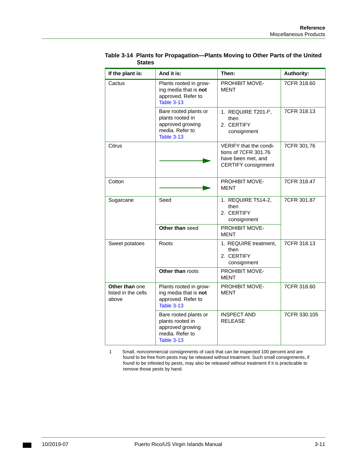| If the plant is:                                      | And it is:                                                                                            | Then:                                                                                              | <b>Authority:</b> |
|-------------------------------------------------------|-------------------------------------------------------------------------------------------------------|----------------------------------------------------------------------------------------------------|-------------------|
| Cactus                                                | Plants rooted in grow-<br>ing media that is not<br>approved. Refer to<br><b>Table 3-13</b>            | PROHIBIT MOVE-<br><b>MENT</b>                                                                      | 7CFR 318.60       |
|                                                       | Bare rooted plants or<br>plants rooted in<br>approved growing<br>media. Refer to<br><b>Table 3-13</b> | 1. REQUIRE T201-f <sup>1</sup> ,<br>then<br>2. CERTIFY<br>consignment                              | 7CFR 318.13       |
| Citrus                                                |                                                                                                       | VERIFY that the condi-<br>tions of 7CFR 301.76<br>have been met, and<br><b>CERTIFY</b> consignment | 7CFR 301.76       |
| Cotton                                                |                                                                                                       | PROHIBIT MOVE-<br><b>MENT</b>                                                                      | 7CFR 318.47       |
| Sugarcane                                             | Seed                                                                                                  | 1. REQUIRE T514-2,<br>then<br>2. CERTIFY<br>consignment                                            | 7CFR 301.87       |
|                                                       | Other than seed                                                                                       | PROHIBIT MOVE-<br><b>MENT</b>                                                                      |                   |
| Sweet potatoes                                        | Roots                                                                                                 | 1. REQUIRE treatment,<br>then<br>2. CERTIFY<br>consignment                                         | 7CFR 318.13       |
|                                                       | Other than roots                                                                                      | PROHIBIT MOVE-<br><b>MENT</b>                                                                      |                   |
| <b>Other than one</b><br>listed in the cells<br>above | Plants rooted in grow-<br>ing media that is not<br>approved. Refer to<br>Table 3-13                   | PROHIBIT MOVE-<br><b>MENT</b>                                                                      | 7CFR 318.60       |
|                                                       | Bare rooted plants or<br>plants rooted in<br>approved growing<br>media. Refer to<br>Table 3-13        | <b>INSPECT AND</b><br><b>RELEASE</b>                                                               | 7CFR 330.105      |

#### **Table 3-14 Plants for Propagation—Plants Moving to Other Parts of the United States**

1 Small, noncommercial consignments of cacti that can be inspected 100 percent and are found to be free from pests may be released without treatment. Such small consignments, if found to be infested by pests, may also be released without treatment if it is practicable to remove those pests by hand.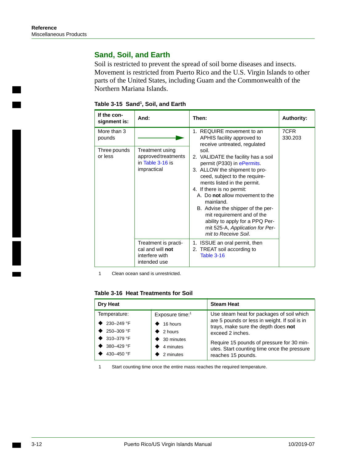# **Sand, Soil, and Earth**

Soil is restricted to prevent the spread of soil borne diseases and insects. Movement is restricted from Puerto Rico and the U.S. Virgin Islands to other parts of the United States, including Guam and the Commonwealth of the Northern Mariana Islands.

|  |  | Table 3-15 Sand <sup>1</sup> , Soil, and Earth |
|--|--|------------------------------------------------|
|--|--|------------------------------------------------|

| If the con-<br>signment is:                      | And:                                                                       | Then:                                                                                                                                                                                                                                                                                                                                                                                                                                                                                                                | <b>Authority:</b> |
|--------------------------------------------------|----------------------------------------------------------------------------|----------------------------------------------------------------------------------------------------------------------------------------------------------------------------------------------------------------------------------------------------------------------------------------------------------------------------------------------------------------------------------------------------------------------------------------------------------------------------------------------------------------------|-------------------|
| More than 3<br>pounds<br>Three pounds<br>or less | Treatment using<br>approved treatments<br>in Table 3-16 is<br>impractical  | 1. REQUIRE movement to an<br>APHIS facility approved to<br>receive untreated, regulated<br>soil.<br>2. VALIDATE the facility has a soil<br>permit (P330) in ePermits.<br>3. ALLOW the shipment to pro-<br>ceed, subject to the require-<br>ments listed in the permit.<br>4. If there is no permit:<br>A. Do not allow movement to the<br>mainland.<br>B. Advise the shipper of the per-<br>mit requirement and of the<br>ability to apply for a PPQ Per-<br>mit 525-A, Application for Per-<br>mit to Receive Soil. | 7CFR<br>330.203   |
|                                                  | Treatment is practi-<br>cal and will not<br>interfere with<br>intended use | 1. ISSUE an oral permit, then<br>2. TREAT soil according to<br>Table 3-16                                                                                                                                                                                                                                                                                                                                                                                                                                            |                   |

1 Clean ocean sand is unrestricted.

#### <span id="page-37-0"></span>**Table 3-16 Heat Treatments for Soil**

| Dry Heat     |                             | <b>Steam Heat</b>                                                                    |
|--------------|-----------------------------|--------------------------------------------------------------------------------------|
| Temperature: | Exposure time: <sup>1</sup> | Use steam heat for packages of soil which                                            |
| 230-249 °F   | 16 hours                    | are 5 pounds or less in weight. If soil is in<br>trays, make sure the depth does not |
| 250-309 °F   | 2 hours                     | exceed 2 inches.                                                                     |
| 310-379 °F   | 30 minutes                  | Require 15 pounds of pressure for 30 min-                                            |
| 380-429 °F   | 4 minutes                   | utes. Start counting time once the pressure                                          |
| 430-450 °F   | 2 minutes                   | reaches 15 pounds.                                                                   |

1 Start counting time once the entire mass reaches the required temperature.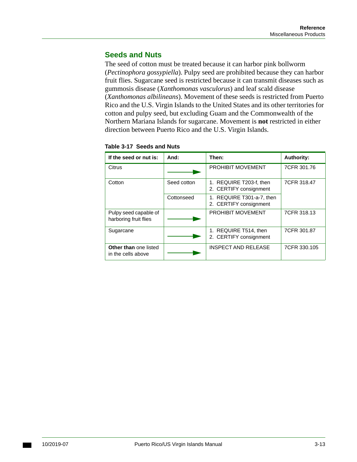# <span id="page-38-0"></span>**Seeds and Nuts**

The seed of cotton must be treated because it can harbor pink bollworm (*Pectinophora gossypiella*). Pulpy seed are prohibited because they can harbor fruit flies. Sugarcane seed is restricted because it can transmit diseases such as gummosis disease (*Xanthomonas vasculorus*) and leaf scald disease (*Xanthomonas albilineans*). Movement of these seeds is restricted from Puerto Rico and the U.S. Virgin Islands to the United States and its other territories for cotton and pulpy seed, but excluding Guam and the Commonwealth of the Northern Mariana Islands for sugarcane. Movement is **not** restricted in either direction between Puerto Rico and the U.S. Virgin Islands.

| If the seed or nut is:                         | And:        | Then:                                               | <b>Authority:</b> |
|------------------------------------------------|-------------|-----------------------------------------------------|-------------------|
| Citrus                                         |             | PROHIBIT MOVEMENT                                   | 7CFR 301.76       |
| Cotton                                         | Seed cotton | 1. REQUIRE T203-f, then<br>2. CERTIFY consignment   | 7CFR 318.47       |
|                                                | Cottonseed  | 1. REQUIRE T301-a-7, then<br>2. CERTIFY consignment |                   |
| Pulpy seed capable of<br>harboring fruit flies |             | PROHIBIT MOVEMENT                                   | 7CFR 318.13       |
| Sugarcane                                      |             | 1. REQUIRE T514, then<br>2. CERTIFY consignment     | 7CFR 301.87       |
| Other than one listed<br>in the cells above    |             | <b>INSPECT AND RELEASE</b>                          | 7CFR 330.105      |

**Table 3-17 Seeds and Nuts**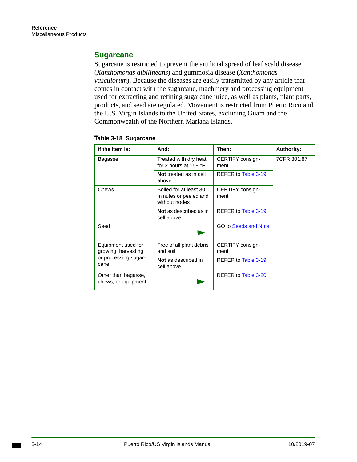# **Sugarcane**

Sugarcane is restricted to prevent the artificial spread of leaf scald disease (*Xanthomonas albilineans*) and gummosia disease (*Xanthomonas vasculorum*). Because the diseases are easily transmitted by any article that comes in contact with the sugarcane, machinery and processing equipment used for extracting and refining sugarcane juice, as well as plants, plant parts, products, and seed are regulated. Movement is restricted from Puerto Rico and the U.S. Virgin Islands to the United States, excluding Guam and the Commonwealth of the Northern Mariana Islands.

| If the item is:                            | And:                                                             | Then:                    | <b>Authority:</b> |
|--------------------------------------------|------------------------------------------------------------------|--------------------------|-------------------|
| Bagasse                                    | Treated with dry heat<br>for 2 hours at 158 $\degree$ F          | CERTIFY consign-<br>ment | 7CFR 301.87       |
|                                            | <b>Not</b> treated as in cell<br>above                           | REFER to Table 3-19      |                   |
| Chews                                      | Boiled for at least 30<br>minutes or peeled and<br>without nodes | CERTIFY consign-<br>ment |                   |
|                                            | <b>Not</b> as described as in<br>cell above                      | REFER to Table 3-19      |                   |
| Seed                                       |                                                                  | GO to Seeds and Nuts     |                   |
| Equipment used for<br>growing, harvesting, | Free of all plant debris<br>and soil                             | CERTIFY consign-<br>ment |                   |
| or processing sugar-<br>cane               | <b>Not</b> as described in<br>cell above                         | REFER to Table 3-19      |                   |
| Other than bagasse,<br>chews, or equipment |                                                                  | REFER to Table 3-20      |                   |

#### Table 3-18 Sugarcane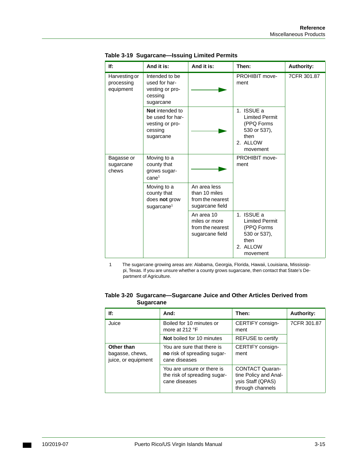| lf:                                      | And it is:                                                                     | And it is:                                                           | Then:                                                                                             | <b>Authority:</b> |
|------------------------------------------|--------------------------------------------------------------------------------|----------------------------------------------------------------------|---------------------------------------------------------------------------------------------------|-------------------|
| Harvesting or<br>processing<br>equipment | Intended to be<br>used for har-<br>vesting or pro-<br>cessing<br>sugarcane     |                                                                      | PROHIBIT move-<br>ment                                                                            | 7CFR 301.87       |
|                                          | Not intended to<br>be used for har-<br>vesting or pro-<br>cessing<br>sugarcane |                                                                      | 1. ISSUE a<br><b>Limited Permit</b><br>(PPQ Forms<br>530 or 537),<br>then<br>2. ALLOW<br>movement |                   |
| Bagasse or<br>sugarcane<br>chews         | Moving to a<br>county that<br>grows sugar-<br>cane <sup>1</sup>                |                                                                      | PROHIBIT move-<br>ment                                                                            |                   |
|                                          | Moving to a<br>county that<br>does not grow<br>sugarcane <sup>1</sup>          | An area less<br>than 10 miles<br>from the nearest<br>sugarcane field |                                                                                                   |                   |
|                                          |                                                                                | An area 10<br>miles or more<br>from the nearest<br>sugarcane field   | 1. ISSUE a<br><b>Limited Permit</b><br>(PPQ Forms<br>530 or 537).<br>then<br>2. ALLOW<br>movement |                   |

<span id="page-40-0"></span>

|  | Table 3-19 Sugarcane—Issuing Limited Permits |  |  |  |
|--|----------------------------------------------|--|--|--|
|--|----------------------------------------------|--|--|--|

<span id="page-40-2"></span> 1 The sugarcane growing areas are: Alabama, Georgia, Florida, Hawaii, Louisiana, Mississippi, Texas. If you are unsure whether a county grows sugarcane, then contact that State's Department of Agriculture.

| <b>Sugarcane</b>                                     |                                                                             |                                                                                          |                   |
|------------------------------------------------------|-----------------------------------------------------------------------------|------------------------------------------------------------------------------------------|-------------------|
| lf:                                                  | And:                                                                        | Then:                                                                                    | <b>Authority:</b> |
| Juice                                                | Boiled for 10 minutes or<br>more at 212 $\degree$ F                         | CERTIFY consign-<br>ment                                                                 | 7CFR 301.87       |
|                                                      | Not boiled for 10 minutes                                                   | <b>REFUSE</b> to certify                                                                 |                   |
| Other than<br>bagasse, chews,<br>juice, or equipment | You are sure that there is<br>no risk of spreading sugar-<br>cane diseases  | CERTIFY consign-<br>ment                                                                 |                   |
|                                                      | You are unsure or there is<br>the risk of spreading sugar-<br>cane diseases | <b>CONTACT Quaran-</b><br>tine Policy and Anal-<br>ysis Staff (QPAS)<br>through channels |                   |

#### <span id="page-40-1"></span> **Table 3-20 Sugarcane—Sugarcane Juice and Other Articles Derived from Sugarcane**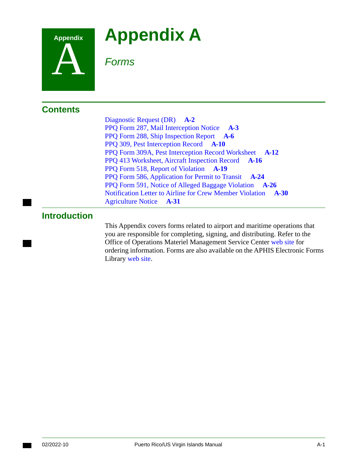

# A **Appendix A**

# *Forms*

| <b>Contents</b> |                                                               |
|-----------------|---------------------------------------------------------------|
|                 | Diagnostic Request (DR) A-2                                   |
|                 | PPQ Form 287, Mail Interception Notice A-3                    |
|                 | PPQ Form 288, Ship Inspection Report A-6                      |
|                 | PPQ 309, Pest Interception Record A-10                        |
|                 | PPQ Form 309A, Pest Interception Record Worksheet A-12        |
|                 | PPQ 413 Worksheet, Aircraft Inspection Record A-16            |
|                 | PPQ Form 518, Report of Violation A-19                        |
|                 | PPQ Form 586, Application for Permit to Transit A-24          |
|                 | PPQ Form 591, Notice of Alleged Baggage Violation A-26        |
|                 | Notification Letter to Airline for Crew Member Violation A-30 |
|                 | <b>Agriculture Notice A-31</b>                                |

This Appendix covers forms related to airport and maritime operations that you are responsible for completing, signing, and distributing. Refer to the Office of Operations Materiel Management Service Center [web site](https://www.bsc.usda.gov/) for ordering information. Forms are also available on the APHIS Electronic Forms Library [web site.](https://www.aphis.usda.gov/aphis/resources/forms)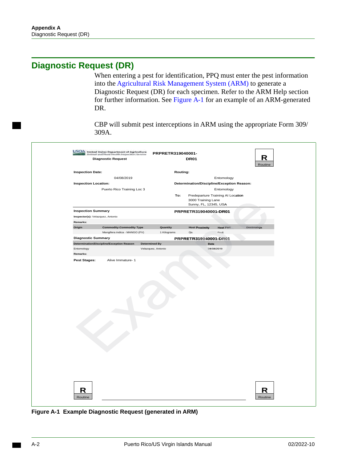# <span id="page-43-0"></span>**Diagnostic Request (DR)**

When entering a pest for identification, PPQ must enter the pest information into the [Agricultural Risk Management System \(ARM\)](https://arm.aphis.edc.usda.gov/) to generate a Diagnostic Request (DR) for each specimen. Refer to the ARM Help section for further information. See [Figure A-1](#page-43-1) for an example of an ARM-generated DR.

CBP will submit pest interceptions in ARM using the appropriate Form 309/ 309A.

|                                  | <b>ISDA</b> United States Department of Agriculture<br><b>Diagnostic Request</b> | PRPRETR319040001-    |          | DR01                                                                             |                  | R<br>Routine       |
|----------------------------------|----------------------------------------------------------------------------------|----------------------|----------|----------------------------------------------------------------------------------|------------------|--------------------|
| <b>Inspection Date:</b>          |                                                                                  |                      | Routing: |                                                                                  |                  |                    |
|                                  | 04/08/2019                                                                       |                      |          |                                                                                  | Entomology       |                    |
| <b>Inspection Location:</b>      |                                                                                  |                      |          | Determination/Discipline/Exception Reason:                                       |                  |                    |
|                                  | Puerto Rico Training Loc 3                                                       |                      |          |                                                                                  | Entomology       |                    |
|                                  |                                                                                  |                      | To:      | Predeparture Training AI Location<br>3000 Training Lane<br>Sunny, FL, 12345, USA |                  |                    |
| <b>Inspection Summary</b>        |                                                                                  |                      |          | PRPRETR319040001-DR01                                                            |                  |                    |
| Inspector(s): Velazquez, Antonio |                                                                                  |                      |          |                                                                                  |                  |                    |
| Remarks:                         |                                                                                  |                      |          |                                                                                  |                  |                    |
| Origin                           | <b>Commodity:Commodity Type</b>                                                  | Quantity             |          | <b>Host Proximity</b>                                                            | <b>Host Part</b> | <b>Destination</b> |
|                                  | Mangifera indica - MANGO (FV)                                                    | 1 Kilograms          |          | On                                                                               | Fruit            |                    |
| <b>Diagnostic Summary</b>        |                                                                                  |                      |          | PRPRETR319040001-DR01                                                            |                  |                    |
|                                  | Determination/Discipline/Exception Reason                                        | <b>Determined By</b> |          | Date                                                                             |                  |                    |
| Entomology<br>Remarks:           |                                                                                  | Velazquez, Antonio   |          |                                                                                  | 04/08/2019       |                    |
|                                  |                                                                                  |                      |          |                                                                                  |                  |                    |
|                                  |                                                                                  |                      |          |                                                                                  |                  |                    |

<span id="page-43-1"></span>**Figure A-1 Example Diagnostic Request (generated in ARM)**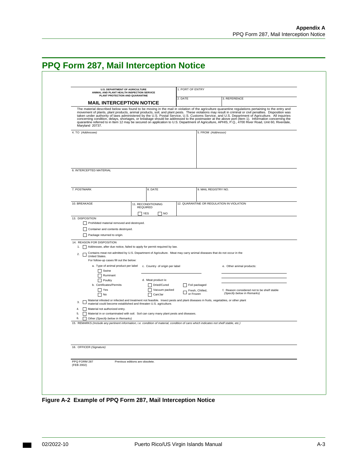<span id="page-44-0"></span>

| <b>U.S. DEPARTMENT OF AGRICULTURE</b><br>ANIMAL AND PLANT HEALTH INSPECTION SERVICE<br>PLANT PROTECTION AND QUARANTINE |                                                                                                                                                                                                      |         | 1. PORT OF ENTRY             |                                                                                                                                                                                                                                                                                                                                                                                                                                                                                                                                              |
|------------------------------------------------------------------------------------------------------------------------|------------------------------------------------------------------------------------------------------------------------------------------------------------------------------------------------------|---------|------------------------------|----------------------------------------------------------------------------------------------------------------------------------------------------------------------------------------------------------------------------------------------------------------------------------------------------------------------------------------------------------------------------------------------------------------------------------------------------------------------------------------------------------------------------------------------|
|                                                                                                                        | <b>MAIL INTERCEPTION NOTICE</b>                                                                                                                                                                      | 2. DATE |                              | 3. REFERENCE                                                                                                                                                                                                                                                                                                                                                                                                                                                                                                                                 |
| Maryland 20737.                                                                                                        |                                                                                                                                                                                                      |         |                              | The material described below was found to be moving in the mail in violation of the agriculture quarantine regulations pertaining to the entry and<br>movement of plants, plant products, animal products, soil, and plant pests. These violations may result in criminal or civil penalties. Disposition was taken under authority of laws administered by the U.S. Postal Service,<br>quarantine referred to in Item 12 may be secured on application to U.S. Department of Agriculture, APHIS, P.Q., 4700 River Road, Unit 60, Riverdale, |
| 4. TO (Addressee)                                                                                                      |                                                                                                                                                                                                      |         | 5. FROM (Addressor)          |                                                                                                                                                                                                                                                                                                                                                                                                                                                                                                                                              |
| 6. INTERCEPTED MATERIAL                                                                                                |                                                                                                                                                                                                      |         |                              |                                                                                                                                                                                                                                                                                                                                                                                                                                                                                                                                              |
|                                                                                                                        |                                                                                                                                                                                                      |         |                              |                                                                                                                                                                                                                                                                                                                                                                                                                                                                                                                                              |
|                                                                                                                        |                                                                                                                                                                                                      |         |                              |                                                                                                                                                                                                                                                                                                                                                                                                                                                                                                                                              |
| 7. POSTMARK                                                                                                            | 8. DATE                                                                                                                                                                                              |         | 9. MAIL REGISTRY NO.         |                                                                                                                                                                                                                                                                                                                                                                                                                                                                                                                                              |
| 10. BREAKAGE                                                                                                           | 11. RECONDITIONING<br><b>REQUIRED</b>                                                                                                                                                                |         |                              | 12. QUARANTINE OR REGULATION IN VIOLATION                                                                                                                                                                                                                                                                                                                                                                                                                                                                                                    |
| 13. DISPOSITION                                                                                                        | $\Box$ YES<br>    NO                                                                                                                                                                                 |         |                              |                                                                                                                                                                                                                                                                                                                                                                                                                                                                                                                                              |
|                                                                                                                        |                                                                                                                                                                                                      |         |                              |                                                                                                                                                                                                                                                                                                                                                                                                                                                                                                                                              |
| 14. REASON FOR DISPOSITION<br>2.<br>United States.<br>For follow-up cases fill out the below:                          | 1. Addressee, after due notice, failed to apply for permit required by law.<br>Contains meat not admitted by U.S. Department of Agriculture. Meat may carry animal diseases that do not occur in the |         |                              |                                                                                                                                                                                                                                                                                                                                                                                                                                                                                                                                              |
| a. Type of animal product per label<br>Swine                                                                           | c. Country of origin per label                                                                                                                                                                       |         |                              | e. Other animal products:                                                                                                                                                                                                                                                                                                                                                                                                                                                                                                                    |
| Ruminant<br>$\Box$ Poultry                                                                                             | d. Meat product is:                                                                                                                                                                                  |         |                              |                                                                                                                                                                                                                                                                                                                                                                                                                                                                                                                                              |
| b. Certificates/Permits<br>$\Box$ Yes                                                                                  | Dried/Cured<br>Vacuum packed                                                                                                                                                                         |         | Foil packaged                | f. Reason considered not to be shelf stable                                                                                                                                                                                                                                                                                                                                                                                                                                                                                                  |
| $\vert$ No                                                                                                             | Can/Jar                                                                                                                                                                                              |         | Fresh, Chilled,<br>or Frozen | (Specify below in Remarks)                                                                                                                                                                                                                                                                                                                                                                                                                                                                                                                   |
| 3.                                                                                                                     | Material infested or infected and treatment not feasible. Insect pests and plant diseases in fruits, vegetables, or other plant<br>material could become established and threaten U.S. agriculture.  |         |                              |                                                                                                                                                                                                                                                                                                                                                                                                                                                                                                                                              |
| Material not authorized entry.<br>4.                                                                                   |                                                                                                                                                                                                      |         |                              |                                                                                                                                                                                                                                                                                                                                                                                                                                                                                                                                              |
| 5.<br>6.<br>Other (Specify below in Remarks)                                                                           | Material in or contaminated with soil. Soil can carry many plant pests and diseases.                                                                                                                 |         |                              |                                                                                                                                                                                                                                                                                                                                                                                                                                                                                                                                              |
|                                                                                                                        | 15. REMARKS (Include any pertinent information, i.e. condition of material, condition of cans which indicates not shelf stable, etc.)                                                                |         |                              |                                                                                                                                                                                                                                                                                                                                                                                                                                                                                                                                              |
|                                                                                                                        |                                                                                                                                                                                                      |         |                              |                                                                                                                                                                                                                                                                                                                                                                                                                                                                                                                                              |
|                                                                                                                        |                                                                                                                                                                                                      |         |                              |                                                                                                                                                                                                                                                                                                                                                                                                                                                                                                                                              |
| 16. OFFICER (Signature)                                                                                                |                                                                                                                                                                                                      |         |                              |                                                                                                                                                                                                                                                                                                                                                                                                                                                                                                                                              |
|                                                                                                                        |                                                                                                                                                                                                      |         |                              |                                                                                                                                                                                                                                                                                                                                                                                                                                                                                                                                              |
| PPQ FORM 287<br>(FEB 2002)                                                                                             | Previous editions are obsolete.                                                                                                                                                                      |         |                              |                                                                                                                                                                                                                                                                                                                                                                                                                                                                                                                                              |

**Figure A-2 Example of PPQ Form 287, Mail Interception Notice**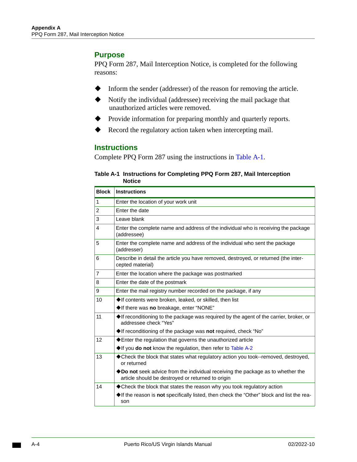# **Purpose**

PPQ Form 287, Mail Interception Notice, is completed for the following reasons:

- Inform the sender (addresser) of the reason for removing the article.
- Notify the individual (addressee) receiving the mail package that unauthorized articles were removed.
- Provide information for preparing monthly and quarterly reports.
- Record the regulatory action taken when intercepting mail.

### **Instructions**

Complete PPQ Form 287 using the instructions in [Table A-1](#page-45-0).

|                | <b>Notice</b>                                                                                                                         |
|----------------|---------------------------------------------------------------------------------------------------------------------------------------|
| <b>Block</b>   | <b>Instructions</b>                                                                                                                   |
| 1              | Enter the location of your work unit                                                                                                  |
| 2              | Enter the date                                                                                                                        |
| 3              | Leave blank                                                                                                                           |
| 4              | Enter the complete name and address of the individual who is receiving the package<br>(addressee)                                     |
| 5              | Enter the complete name and address of the individual who sent the package<br>(addresser)                                             |
| 6              | Describe in detail the article you have removed, destroyed, or returned (the inter-<br>cepted material)                               |
| $\overline{7}$ | Enter the location where the package was postmarked                                                                                   |
| 8              | Enter the date of the postmark                                                                                                        |
| 9              | Enter the mail registry number recorded on the package, if any                                                                        |
| 10             | ♦ If contents were broken, leaked, or skilled, then list                                                                              |
|                | ♦ If there was no breakage, enter "NONE"                                                                                              |
| 11             | If reconditioning to the package was required by the agent of the carrier, broker, or<br>addressee check "Yes"                        |
|                | ♦ If reconditioning of the package was not required, check "No"                                                                       |
| 12             | ♦ Enter the regulation that governs the unauthorized article                                                                          |
|                | ♦ If you do not know the regulation, then refer to Table A-2                                                                          |
| 13             | ◆ Check the block that states what regulatory action you took--removed, destroyed,<br>or returned                                     |
|                | ◆ Do not seek advice from the individual receiving the package as to whether the<br>article should be destroyed or returned to origin |
| 14             | ◆ Check the block that states the reason why you took regulatory action                                                               |
|                | ◆If the reason is not specifically listed, then check the "Other" block and list the rea-<br>son                                      |

<span id="page-45-0"></span>**Table A-1 Instructions for Completing PPQ Form 287, Mail Interception**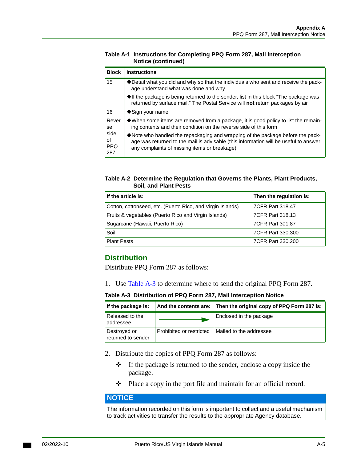| <b>Block</b>                    | <b>Instructions</b>                                                                                                                                                                                                                   |
|---------------------------------|---------------------------------------------------------------------------------------------------------------------------------------------------------------------------------------------------------------------------------------|
| 15                              | ◆ Detail what you did and why so that the individuals who sent and receive the pack-<br>age understand what was done and why                                                                                                          |
|                                 | •If the package is being returned to the sender, list in this block "The package was<br>returned by surface mail." The Postal Service will not return packages by air                                                                 |
| 16                              | $\blacklozenge$ Sign your name                                                                                                                                                                                                        |
| Rever<br>se                     | ◆When some items are removed from a package, it is good policy to list the remain-<br>ing contents and their condition on the reverse side of this form                                                                               |
| side<br>οf<br><b>PPQ</b><br>287 | $\blacklozenge$ Note who handled the repackaging and wrapping of the package before the pack-<br>age was returned to the mail is advisable (this information will be useful to answer<br>any complaints of missing items or breakage) |

**Table A-1 Instructions for Completing PPQ Form 287, Mail Interception Notice (continued)** 

#### <span id="page-46-0"></span> **Table A-2 Determine the Regulation that Governs the Plants, Plant Products, Soil, and Plant Pests**

| If the article is:                                         | Then the regulation is: |
|------------------------------------------------------------|-------------------------|
| Cotton, cottonseed, etc. (Puerto Rico, and Virgin Islands) | 7CFR Part 318.47        |
| Fruits & vegetables (Puerto Rico and Virgin Islands)       | 7CFR Part 318.13        |
| Sugarcane (Hawaii, Puerto Rico)                            | 7CFR Part 301.87        |
| Soil                                                       | 7CFR Part 330.300       |
| <b>Plant Pests</b>                                         | 7CFR Part 330.200       |

# **Distribution**

Distribute PPQ Form 287 as follows:

1. Use [Table A-3](#page-46-1) to determine where to send the original PPQ Form 287.

<span id="page-46-1"></span>**Table A-3 Distribution of PPQ Form 287, Mail Interception Notice** 

| If the package is:                 |                          | And the contents are: Then the original copy of PPQ Form 287 is: |
|------------------------------------|--------------------------|------------------------------------------------------------------|
| Released to the<br>addressee       |                          | Enclosed in the package                                          |
| Destroyed or<br>returned to sender | Prohibited or restricted | Mailed to the addressee                                          |

- 2. Distribute the copies of PPQ Form 287 as follows:
	- If the package is returned to the sender, enclose a copy inside the package.
	- Place a copy in the port file and maintain for an official record.

### **NOTICE**

 to track activities to transfer the results to the appropriate Agency database. The information recorded on this form is important to collect and a useful mechanism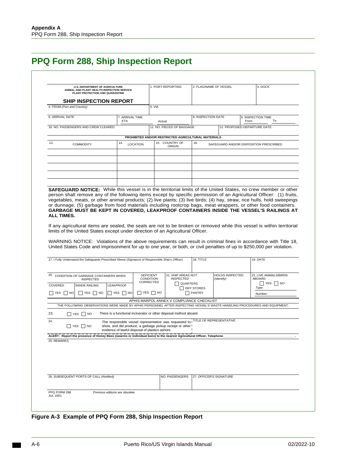# <span id="page-47-0"></span>**PPQ Form 288, Ship Inspection Report**

| <b>U.S. DEPARTMENT OF AGRICULTURE</b><br>ANIMAL AND PLANT HEALTH INSPECTION SERVICE<br>PLANT PROTECTION AND QUARANTINE<br><b>SHIP INSPECTION REPORT</b><br>4. FROM (Port and Country) |                                                                                                                     |                        |                                                                                                                                            | 1. PORT REPORTING<br>2. FLAG/NAME OF VESSEL |                    |                         | 3. DOCK                                                                                                                    |
|---------------------------------------------------------------------------------------------------------------------------------------------------------------------------------------|---------------------------------------------------------------------------------------------------------------------|------------------------|--------------------------------------------------------------------------------------------------------------------------------------------|---------------------------------------------|--------------------|-------------------------|----------------------------------------------------------------------------------------------------------------------------|
|                                                                                                                                                                                       |                                                                                                                     |                        |                                                                                                                                            |                                             |                    |                         |                                                                                                                            |
|                                                                                                                                                                                       |                                                                                                                     |                        | 5. VIA                                                                                                                                     |                                             |                    |                         |                                                                                                                            |
| 6. ARRIVAL DATE                                                                                                                                                                       |                                                                                                                     |                        |                                                                                                                                            |                                             |                    |                         |                                                                                                                            |
|                                                                                                                                                                                       |                                                                                                                     | 7. ARRIVAL TIME<br>ETA | Actual                                                                                                                                     |                                             | 8. INSPECTION DATE |                         | 9. INSPECTION TIME<br>To<br>From                                                                                           |
| 10. NO. PASSENGERS AND CREW CLEARED                                                                                                                                                   |                                                                                                                     |                        |                                                                                                                                            | 11. NO. PIECES OF BAGGAGE                   |                    |                         | 12. PROPOSED DEPARTURE DATE                                                                                                |
|                                                                                                                                                                                       |                                                                                                                     |                        | PROHIBITED AND/OR RESTRICTED AGRICULTURAL MATERIALS                                                                                        |                                             |                    |                         |                                                                                                                            |
| 13.                                                                                                                                                                                   | <b>COMMODITY</b>                                                                                                    | 14.                    | LOCATION                                                                                                                                   | 15. COUNTRY OF<br><b>ORIGIN</b>             | 16.                |                         | SAFEGUARD AND/OR DISPOSITION PRESCRIBED                                                                                    |
|                                                                                                                                                                                       |                                                                                                                     |                        |                                                                                                                                            |                                             |                    |                         |                                                                                                                            |
|                                                                                                                                                                                       |                                                                                                                     |                        |                                                                                                                                            |                                             |                    |                         |                                                                                                                            |
|                                                                                                                                                                                       |                                                                                                                     |                        |                                                                                                                                            |                                             |                    |                         |                                                                                                                            |
|                                                                                                                                                                                       |                                                                                                                     |                        |                                                                                                                                            |                                             |                    |                         |                                                                                                                            |
|                                                                                                                                                                                       |                                                                                                                     |                        |                                                                                                                                            |                                             |                    |                         |                                                                                                                            |
| <b>ALL TIMES.</b>                                                                                                                                                                     |                                                                                                                     |                        |                                                                                                                                            |                                             |                    |                         | GARBAGE MUST BE KEPT IN COVERED, LEAKPROOF CONTAINERS INSIDE THE VESSEL'S RAILINGS AT                                      |
|                                                                                                                                                                                       |                                                                                                                     |                        |                                                                                                                                            |                                             |                    |                         |                                                                                                                            |
|                                                                                                                                                                                       | limits of the United States except under direction of an Agricultural Officer.                                      |                        |                                                                                                                                            |                                             |                    |                         | If any agricultural items are sealed, the seals are not to be broken or removed while this vessel is within territorial    |
|                                                                                                                                                                                       |                                                                                                                     |                        |                                                                                                                                            |                                             |                    |                         |                                                                                                                            |
|                                                                                                                                                                                       |                                                                                                                     |                        |                                                                                                                                            |                                             |                    |                         | WARNING NOTICE: Violations of the above requirements can result in criminal fines in accordance with Title 18,             |
|                                                                                                                                                                                       |                                                                                                                     |                        |                                                                                                                                            |                                             |                    |                         | United States Code and imprisonment for up to one year, or both, or civil penalties of up to \$250,000 per violation.      |
|                                                                                                                                                                                       | 17. I Fully Understand the Safeguards Prescribed Above (Signature of Responsible Ship's Officer)                    |                        |                                                                                                                                            |                                             | 18. TITLE          |                         | 19. DATE                                                                                                                   |
|                                                                                                                                                                                       |                                                                                                                     |                        |                                                                                                                                            |                                             |                    |                         |                                                                                                                            |
|                                                                                                                                                                                       | CONDITION OF GARBAGE CONTAINERS WHEN                                                                                |                        | <b>DEFICIENT</b>                                                                                                                           | 21. SHIP AREAS NOT                          |                    | HOLDS INSPECTED         | 22. LIVE ANIMALS/BIRDS                                                                                                     |
|                                                                                                                                                                                       | <b>INSPECTED</b>                                                                                                    |                        | <b>CONDITION</b><br>CORRECTED                                                                                                              | <b>INSPECTED</b><br>QUARTERS                |                    | (Identify)              | ABOARD<br>$\Box$ Yes $\Box$ No                                                                                             |
|                                                                                                                                                                                       | <b>INSIDE RAILING</b>                                                                                               | LEAKPROOF              |                                                                                                                                            |                                             | DRY STORES         |                         | Type:                                                                                                                      |
| YES NO                                                                                                                                                                                | $\top$ YES $\top$ NO                                                                                                | $\Box$ YES $\Box$ NO   | YES  NO                                                                                                                                    |                                             | <b>PANTRY</b>      |                         | Number:                                                                                                                    |
|                                                                                                                                                                                       |                                                                                                                     |                        | APHIS MARPOL ANNEX V COMPLIANCE CHECKLIST                                                                                                  |                                             |                    |                         | THE FOLLOWING OBSERVATIONS WERE MADE BY APHIS PERSONNEL AFTER INSPECTING VESSEL'S WASTE HANDLING PROCEDURES AND EQUIPMENT: |
|                                                                                                                                                                                       | $\Box$ YES $\Box$ NO                                                                                                |                        | There is a functional incinerator or other disposal method aboard.                                                                         |                                             |                    |                         |                                                                                                                            |
|                                                                                                                                                                                       |                                                                                                                     |                        |                                                                                                                                            |                                             |                    |                         |                                                                                                                            |
| 20.<br>COVERED<br>23.<br>24.                                                                                                                                                          | $\Box$ yes $\Box$ no                                                                                                |                        | The responsible vessel representative was requested to TITLE OF REPRESENTATIVE<br>show, and did produce, a garbage pickup receipt or other |                                             |                    |                         |                                                                                                                            |
|                                                                                                                                                                                       |                                                                                                                     |                        | evidence of lawful disposal of plastics ashore.                                                                                            |                                             |                    |                         |                                                                                                                            |
|                                                                                                                                                                                       | ALERT: Report the presence of Honey Bees (swarms or individual bees) to the nearest Agricultural Officer, Telephone |                        |                                                                                                                                            |                                             |                    |                         |                                                                                                                            |
|                                                                                                                                                                                       |                                                                                                                     |                        |                                                                                                                                            |                                             |                    |                         |                                                                                                                            |
|                                                                                                                                                                                       |                                                                                                                     |                        |                                                                                                                                            |                                             |                    |                         |                                                                                                                            |
|                                                                                                                                                                                       |                                                                                                                     |                        |                                                                                                                                            |                                             |                    |                         |                                                                                                                            |
|                                                                                                                                                                                       |                                                                                                                     |                        |                                                                                                                                            |                                             |                    |                         |                                                                                                                            |
|                                                                                                                                                                                       | 26. SUBSEQUENT PORTS OF CALL (Notified)                                                                             |                        |                                                                                                                                            | NO. PASSENGERS                              |                    | 27. OFFICER'S SIGNATURE |                                                                                                                            |
| 25. REMARKS                                                                                                                                                                           |                                                                                                                     |                        |                                                                                                                                            |                                             |                    |                         |                                                                                                                            |

**Figure A-3 Example of PPQ Form 288, Ship Inspection Report**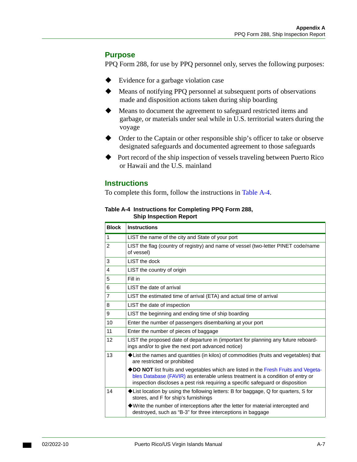### **Purpose**

PPQ Form 288, for use by PPQ personnel only, serves the following purposes:

- Evidence for a garbage violation case
- Means of notifying PPQ personnel at subsequent ports of observations made and disposition actions taken during ship boarding
- Means to document the agreement to safeguard restricted items and garbage, or materials under seal while in U.S. territorial waters during the voyage
- Order to the Captain or other responsible ship's officer to take or observe designated safeguards and documented agreement to those safeguards
- ◆ Port record of the ship inspection of vessels traveling between Puerto Rico or Hawaii and the U.S. mainland

# **Instructions**

To complete this form, follow the instructions in [Table A-4.](#page-48-0)

| <b>Block</b> | <b>Instructions</b>                                                                                                                                                                                                                                     |
|--------------|---------------------------------------------------------------------------------------------------------------------------------------------------------------------------------------------------------------------------------------------------------|
| 1            | LIST the name of the city and State of your port                                                                                                                                                                                                        |
| 2            | LIST the flag (country of registry) and name of vessel (two-letter PINET code/name<br>of vessel)                                                                                                                                                        |
| 3            | <b>LIST the dock</b>                                                                                                                                                                                                                                    |
| 4            | LIST the country of origin                                                                                                                                                                                                                              |
| 5            | Fill in                                                                                                                                                                                                                                                 |
| 6            | LIST the date of arrival                                                                                                                                                                                                                                |
| 7            | LIST the estimated time of arrival (ETA) and actual time of arrival                                                                                                                                                                                     |
| 8            | LIST the date of inspection                                                                                                                                                                                                                             |
| 9            | LIST the beginning and ending time of ship boarding                                                                                                                                                                                                     |
| 10           | Enter the number of passengers disembarking at your port                                                                                                                                                                                                |
| 11           | Enter the number of pieces of baggage                                                                                                                                                                                                                   |
| 12           | LIST the proposed date of departure in (important for planning any future reboard-<br>ings and/or to give the next port advanced notice)                                                                                                                |
| 13           | $\blacklozenge$ List the names and quantities (in kilos) of commodities (fruits and vegetables) that<br>are restricted or prohibited                                                                                                                    |
|              | ◆DO NOT list fruits and vegetables which are listed in the Fresh Fruits and Vegeta-<br>bles Database (FAVIR) as enterable unless treatment is a condition of entry or<br>inspection discloses a pest risk requiring a specific safeguard or disposition |
| 14           | $\blacklozenge$ List location by using the following letters: B for baggage, Q for quarters, S for<br>stores, and F for ship's furnishings                                                                                                              |
|              | $\blacklozenge$ Write the number of interceptions after the letter for material intercepted and<br>destroyed, such as "B-3" for three interceptions in baggage                                                                                          |

#### <span id="page-48-0"></span>**Table A-4 Instructions for Completing PPQ Form 288, Ship Inspection Report**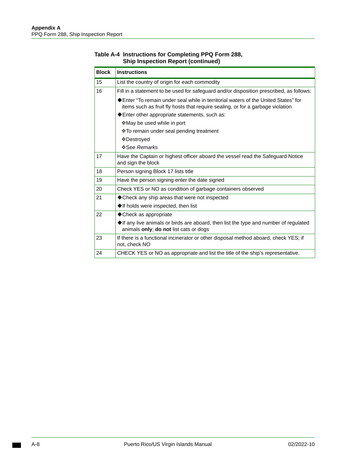| <b>Block</b> | <b>Instructions</b>                                                                                                                                                   |
|--------------|-----------------------------------------------------------------------------------------------------------------------------------------------------------------------|
| 15           | List the country of origin for each commodity                                                                                                                         |
| 16           | Fill in a statement to be used for safeguard and/or disposition prescribed, as follows:                                                                               |
|              | ♦ Enter "To remain under seal while in territorial waters of the United States" for<br>items such as fruit fly hosts that require sealing, or for a garbage violation |
|              | ♦ Enter other appropriate statements, such as:                                                                                                                        |
|              | ❖ May be used while in port                                                                                                                                           |
|              | ❖ To remain under seal pending treatment                                                                                                                              |
|              | ❖Destroyed                                                                                                                                                            |
|              | ❖ See Remarks                                                                                                                                                         |
| 17           | Have the Captain or highest officer aboard the vessel read the Safeguard Notice<br>and sign the block                                                                 |
| 18           | Person signing Block 17 lists title                                                                                                                                   |
| 19           | Have the person signing enter the date signed                                                                                                                         |
| 20           | Check YES or NO as condition of garbage containers observed                                                                                                           |
| 21           | ♦ Check any ship areas that were not inspected                                                                                                                        |
|              | ♦ If holds were inspected, then list                                                                                                                                  |
| 22           | ◆ Check as appropriate                                                                                                                                                |
|              | $\blacklozenge$ If any live animals or birds are aboard, then list the type and number of regulated<br>animals only; do not list cats or dogs                         |
| 23           | If there is a functional incinerator or other disposal method aboard, check YES; if<br>not, check NO                                                                  |
| 24           | CHECK YES or NO as appropriate and list the title of the ship's representative.                                                                                       |

### **Table A-4 Instructions for Completing PPQ Form 288, Ship Inspection Report (continued)**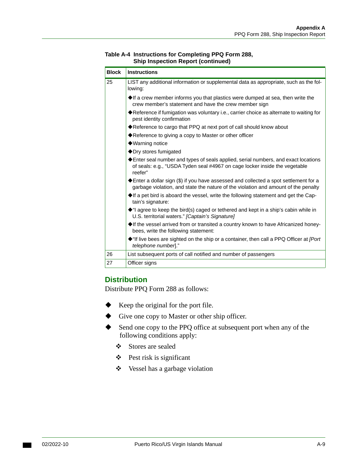| <b>Block</b> | <b>Instructions</b>                                                                                                                                                          |  |  |  |  |  |
|--------------|------------------------------------------------------------------------------------------------------------------------------------------------------------------------------|--|--|--|--|--|
| 25           | LIST any additional information or supplemental data as appropriate, such as the fol-<br>lowing:                                                                             |  |  |  |  |  |
|              | $\blacklozenge$ If a crew member informs you that plastics were dumped at sea, then write the<br>crew member's statement and have the crew member sign                       |  |  |  |  |  |
|              | ◆ Reference if fumigation was voluntary i.e., carrier choice as alternate to waiting for<br>pest identity confirmation                                                       |  |  |  |  |  |
|              | ◆ Reference to cargo that PPQ at next port of call should know about                                                                                                         |  |  |  |  |  |
|              | ◆ Reference to giving a copy to Master or other officer                                                                                                                      |  |  |  |  |  |
|              | ◆ Warning notice                                                                                                                                                             |  |  |  |  |  |
|              | ◆ Dry stores fumigated                                                                                                                                                       |  |  |  |  |  |
|              | ♦ Enter seal number and types of seals applied, serial numbers, and exact locations<br>of seals: e.g., "USDA Tyden seal #4967 on cage locker inside the vegetable<br>reefer" |  |  |  |  |  |
|              | ◆ Enter a dollar sign (\$) if you have assessed and collected a spot settlement for a<br>garbage violation, and state the nature of the violation and amount of the penalty  |  |  |  |  |  |
|              | $\blacklozenge$ If a pet bird is aboard the vessel, write the following statement and get the Cap-<br>tain's signature:                                                      |  |  |  |  |  |
|              | $\blacklozenge$ agree to keep the bird(s) caged or tethered and kept in a ship's cabin while in<br>U.S. territorial waters." [Captain's Signature]                           |  |  |  |  |  |
|              | ♦ If the vessel arrived from or transited a country known to have Africanized honey-<br>bees, write the following statement:                                                 |  |  |  |  |  |
|              | $\blacklozenge$ "If live bees are sighted on the ship or a container, then call a PPQ Officer at <i>[Port</i> ]<br>telephone number]."                                       |  |  |  |  |  |
| 26           | List subsequent ports of call notified and number of passengers                                                                                                              |  |  |  |  |  |
| 27           | Officer signs                                                                                                                                                                |  |  |  |  |  |

### **Table A-4 Instructions for Completing PPQ Form 288, Ship Inspection Report (continued)**

# **Distribution**

Distribute PPQ Form 288 as follows:

- $\blacklozenge$  Keep the original for the port file.
- Give one copy to Master or other ship officer.
- Send one copy to the PPQ office at subsequent port when any of the following conditions apply:
	- Stores are sealed
	- $\bullet$  Pest risk is significant
	- Vessel has a garbage violation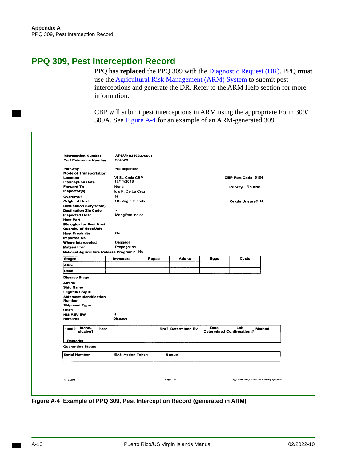# <span id="page-51-0"></span>**PPQ 309, Pest Interception Record**

PPQ has **replaced** the PPQ 309 with the [Diagnostic Request \(DR\).](#page-43-0) PPQ **must**  use the [Agricultural Risk Management \(ARM\) System](https://arm.aphis.edc.usda.gov/) to submit pest interceptions and generate the DR. Refer to the ARM Help section for more information.

CBP will submit pest interceptions in ARM using the appropriate Form 309/ 309A. See [Figure A-4](#page-51-1) for an example of an ARM-generated 309.

| <b>Interception Number</b><br><b>Port Reference Number</b>      | APSVI183468376001<br>264528    |       |                           |      |                                                   |
|-----------------------------------------------------------------|--------------------------------|-------|---------------------------|------|---------------------------------------------------|
| Pathway<br><b>Mode of Transportation</b>                        | Pre-departure                  |       |                           |      |                                                   |
| Location<br><b>Interception Date</b>                            | VI St. Croix CBP<br>12/11/2018 |       |                           |      | CBP Port Code 5104                                |
| <b>Forward To</b>                                               | None                           |       |                           |      | <b>Priority Routine</b>                           |
| Inspector(s)<br>Overtime?                                       | luis F. De La Cruz<br>N        |       |                           |      |                                                   |
| <b>Origin of Host</b>                                           | US Virgin Islands              |       |                           |      | Origin Unsure? N                                  |
| <b>Destination (City/State)</b><br><b>Destination Zip Code</b>  |                                |       |                           |      |                                                   |
| <b>Inspected Host</b><br><b>Host Part</b>                       | Mangifera indica               |       |                           |      |                                                   |
| <b>Biological or Pest Host</b><br><b>Quantity of Host/Unit</b>  |                                |       |                           |      |                                                   |
| <b>Host Proximity</b><br><b>Imported As</b>                     | On                             |       |                           |      |                                                   |
| Where Intercepted                                               | Baggage                        |       |                           |      |                                                   |
| <b>Material For</b><br>National Agriculture Release Program? No | Propagation                    |       |                           |      |                                                   |
| <b>Stages</b>                                                   | <b>Immature</b>                | Pupae | <b>Adults</b>             | Eggs | Cysts                                             |
| Alive                                                           |                                |       |                           |      |                                                   |
| Dead                                                            |                                |       |                           |      |                                                   |
| <b>Disease Stage</b>                                            |                                |       |                           |      |                                                   |
| <b>Airline</b><br><b>Ship Name</b>                              |                                |       |                           |      |                                                   |
| Flight #/ Ship #                                                |                                |       |                           |      |                                                   |
| <b>Shipment Identification</b><br>Number                        |                                |       |                           |      |                                                   |
| <b>Shipment Type</b><br>UDF1                                    |                                |       |                           |      |                                                   |
| <b>NIS REVIEW</b>                                               | N                              |       |                           |      |                                                   |
| <b>Remarks</b>                                                  | <b>Disease</b>                 |       |                           |      |                                                   |
| Incon-<br>Final?<br>Pest<br>clusive?                            |                                |       | <b>Rpt? Determined By</b> | Date | Lab<br>Method<br><b>Determined Confirmation #</b> |
|                                                                 |                                |       |                           |      |                                                   |
| Remarks                                                         |                                |       |                           |      |                                                   |
| <b>Quarantine Status</b>                                        |                                |       |                           |      |                                                   |
| <b>Serial Number</b>                                            | <b>EAN Action Taken</b>        |       | <b>Status</b>             |      |                                                   |
|                                                                 |                                |       |                           |      |                                                   |

<span id="page-51-1"></span>**Figure A-4 Example of PPQ 309, Pest Interception Record (generated in ARM)**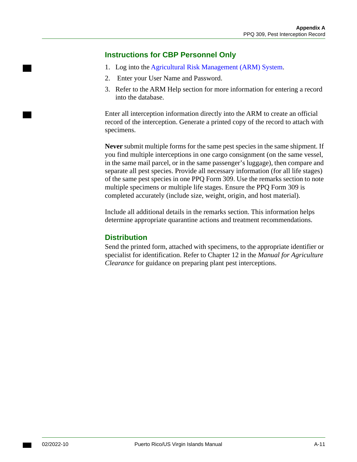# **Instructions for CBP Personnel Only**

- 1. Log into the [Agricultural Risk Management \(ARM\) System.](https://arm.aphis.edc.usda.gov/)
- 2. Enter your User Name and Password.
- 3. Refer to the ARM Help section for more information for entering a record into the database.

Enter all interception information directly into the ARM to create an official record of the interception. Generate a printed copy of the record to attach with specimens.

**Never** submit multiple forms for the same pest species in the same shipment. If you find multiple interceptions in one cargo consignment (on the same vessel, in the same mail parcel, or in the same passenger's luggage), then compare and separate all pest species. Provide all necessary information (for all life stages) of the same pest species in one PPQ Form 309. Use the remarks section to note multiple specimens or multiple life stages. Ensure the PPQ Form 309 is completed accurately (include size, weight, origin, and host material).

Include all additional details in the remarks section. This information helps determine appropriate quarantine actions and treatment recommendations.

# **Distribution**

Send the printed form, attached with specimens, to the appropriate identifier or specialist for identification. Refer to Chapter 12 in the *Manual for Agriculture Clearance* for guidance on preparing plant pest interceptions.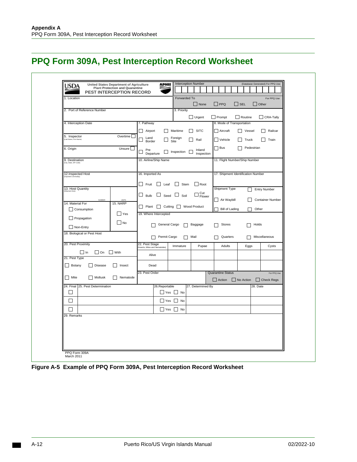$\Gamma$ 

# <span id="page-53-0"></span>**PPQ Form 309A, Pest Interception Record Worksheet**

| 2. Port of Reference Number                                                  |                                                        | 3. Priority             | $\Box$ None<br>$\Box$ Urgent | $\Box$ PPQ<br>$\Box$ Prompt           | $\Box$ SEL<br>Routine | $\Box$ Other<br>CRA-Tally        |
|------------------------------------------------------------------------------|--------------------------------------------------------|-------------------------|------------------------------|---------------------------------------|-----------------------|----------------------------------|
| 4. Interception Date                                                         | 7. Pathway<br>Airport                                  | Maritime                | $\Box$ SITC                  | 8. Mode of Transportation<br>Aircraft | $\Box$ Vessel         | Railcar                          |
| 5. Inspector<br>Overtime                                                     | Land<br>⊔<br>Border                                    | Foreign<br>Site         | Rail                         | Vehicle                               | Truck                 | Train                            |
| 6. Origin<br>Unsure L                                                        | Pre<br>⊔<br>Departure                                  | Inspection<br>⊔         | Inland<br>Inspection         | $\Box$ Bus                            | Pedestrian            |                                  |
| 9. Destination                                                               | 10. Airline/Ship Name                                  |                         |                              | 11. Flight Number/Ship Number         |                       |                                  |
| 12.Inspected Host                                                            | 16. Imported As                                        |                         | Root                         | 17. Shipment Identification Number    |                       |                                  |
| 13. Host Quantity                                                            | $\Box$ Fruit<br>$\Box$ Bulb<br>$\Box$ Seed $\Box$ Soil | $\Box$ Leaf $\Box$ Stem | $\Box$ Cut<br>Flower         | <b>Shipment Type</b>                  |                       | <b>Entry Number</b>              |
| NUMBER<br><b>INITS</b><br>14. Material For<br>15. NARP<br>$\Box$ Consumption | □ Plant Cutting Vood Product                           |                         |                              | Air Waybill<br><b>Bill of Lading</b>  |                       | <b>Container Number</b><br>Other |
| $\Box$ Yes<br>$\Box$ Propagation<br>$\Box$ No                                | 19. Where Intercepted<br>General Cargo<br>$\Box$       |                         | □ Baggage                    | Stores<br>$\Box$                      | $\Box$ Holds          |                                  |
| Non-Entry<br>18. Biological or Pest Host                                     | Permit Cargo<br>П                                      | $\Box$ Mail             |                              | Quarters                              | П                     | Miscellaneous                    |
| 20. Pest Proximity                                                           | 22. Pest Stage<br>Insects, Mites and Ne                | Immature                | Pupae                        | Adults                                | Eggs                  | Cysts                            |
| $\Box$ On $\Box$ With<br>$\Box$ In<br>21. Pest Type                          | Alive                                                  |                         |                              |                                       |                       |                                  |
| Botany<br>Disease<br>  Insect                                                | Dead<br>23. Pest Order                                 |                         |                              | <b>Quarantine Status</b>              |                       | For PPQ Use                      |
| $\Box$ Mollusk<br>□ Mite<br>Nematode                                         |                                                        |                         |                              | Action                                | $\Box$ No Action      | Check Regs                       |
| 24. Final 25. Pest Determination<br>$\mathsf{L}$                             | 26.Reportable<br>  Yes   No                            |                         | 27. Determined By            |                                       | 28. Date              |                                  |
|                                                                              |                                                        | $\Box$ Yes $\Box$ No    |                              |                                       |                       |                                  |
| П                                                                            |                                                        |                         |                              |                                       |                       |                                  |

**Figure A-5 Example of PPQ Form 309A, Pest Interception Record Worksheet**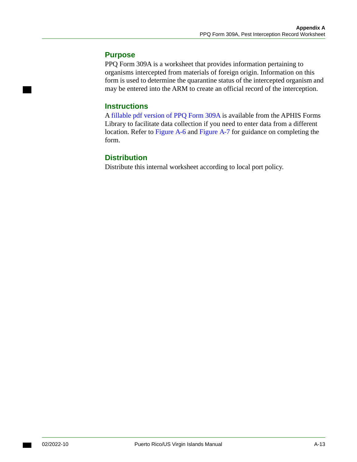# **Purpose**

PPQ Form 309A is a worksheet that provides information pertaining to organisms intercepted from materials of foreign origin. Information on this form is used to determine the quarantine status of the intercepted organism and may be entered into the ARM to create an official record of the interception.

### **Instructions**

A [fillable pdf version of PPQ Form 309A](http://www.aphis.usda.gov/library/forms/pdf/PPQ309.pdf) is available from the APHIS Forms Library to facilitate data collection if you need to enter data from a different location. Refer to [Figure A-6](#page-55-0) and [Figure A-7](#page-56-0) for guidance on completing the form.

# **Distribution**

Distribute this internal worksheet according to local port policy.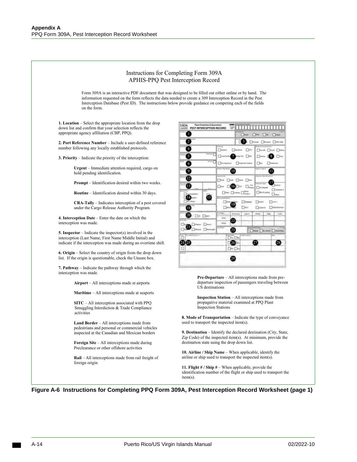<span id="page-55-0"></span>

| Instructions for Completing Form 309A<br>APHIS-PPQ Pest Interception Record                                                                                                                                                                                                                                                                         |                  |                                                                                                                                                                                                                                                |                                              |  |
|-----------------------------------------------------------------------------------------------------------------------------------------------------------------------------------------------------------------------------------------------------------------------------------------------------------------------------------------------------|------------------|------------------------------------------------------------------------------------------------------------------------------------------------------------------------------------------------------------------------------------------------|----------------------------------------------|--|
| Form 309A is an interactive PDF document that was designed to be filled out either online or by hand. The<br>information requested on the form reflects the data needed to create a 309 Interception Record in the Pest<br>Interception Database (Pest ID). The instructions below provide guidance on competing each of the fields<br>on the form. |                  |                                                                                                                                                                                                                                                |                                              |  |
| <b>1. Location</b> – Select the appropriate location from the drop<br>down list and confirm that your selection reflects the<br>appropriate agency affiliation (CBP, PPQ).                                                                                                                                                                          | <b>USDA</b><br>o | <b>Plant Freterlien &amp; Quartertive</b><br>PEST INTERCEPTION RECORD                                                                                                                                                                          | <b>BROSSESERVERES</b><br>Dane Det Dit. Ditte |  |
| 2. Port Reference Number – Include a user-defined reference<br>number following any locally established protocols.                                                                                                                                                                                                                                  | ❸<br>O           | Ð<br>□∾                                                                                                                                                                                                                                        | Draws Disane Classis                         |  |
| <b>3. Priority</b> – Indicate the priority of the interception:                                                                                                                                                                                                                                                                                     | €<br>Ø           |                                                                                                                                                                                                                                                | $\Box$ liet                                  |  |
| <b>Urgent</b> – Immediate attention required, cargo on<br>hold pending identification.                                                                                                                                                                                                                                                              | Ø<br>⊕           | ⅏                                                                                                                                                                                                                                              | œ                                            |  |
| <b>Prompt</b> – Identification desired within two weeks.                                                                                                                                                                                                                                                                                            | ⊕                | Det Dan Det                                                                                                                                                                                                                                    | П×                                           |  |
| <b>Routine</b> – Identification desired within 30 days.                                                                                                                                                                                                                                                                                             | O                | ⊕                                                                                                                                                                                                                                              | <b>Close</b>                                 |  |
| <b>CRA-Tally</b> – Indicates interception of a pest covered<br>under the Cargo Release Authority Program.                                                                                                                                                                                                                                           | ❶                |                                                                                                                                                                                                                                                |                                              |  |
| 4. Interception Date – Enter the date on which the<br>interception was made.                                                                                                                                                                                                                                                                        | $\bullet$ define | <b>Gray</b><br>22<br>D                                                                                                                                                                                                                         |                                              |  |
| <b>5.</b> Inspector – Indicate the inspector(s) involved in the<br>interception (Last Name, First Name Middle Initial) and<br>indicate if the interception was made during an overtime shift.                                                                                                                                                       |                  | ◉<br>$D = D +$<br>∹®ם                                                                                                                                                                                                                          | Dean Distance Directors<br>⊕<br>❸            |  |
| <b>6. Origin</b> – Select the country of origin from the drop down<br>list. If the origin is questionable, check the Unsure box.                                                                                                                                                                                                                    |                  | <b>DHOW</b><br>œ                                                                                                                                                                                                                               |                                              |  |
| <b>7. Pathway</b> – Indicate the pathway through which the<br>interception was made.                                                                                                                                                                                                                                                                |                  |                                                                                                                                                                                                                                                |                                              |  |
| $Airport - All$ interceptions made at airports                                                                                                                                                                                                                                                                                                      |                  | <b>Pre-Departure</b> $-$ All interceptions made from pre-<br>departure inspection of passengers traveling between<br>US destinations                                                                                                           |                                              |  |
| <b>Maritime</b> – All interceptions made at seaports                                                                                                                                                                                                                                                                                                |                  | <b>Inspection Station</b> – All interceptions made from                                                                                                                                                                                        |                                              |  |
| $SITC - All$ interception associated with PPQ<br>Smuggling Interdiction & Trade Compliance<br>activities                                                                                                                                                                                                                                            |                  | propagative material examined at PPQ Plant<br><b>Inspection Stations</b>                                                                                                                                                                       |                                              |  |
| <b>Land Border</b> $-$ All interceptions made from<br>pedestrians and personal or commercial vehicles<br>inspected at the Canadian and Mexican borders                                                                                                                                                                                              |                  | 8. Mode of Transportation – Indicate the type of conveyance<br>used to transport the inspected item(s).<br>9. Destination – Identify the declared destination (City, State,<br>Zip Code) of the inspected item $(s)$ . At minimum, provide the |                                              |  |
| <b>Foreign Site</b> $-$ All interceptions made during<br>Preclearance or other offshore activities                                                                                                                                                                                                                                                  |                  | destination state using the drop down list.<br><b>10. Airline</b> / <b>Ship Name</b> – When applicable, identify the                                                                                                                           |                                              |  |
| <b>Rail</b> – All interceptions made from rail freight of<br>foreign origin                                                                                                                                                                                                                                                                         |                  | airline or ship used to transport the inspected item(s).                                                                                                                                                                                       |                                              |  |
|                                                                                                                                                                                                                                                                                                                                                     | $item(s)$ .      | 11. Flight $\#$ / Ship $\#$ – When applicable, provide the<br>identification number of the flight or ship used to transport the                                                                                                                |                                              |  |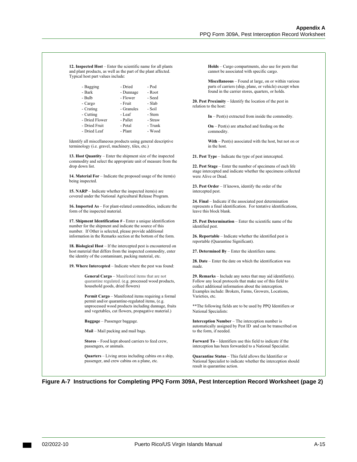**12. Inspected Host** – Enter the scientific name for all plants **Holds** – Cargo compartments, also use for pests that and plant products, as well as the part of the plant affected. cannot be associated with specific cargo. and plant products, as well as the part of the plant affected. Typical host part values include:

| - Bagging      | - Dried    | - Pod   |
|----------------|------------|---------|
| - Bark         | - Dunnage  | - Root  |
| - Bulb         | - Flower   | - Seed  |
| - Cargo        | - Fruit    | - Slab  |
| - Crating      | - Granules | - Soil  |
| - Cutting      | - Leaf     | - Stem  |
| - Dried Flower | - Pallet   | - Straw |
| - Dried Fruit  | - Petal    | - Trunk |
| - Dried Leaf   | - Plant    | - Wood  |

Identify all miscellaneous products using general descriptive **With** – Pest(s) associated with the host, but not on or terminology (i.e. gravel, machinery, tiles, etc.) in the host.

**13. Host Quantity** – Enter the shipment size of the inspected **21. Pest Type** – Indicate the type of pest intercepted. commodity and select the appropriate unit of measure from the

**14. Material For** – Indicate the proposed usage of the item(s) being inspected.

**15. NARP** – Indicate whether the inspected item(s) are covered under the National Agricultural Release Program.

**16. Imported As** – For plant-related commodities, indicate the represents a final identification. For the inspected material form of the inspected material.

**17. Shipment Identification # -** Enter a unique identification **25. Pest Determination** – Enter the scientific name of the number for the shipment and indicate the source of this identified pest. number for the shipment and indicate the source of this number. If Other is selected, please provide additional information in the Remarks section at the bottom of the form. **26. Reportable** – Indicate whether the identified pest is

18. Biological Host – If the intercepted pest is encountered on host material that differs from the inspected commodity, enter **27. Determined By** – Enter the identifiers name. the identity of the contaminant, packing material, etc.

**19. Where Intercepted** – Indicate where the pest was found: made.

**Permit Cargo** – Manifested items requiring a formal permit and/or quarantine-regulated items, (e.g. and vegetables, cut flowers, propagative material.)

**Mail** – Mail packing and mail bags.

**Quarters** – Living areas including cabins on a ship, **Quarantine Status** – This field allows the Identifier or

**Miscellaneous** – Found at large, on or within various parts of carriers (ship, plane, or vehicle) except when found in the carrier stores, quarters, or holds.

**20. Pest Proximity** – Identify the location of the pest in relation to the host:

 $In - Pest(s)$  extracted from inside the commodity.

 $On - Pest(s)$  are attached and feeding on the commodity.

22. Pest Stage – Enter the number of specimens of each life stage intercepted and indicate whether the specimens collected

**23. Pest Order** – If known, identify the order of the

24. Final – Indicate if the associated pest determination represents a final identification. For tentative identifications,

reportable (Quarantine Significant).

**28. Date** – Enter the date on which the identification was

**General Cargo** – Manifested items that are not **29. Remarks** – Include any notes that may aid identifier(s). quarantine regulated. (e.g. processed wood products, Follow any local protocols that make use of this field to quarantine regulated. (e.g. processed wood products, Follow any local protocols that make use of this field to<br>household goods, dried flowers) collect additional information about the interception. collect additional information about the interception. Examples include: Brokers, Farms, Growers, Locations,

unprocessed wood products including dunnage, fruits \*\*The following fields are to be used by PPQ Identifiers or and vegetables, cut flowers, propagative material.) National Specialists:

**Baggage** – Passenger baggage. **Interception Number** – The interception number is automatically assigned by Pest ID and can be transcribed on

**Stores** – Food kept aboard carriers to feed crew, **Forward To** – Identifiers use this field to indicate if the passengers, or animals. interception has been forwarded to a National Specialist.

passenger, and crew cabins on a plane, etc. National Specialist to indicate whether the interception should result in quarantine action.

<span id="page-56-0"></span>**Figure A-7 Instructions for Completing PPQ Form 309A, Pest Interception Record Worksheet (page 2)**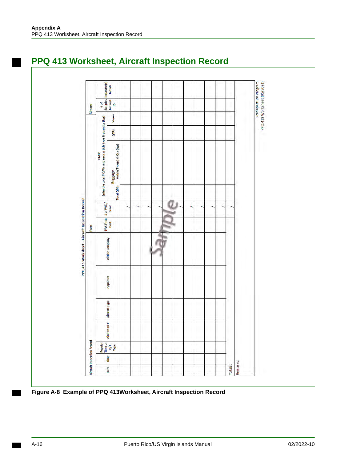

# <span id="page-57-0"></span>**PPQ 413 Worksheet, Aircraft Inspection Record**

**Figure A-8 Example of PPQ 413Worksheet, Aircraft Inspection Record**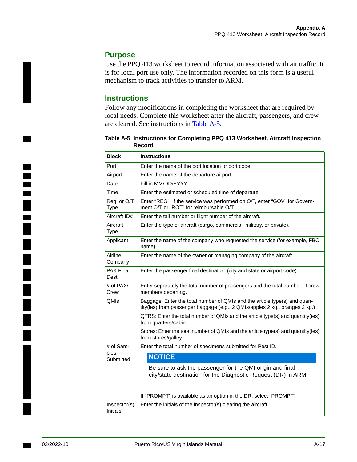# **Purpose**

Use the PPQ 413 worksheet to record information associated with air traffic. It is for local port use only. The information recorded on this form is a useful mechanism to track activities to transfer to ARM.

### **Instructions**

Follow any modifications in completing the worksheet that are required by local needs. Complete this worksheet after the aircraft, passengers, and crew are cleared. See instructions in [Table A-5](#page-58-0).

<span id="page-58-0"></span>**Table A-5 Instructions for Completing PPQ 413 Worksheet, Aircraft Inspection Record** 

| <b>Block</b>               | <b>Instructions</b>                                                                                                                                      |  |  |  |  |  |
|----------------------------|----------------------------------------------------------------------------------------------------------------------------------------------------------|--|--|--|--|--|
| Port                       | Enter the name of the port location or port code.                                                                                                        |  |  |  |  |  |
| Airport                    | Enter the name of the departure airport.                                                                                                                 |  |  |  |  |  |
| Date                       | Fill in MM/DD/YYYY.                                                                                                                                      |  |  |  |  |  |
| Time                       | Enter the estimated or scheduled time of departure.                                                                                                      |  |  |  |  |  |
| Reg. or O/T<br><b>Type</b> | Enter "REG". If the service was performed on O/T, enter "GOV" for Govern-<br>ment O/T or "ROT" for reimbursable O/T.                                     |  |  |  |  |  |
| Aircraft ID#               | Enter the tail number or flight number of the aircraft.                                                                                                  |  |  |  |  |  |
| Aircraft<br><b>Type</b>    | Enter the type of aircraft (cargo, commercial, military, or private).                                                                                    |  |  |  |  |  |
| Applicant                  | Enter the name of the company who requested the service (for example, FBO<br>name).                                                                      |  |  |  |  |  |
| Airline<br>Company         | Enter the name of the owner or managing company of the aircraft.                                                                                         |  |  |  |  |  |
| <b>PAX Final</b><br>Dest   | Enter the passenger final destination (city and state or airport code).                                                                                  |  |  |  |  |  |
| # of PAX/<br>Crew          | Enter separately the total number of passengers and the total number of crew<br>members departing.                                                       |  |  |  |  |  |
| QMIs                       | Baggage: Enter the total number of QMIs and the article type(s) and quan-<br>tity(ies) from passenger baggage (e.g., 2 QMIs/apples 2 kg., oranges 2 kg.) |  |  |  |  |  |
|                            | QTRS: Enter the total number of QMIs and the article type(s) and quantity(ies)<br>from quarters/cabin.                                                   |  |  |  |  |  |
|                            | Stores: Enter the total number of QMIs and the article type(s) and quantity(ies)<br>from stores/galley.                                                  |  |  |  |  |  |
| # of Sam-                  | Enter the total number of specimens submitted for Pest ID.                                                                                               |  |  |  |  |  |
| ples<br>Submitted          | <b>NOTICE</b>                                                                                                                                            |  |  |  |  |  |
|                            | Be sure to ask the passenger for the QMI origin and final<br>city/state destination for the Diagnostic Request (DR) in ARM.                              |  |  |  |  |  |
|                            | If "PROMPT" is available as an option in the DR, select "PROMPT".                                                                                        |  |  |  |  |  |
| Inspector(s)<br>Initials   | Enter the initials of the inspector(s) clearing the aircraft.                                                                                            |  |  |  |  |  |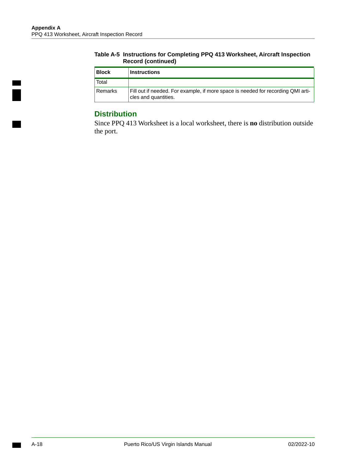### **Table A-5 Instructions for Completing PPQ 413 Worksheet, Aircraft Inspection Record (continued)**

| <b>Block</b> | <b>Instructions</b>                                                                                      |
|--------------|----------------------------------------------------------------------------------------------------------|
| Total        |                                                                                                          |
| Remarks      | Fill out if needed. For example, if more space is needed for recording QMI arti-<br>cles and quantities. |

# **Distribution**

Since PPQ 413 Worksheet is a local worksheet, there is **no** distribution outside the port.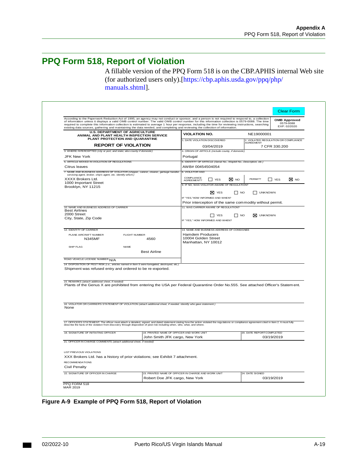# <span id="page-60-0"></span>**PPQ Form 518, Report of Violation**

A fillable version of the PPQ Form 518 is on the CBP.APHIS internal Web site (for authorized users only).[[https://cbp.aphis.usda.gov/ppq/php/](https://cbp.aphis.usda.gov/ppq/php/manuals.shtml)  [manuals.shtml\]](https://cbp.aphis.usda.gov/ppq/php/manuals.shtml).

| of information unless it displays a valid OMB control number. The valid OMB control number for this information collection is 0579-0088. The time<br>required to complete this information collection is estimated to average 1 hour per response, including the time for reviewing instructions, searching<br>existing data sources, gathering and maintaining the data needed, and completing and reviewing the collection of information.                |                                              | According to the Paperwork Reduction Act of 1995, an agency may not conduct or sponsor, and a person is not required to respond to, a collection | <b>OMB Approved</b><br>0579-0088<br>EXP: 02/2020         |  |
|-------------------------------------------------------------------------------------------------------------------------------------------------------------------------------------------------------------------------------------------------------------------------------------------------------------------------------------------------------------------------------------------------------------------------------------------------------------|----------------------------------------------|--------------------------------------------------------------------------------------------------------------------------------------------------|----------------------------------------------------------|--|
| <b>U.S. DEPARTMENT OF AGRICULTURE</b><br>ANIMAL AND PLANT HEALTH INSPECTION SERVICE                                                                                                                                                                                                                                                                                                                                                                         |                                              | <b>VIOLATION NO.</b>                                                                                                                             | NE19000001                                               |  |
| PLANT PROTECTION AND QUARANTINE<br><b>REPORT OF VIOLATION</b>                                                                                                                                                                                                                                                                                                                                                                                               |                                              | 1. DATE VIOLATION DISCOVERED                                                                                                                     | 2. VIOLATED REGULATION OR COMPLIANCE<br><b>AGREEMENT</b> |  |
| 3. WHERE INTERCEPTED (city or port, and state; also county if domestic)                                                                                                                                                                                                                                                                                                                                                                                     |                                              | 03/04/2019<br>7 CFR 330.200<br>4. ORIGIN OF ARTICLE (include county, if domestic)                                                                |                                                          |  |
| <b>JFK New York</b>                                                                                                                                                                                                                                                                                                                                                                                                                                         |                                              | Portugal                                                                                                                                         |                                                          |  |
| 5. ARTICLE MOVED IN VIOLATION OF REGULATIONS                                                                                                                                                                                                                                                                                                                                                                                                                |                                              | 6. IDENTITY OF ARTICLE (Serial No., Waybill No., Description, etc.)                                                                              |                                                          |  |
| Citrus leaves                                                                                                                                                                                                                                                                                                                                                                                                                                               |                                              | AWB# 00454504054<br>8. VIOLATOR HAD                                                                                                              |                                                          |  |
| 7. NAME AND BUSINESS ADDRESS OF VIOLATOR (shipper, caterer, cleaner, garbage handler<br>servicing agent, broker, ship's agent, etc. Identify which.)<br>XXXX Brokers Ltd.<br>1000 Important Street<br>Brooklyn, NY 11215                                                                                                                                                                                                                                    |                                              | COMPLIANCE<br>AGREEMENT?<br><b>X</b> NO<br>$\Box$ YES<br>3. IF NO, WAS VIOLATOR AWARE OF REGULATION?<br><b>X</b> YES<br>$\Box$ NO                | PERMIT?<br>$\Box$ YES<br>$\boxtimes$ NO<br>UNKNOWN       |  |
|                                                                                                                                                                                                                                                                                                                                                                                                                                                             |                                              | IF "YES."HOW INFORMED AND WHEN?                                                                                                                  |                                                          |  |
|                                                                                                                                                                                                                                                                                                                                                                                                                                                             |                                              | Prior interception of the same commodity without permit.                                                                                         |                                                          |  |
| 10. NAME AND BUSINESS ADDRESS OF CARRIER<br><b>Best Airlines</b><br>2000 Street<br>City, State, Zip Code                                                                                                                                                                                                                                                                                                                                                    |                                              | 11. WAS CARRIER AWARE OF REGULATION?<br>$\Box$ YES<br>$\Box$ NO<br>IF "YES," HOW INFORMED AND WHEN?                                              | X UNKNOWN                                                |  |
|                                                                                                                                                                                                                                                                                                                                                                                                                                                             |                                              |                                                                                                                                                  |                                                          |  |
| 12. IDENTITY OF CARRIER<br>PLANE AIRCRAFT NUMBER<br><b>N345MF</b><br>SHIP FLAG<br><b>NAME</b>                                                                                                                                                                                                                                                                                                                                                               | FLIGHT NUMBER<br>4560<br><b>Best Airline</b> | 13. NAME AND BUSINESS ADDRESS OF CONSIGNEE<br>Hamdem Producers<br>10004 Golden Street<br>Manhattan, NY 10012                                     |                                                          |  |
| ROAD VEHICLE LICENSE NUMBER N/A                                                                                                                                                                                                                                                                                                                                                                                                                             |                                              |                                                                                                                                                  |                                                          |  |
| Shipment was refused entry and ordered to be re-exported.<br>15. REMARKS (attach additional sheet, if needed)<br>Plants of the Genus X are prohibited from entering the USA per Federal Quarantine Order No.555. See attached Officer's Statement.                                                                                                                                                                                                          |                                              |                                                                                                                                                  |                                                          |  |
| 16. VIOLATOR OR CARRIER'S STATEMENT OF VIOLATION (attach additional sheet, if needed. Identify who gave statement.)<br>None<br>17. OFFICER'S STATEMENT: The officer must attach a detailed, signed, and dated statement stating how the action violated the regulations or compliance agreement cited in Item 2. It must fully<br>describe the facts of the violation from discovery through disposition of pest risk including when, who, what, and where. |                                              |                                                                                                                                                  |                                                          |  |
|                                                                                                                                                                                                                                                                                                                                                                                                                                                             |                                              | 19. PRINTED NAME OF OFFICER AND WORK UNIT                                                                                                        | 20. DATE REPORTCOMPLETED                                 |  |
|                                                                                                                                                                                                                                                                                                                                                                                                                                                             |                                              |                                                                                                                                                  | 03/19/2019                                               |  |
|                                                                                                                                                                                                                                                                                                                                                                                                                                                             | John Smith JFK cargo, New York               |                                                                                                                                                  |                                                          |  |
| 18. SIGNATURE OF INITIATING OFFICER<br>21. OFFICER IN CHARGE COMMENTS (attach additional sheet, if needed)<br>LIST PREVIOUS VIOLATIONS<br>XXX Brokers Ltd. has a history of prior violations; see Exhibit 7 attachment.<br><b>RECOMMENDATIONS</b><br>Civil Penalty                                                                                                                                                                                          |                                              |                                                                                                                                                  |                                                          |  |

**Figure A-9 Example of PPQ Form 518, Report of Violation**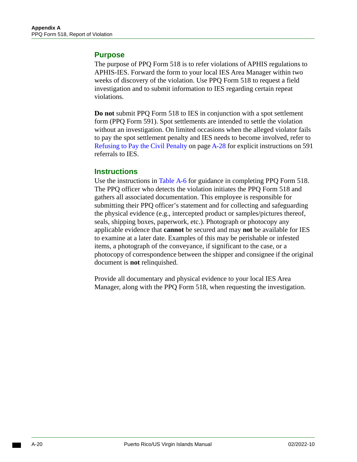### **Purpose**

The purpose of PPQ Form 518 is to refer violations of APHIS regulations to APHIS-IES. Forward the form to your local IES Area Manager within two weeks of discovery of the violation. Use PPQ Form 518 to request a field investigation and to submit information to IES regarding certain repeat violations.

**Do not** submit PPQ Form 518 to IES in conjunction with a spot settlement form (PPQ Form 591). Spot settlements are intended to settle the violation without an investigation. On limited occasions when the alleged violator fails to pay the spot settlement penalty and IES needs to become involved, refer to [Refusing to Pay the Civil Penalty on page A-28](#page-69-0) for explicit instructions on 591 referrals to IES.

### **Instructions**

Use the instructions in [Table A-6](#page-62-0) for guidance in completing PPQ Form 518. The PPQ officer who detects the violation initiates the PPQ Form 518 and gathers all associated documentation. This employee is responsible for submitting their PPQ officer's statement and for collecting and safeguarding the physical evidence (e.g., intercepted product or samples/pictures thereof, seals, shipping boxes, paperwork, etc.). Photograph or photocopy any applicable evidence that **cannot** be secured and may **not** be available for IES to examine at a later date. Examples of this may be perishable or infested items, a photograph of the conveyance, if significant to the case, or a photocopy of correspondence between the shipper and consignee if the original document is **not** relinquished.

Provide all documentary and physical evidence to your local IES Area Manager, along with the PPQ Form 518, when requesting the investigation.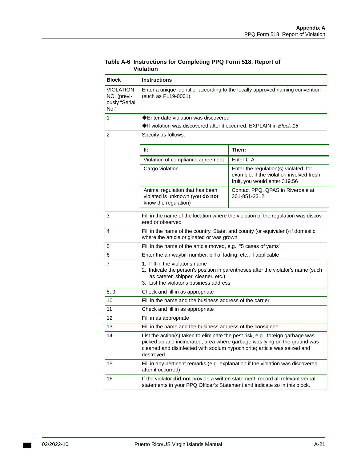| <b>Block</b>                                             | <b>Instructions</b>                                                                                                                                                                                                                                  |                                                                                                                    |  |  |  |  |  |
|----------------------------------------------------------|------------------------------------------------------------------------------------------------------------------------------------------------------------------------------------------------------------------------------------------------------|--------------------------------------------------------------------------------------------------------------------|--|--|--|--|--|
| <b>VIOLATION</b><br>NO. (previ-<br>ously "Serial<br>No." | Enter a unique identifier according to the locally approved naming convention<br>(such as FL19-0001).                                                                                                                                                |                                                                                                                    |  |  |  |  |  |
| 1                                                        | ♦ Enter date violation was discovered                                                                                                                                                                                                                |                                                                                                                    |  |  |  |  |  |
|                                                          | ♦ If violation was discovered after it occurred, EXPLAIN in Block 15                                                                                                                                                                                 |                                                                                                                    |  |  |  |  |  |
| 2                                                        | Specify as follows:                                                                                                                                                                                                                                  |                                                                                                                    |  |  |  |  |  |
|                                                          | If:                                                                                                                                                                                                                                                  | Then:                                                                                                              |  |  |  |  |  |
|                                                          | Violation of compliance agreement                                                                                                                                                                                                                    | Enter C.A.                                                                                                         |  |  |  |  |  |
|                                                          | Cargo violation                                                                                                                                                                                                                                      | Enter the regulation(s) violated; for<br>example, if the violation involved fresh<br>fruit, you would enter 319.56 |  |  |  |  |  |
|                                                          | Animal regulation that has been<br>violated is unknown (you do not<br>know the regulation)                                                                                                                                                           | Contact PPQ, QPAS in Riverdale at<br>301-851-2312                                                                  |  |  |  |  |  |
| 3                                                        | ered or observed                                                                                                                                                                                                                                     | Fill in the name of the location where the violation of the regulation was discov-                                 |  |  |  |  |  |
| 4                                                        | where the article originated or was grown                                                                                                                                                                                                            | Fill in the name of the country, State, and county (or equivalent) if domestic,                                    |  |  |  |  |  |
| 5                                                        | Fill in the name of the article moved, e.g., "5 cases of yams"                                                                                                                                                                                       |                                                                                                                    |  |  |  |  |  |
| 6                                                        | Enter the air waybill number, bill of lading, etc., if applicable                                                                                                                                                                                    |                                                                                                                    |  |  |  |  |  |
| $\overline{7}$                                           | 1. Fill in the violator's name<br>2. Indicate the person's position in parentheses after the violator's name (such<br>as caterer, shipper, cleaner, etc.)<br>3. List the violator's business address                                                 |                                                                                                                    |  |  |  |  |  |
| 8, 9                                                     | Check and fill in as appropriate                                                                                                                                                                                                                     |                                                                                                                    |  |  |  |  |  |
| 10                                                       |                                                                                                                                                                                                                                                      | Fill in the name and the business address of the carrier                                                           |  |  |  |  |  |
| 11                                                       | Check and fill in as appropriate                                                                                                                                                                                                                     |                                                                                                                    |  |  |  |  |  |
| 12                                                       | Fill in as appropriate                                                                                                                                                                                                                               |                                                                                                                    |  |  |  |  |  |
| 13                                                       | Fill in the name and the business address of the consignee                                                                                                                                                                                           |                                                                                                                    |  |  |  |  |  |
| 14                                                       | List the action(s) taken to eliminate the pest risk, e.g., foreign garbage was<br>picked up and incinerated; area where garbage was lying on the ground was<br>cleaned and disinfected with sodium hypochlorite; article was seized and<br>destroyed |                                                                                                                    |  |  |  |  |  |
| 15                                                       | Fill in any pertinent remarks (e.g. explanation if the violation was discovered<br>after it occurred)                                                                                                                                                |                                                                                                                    |  |  |  |  |  |
| 16                                                       | If the violator did not provide a written statement, record all relevant verbal<br>statements in your PPQ Officer's Statement and indicate so in this block.                                                                                         |                                                                                                                    |  |  |  |  |  |

#### <span id="page-62-0"></span> **Table A-6 Instructions for Completing PPQ Form 518, Report of Violation**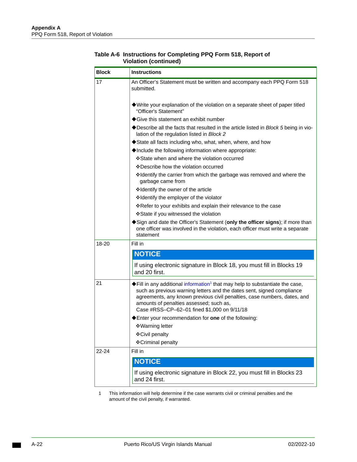| <b>Block</b> | <b>Instructions</b>                                                                                                                                                                                                                                                                                                                                     |  |  |  |  |
|--------------|---------------------------------------------------------------------------------------------------------------------------------------------------------------------------------------------------------------------------------------------------------------------------------------------------------------------------------------------------------|--|--|--|--|
| 17           | An Officer's Statement must be written and accompany each PPQ Form 518<br>submitted.                                                                                                                                                                                                                                                                    |  |  |  |  |
|              | ◆ Write your explanation of the violation on a separate sheet of paper titled<br>"Officer's Statement"                                                                                                                                                                                                                                                  |  |  |  |  |
|              | $\bigcirc$ Give this statement an exhibit number                                                                                                                                                                                                                                                                                                        |  |  |  |  |
|              | ◆ Describe all the facts that resulted in the article listed in Block 5 being in vio-<br>lation of the regulation listed in Block 2                                                                                                                                                                                                                     |  |  |  |  |
|              | State all facts including who, what, when, where, and how                                                                                                                                                                                                                                                                                               |  |  |  |  |
|              | ◆Include the following information where appropriate:                                                                                                                                                                                                                                                                                                   |  |  |  |  |
|              | ❖ State when and where the violation occurred                                                                                                                                                                                                                                                                                                           |  |  |  |  |
|              | ❖ Describe how the violation occurred                                                                                                                                                                                                                                                                                                                   |  |  |  |  |
|              | Identify the carrier from which the garbage was removed and where the<br>garbage came from                                                                                                                                                                                                                                                              |  |  |  |  |
|              | ❖ Identify the owner of the article                                                                                                                                                                                                                                                                                                                     |  |  |  |  |
|              | *Identify the employer of the violator                                                                                                                                                                                                                                                                                                                  |  |  |  |  |
|              | ❖ Refer to your exhibits and explain their relevance to the case                                                                                                                                                                                                                                                                                        |  |  |  |  |
|              | ❖ State if you witnessed the violation                                                                                                                                                                                                                                                                                                                  |  |  |  |  |
|              | Sign and date the Officer's Statement (only the officer signs); if more than<br>one officer was involved in the violation, each officer must write a separate<br>statement                                                                                                                                                                              |  |  |  |  |
| 18-20        | Fill in                                                                                                                                                                                                                                                                                                                                                 |  |  |  |  |
|              | <b>NOTICE</b>                                                                                                                                                                                                                                                                                                                                           |  |  |  |  |
|              | If using electronic signature in Block 18, you must fill in Blocks 19<br>and 20 first.                                                                                                                                                                                                                                                                  |  |  |  |  |
| 21           | $\blacklozenge$ Fill in any additional information <sup>1</sup> that may help to substantiate the case,<br>such as previous warning letters and the dates sent, signed compliance<br>agreements, any known previous civil penalties, case numbers, dates, and<br>amounts of penalties assessed; such as,<br>Case #RSS-CP-62-01 fined \$1,000 on 9/11/18 |  |  |  |  |
|              | Enter your recommendation for one of the following:                                                                                                                                                                                                                                                                                                     |  |  |  |  |
|              | ❖ Warning letter                                                                                                                                                                                                                                                                                                                                        |  |  |  |  |
|              | ❖ Civil penalty                                                                                                                                                                                                                                                                                                                                         |  |  |  |  |
|              | ❖ Criminal penalty                                                                                                                                                                                                                                                                                                                                      |  |  |  |  |
| 22-24        | Fill in                                                                                                                                                                                                                                                                                                                                                 |  |  |  |  |
|              | <b>NOTICE</b>                                                                                                                                                                                                                                                                                                                                           |  |  |  |  |
|              | If using electronic signature in Block 22, you must fill in Blocks 23<br>and 24 first.                                                                                                                                                                                                                                                                  |  |  |  |  |

#### **Table A-6 Instructions for Completing PPQ Form 518, Report of Violation (continued)**

1 This information will help determine if the case warrants civil or criminal penalties and the amount of the civil penalty, if warranted.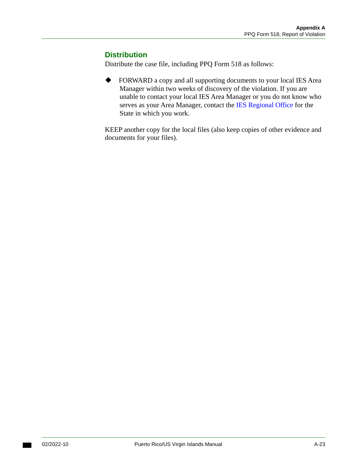# **Distribution**

Distribute the case file, including PPQ Form 518 as follows:

FORWARD a copy and all supporting documents to your local IES Area Manager within two weeks of discovery of the violation. If you are unable to contact your local IES Area Manager or you do not know who serves as your Area Manager, contact the [IES Regional Office](https://www.aphis.usda.gov/aphis/ourfocus/business-services/ies/ies_contact) for the State in which you work.

KEEP another copy for the local files (also keep copies of other evidence and documents for your files).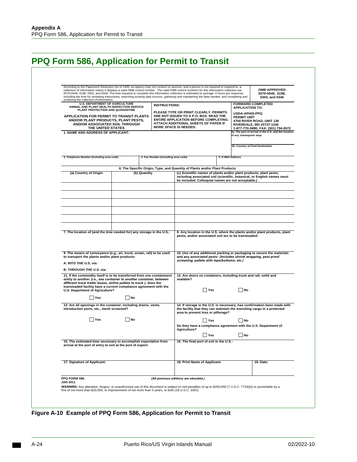# <span id="page-65-0"></span>**PPQ Form 586, Application for Permit to Transit**

| collection of information unless it displays a valid OMB control number. The valid OMB control numbers for this information collection are<br>0579-0049, 0198, 0303, and 0346. The time required to complete this information collection is estimated to average .5 hours per response,<br>including the time for reviewing instructions, searching existing data sources, gathering and maintaining the data needed, and completing and<br>reviewing the collection of information. |     |              |                                                                                      | According to the Paperwork Reduction Act of 1995, an agency may not conduct or sponsor, and a person is not required to respond to, a                                                               |                    |                                                                                              | <b>OMB APPROVED</b><br>0579-0049, 0198,<br>0303, and 0346 |
|--------------------------------------------------------------------------------------------------------------------------------------------------------------------------------------------------------------------------------------------------------------------------------------------------------------------------------------------------------------------------------------------------------------------------------------------------------------------------------------|-----|--------------|--------------------------------------------------------------------------------------|-----------------------------------------------------------------------------------------------------------------------------------------------------------------------------------------------------|--------------------|----------------------------------------------------------------------------------------------|-----------------------------------------------------------|
| <b>U.S. DEPARTMENT OF AGRICULTURE</b><br>ANIMAL AND PLANT HEALTH INSPECTION SERVICE<br>PLANT PROTECTION AND QUARANTINE<br><b>APPLICATION FOR PERMIT TO TRANSIT PLANTS</b>                                                                                                                                                                                                                                                                                                            |     |              | <b>INSTRUCTIONS:</b>                                                                 | PLEASE TYPE OR PRINT CLEARLY. PERMITS<br>ARE NOT ISSUED TO A P.O. BOX. READ THE                                                                                                                     |                    | <b>APPLICATION TO:</b><br>USDA-APHIS-PPQ                                                     | <b>FORWARD COMPLETED</b>                                  |
| AND/OR PLANT PRODUCTS, PLANT PESTS,<br>AND/OR ASSOCIATED SOIL THROUGH<br><b>MORE SPACE IS NEEDED.</b><br>THE UNITED STATES                                                                                                                                                                                                                                                                                                                                                           |     |              | <b>ENTIRE APPLICATION BEFORE COMPLETING.</b><br>ATTACH ADDITIONAL SHEETS OF PAPER IF |                                                                                                                                                                                                     | <b>PERMIT UNIT</b> | 4700 RIVER ROAD, UNIT 136<br>RIVERDALE, MD 20737-1236<br>1-877-770-5990; FAX: (301) 734-0572 |                                                           |
| 1. NAME AND ADDRESS OF APPLICANT:                                                                                                                                                                                                                                                                                                                                                                                                                                                    |     |              |                                                                                      |                                                                                                                                                                                                     |                    | of any subsequent stop:                                                                      | 2a. The port of arrival in the U.S. and the location      |
|                                                                                                                                                                                                                                                                                                                                                                                                                                                                                      |     |              |                                                                                      |                                                                                                                                                                                                     |                    |                                                                                              | 2b. Country of Final Destination                          |
| 3. Telephone Number (including area code)                                                                                                                                                                                                                                                                                                                                                                                                                                            |     |              | 4. Fax Number (including area code)                                                  |                                                                                                                                                                                                     | 5. E-Mail Address  |                                                                                              |                                                           |
|                                                                                                                                                                                                                                                                                                                                                                                                                                                                                      |     |              |                                                                                      | 6. The Specific Origin, Type, and Quantity of Plants and/or Plant Products                                                                                                                          |                    |                                                                                              |                                                           |
| (a) Country of Origin                                                                                                                                                                                                                                                                                                                                                                                                                                                                |     | (b) Quantity |                                                                                      | (c) Scientific names of plants and/or plant products, plant pests,<br>including associated soil (scientific, botanical, or English names must<br>be included. Colloquial names are not acceptable.) |                    |                                                                                              |                                                           |
|                                                                                                                                                                                                                                                                                                                                                                                                                                                                                      |     |              |                                                                                      |                                                                                                                                                                                                     |                    |                                                                                              |                                                           |
|                                                                                                                                                                                                                                                                                                                                                                                                                                                                                      |     |              |                                                                                      |                                                                                                                                                                                                     |                    |                                                                                              |                                                           |
|                                                                                                                                                                                                                                                                                                                                                                                                                                                                                      |     |              |                                                                                      |                                                                                                                                                                                                     |                    |                                                                                              |                                                           |
|                                                                                                                                                                                                                                                                                                                                                                                                                                                                                      |     |              |                                                                                      |                                                                                                                                                                                                     |                    |                                                                                              |                                                           |
| 7. The location of (and the time needed for) any storage in the U.S.:                                                                                                                                                                                                                                                                                                                                                                                                                |     |              |                                                                                      | 8. Any location in the U.S. where the plants and/or plant products, plant<br>pests, and/or associated soil are to be transloaded:                                                                   |                    |                                                                                              |                                                           |
| 9. The means of conveyance (e.g., air, truck, ocean, rail) to be used<br>to transport the plants and/or plant products:                                                                                                                                                                                                                                                                                                                                                              |     |              |                                                                                      | 10. Use of any additional packing or packaging to secure the materials<br>and any associated pests: (Includes shrink wrapping, pest proof<br>screening, pallets with tops/bottoms, etc.)            |                    |                                                                                              |                                                           |
| A. INTO THE U.S. via:<br>B. THROUGH THE U.S. via:                                                                                                                                                                                                                                                                                                                                                                                                                                    |     |              |                                                                                      |                                                                                                                                                                                                     |                    |                                                                                              |                                                           |
| 11. If the commodity itself is to be transferred from one containment<br>entity to another (i.e., sea container to another container, between<br>different truck trailer boxes, airline pallets to truck), does the                                                                                                                                                                                                                                                                  |     |              |                                                                                      | 12. Are doors on containers, including truck and rail, solid and<br>sealable?                                                                                                                       |                    |                                                                                              |                                                           |
| transloaded facility have a current compliance agreement with the<br>U.S. Department of Agriculture?                                                                                                                                                                                                                                                                                                                                                                                 |     |              |                                                                                      | ∣ Yes                                                                                                                                                                                               |                    | No                                                                                           |                                                           |
| Yes<br>13. Are all openings in the container, including drains, vents,                                                                                                                                                                                                                                                                                                                                                                                                               | No  |              |                                                                                      | 14. If storage in the U.S. is necessary, has confirmation been made with                                                                                                                            |                    |                                                                                              |                                                           |
| introduction ports, etc., mesh screened?                                                                                                                                                                                                                                                                                                                                                                                                                                             | INo |              |                                                                                      | the facility that they can maintain the transiting cargo in a protected<br>area to prevent loss or pilferage?                                                                                       |                    |                                                                                              |                                                           |
| Yes                                                                                                                                                                                                                                                                                                                                                                                                                                                                                  |     |              |                                                                                      | ∣Yes<br>Do they have a compliance agreement with the U.S. Department of<br>Agriculture?                                                                                                             |                    | l INo                                                                                        |                                                           |
|                                                                                                                                                                                                                                                                                                                                                                                                                                                                                      |     |              |                                                                                      | Yes                                                                                                                                                                                                 |                    | No                                                                                           |                                                           |
| 15. The estimated time necessary to accomplish exportation from<br>arrival at the port of entry to exit at the port of export:                                                                                                                                                                                                                                                                                                                                                       |     |              |                                                                                      | 16. The final port of exit in the U.S.:                                                                                                                                                             |                    |                                                                                              |                                                           |
| 17. Signature of Applicant:                                                                                                                                                                                                                                                                                                                                                                                                                                                          |     |              |                                                                                      | 18. Print Name of Applicant:                                                                                                                                                                        |                    |                                                                                              | 19. Date:                                                 |

**Figure A-10 Example of PPQ Form 586, Application for Permit to Transit**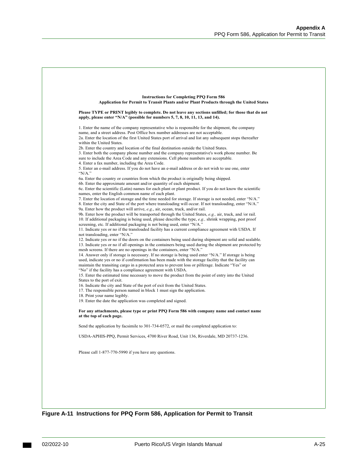

**Figure A-11 Instructions for PPQ Form 586, Application for Permit to Transit**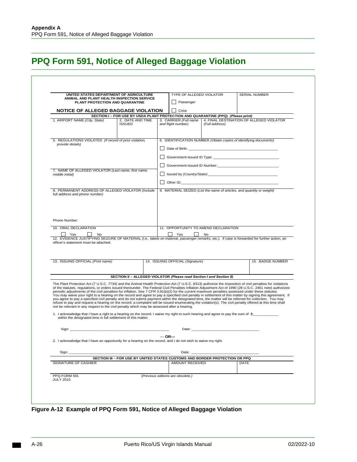# <span id="page-67-0"></span>**PPQ Form 591, Notice of Alleged Baggage Violation**

| ANIMAL AND PLANT HEALTH INSPECTION SERVICE<br>PLANT PROTECTION AND QUARANTINE                                                                                                                                                                                                                                                                                                                                                                                                                                                                                                                                                                                                                                                                                                                                                                                                                                                                                                                                                                                                                                                                                                                                                                                                                                                                                             | UNITED STATES DEPARTMENT OF AGRICULTURE | TYPE OF ALLEGED VIOLATOR<br>Passenger |                                                                                  | <b>SERIAL NUMBER</b>                                                                                                                                                                                                           |                                                                                                                                              |
|---------------------------------------------------------------------------------------------------------------------------------------------------------------------------------------------------------------------------------------------------------------------------------------------------------------------------------------------------------------------------------------------------------------------------------------------------------------------------------------------------------------------------------------------------------------------------------------------------------------------------------------------------------------------------------------------------------------------------------------------------------------------------------------------------------------------------------------------------------------------------------------------------------------------------------------------------------------------------------------------------------------------------------------------------------------------------------------------------------------------------------------------------------------------------------------------------------------------------------------------------------------------------------------------------------------------------------------------------------------------------|-----------------------------------------|---------------------------------------|----------------------------------------------------------------------------------|--------------------------------------------------------------------------------------------------------------------------------------------------------------------------------------------------------------------------------|----------------------------------------------------------------------------------------------------------------------------------------------|
| <b>NOTICE OF ALLEGED BAGGAGE VIOLATION</b>                                                                                                                                                                                                                                                                                                                                                                                                                                                                                                                                                                                                                                                                                                                                                                                                                                                                                                                                                                                                                                                                                                                                                                                                                                                                                                                                |                                         | Crew<br>ப                             |                                                                                  |                                                                                                                                                                                                                                |                                                                                                                                              |
|                                                                                                                                                                                                                                                                                                                                                                                                                                                                                                                                                                                                                                                                                                                                                                                                                                                                                                                                                                                                                                                                                                                                                                                                                                                                                                                                                                           |                                         |                                       | SECTION I - FOR USE BY USDA PLANT PROTECTION AND QUARANTINE (PPQ) (Please print) |                                                                                                                                                                                                                                |                                                                                                                                              |
| 1. AIRPORT NAME (City, State)                                                                                                                                                                                                                                                                                                                                                                                                                                                                                                                                                                                                                                                                                                                                                                                                                                                                                                                                                                                                                                                                                                                                                                                                                                                                                                                                             | 2. DATE AND TIME<br><b>ISSUED</b>       |                                       | 3. CARRIER (Full name<br>and flight number)                                      | (Full address)                                                                                                                                                                                                                 | 4. FINAL DESTINATION OF ALLEGED VIOLATOR                                                                                                     |
| 5. REGULATIONS VIOLATED (If record of prior violation,<br>provide details)                                                                                                                                                                                                                                                                                                                                                                                                                                                                                                                                                                                                                                                                                                                                                                                                                                                                                                                                                                                                                                                                                                                                                                                                                                                                                                |                                         |                                       |                                                                                  |                                                                                                                                                                                                                                | 6. IDENTIFICATION NUMBER (Obtain copies of identifying documents)                                                                            |
|                                                                                                                                                                                                                                                                                                                                                                                                                                                                                                                                                                                                                                                                                                                                                                                                                                                                                                                                                                                                                                                                                                                                                                                                                                                                                                                                                                           |                                         |                                       |                                                                                  |                                                                                                                                                                                                                                |                                                                                                                                              |
|                                                                                                                                                                                                                                                                                                                                                                                                                                                                                                                                                                                                                                                                                                                                                                                                                                                                                                                                                                                                                                                                                                                                                                                                                                                                                                                                                                           |                                         |                                       |                                                                                  |                                                                                                                                                                                                                                |                                                                                                                                              |
|                                                                                                                                                                                                                                                                                                                                                                                                                                                                                                                                                                                                                                                                                                                                                                                                                                                                                                                                                                                                                                                                                                                                                                                                                                                                                                                                                                           |                                         |                                       |                                                                                  |                                                                                                                                                                                                                                | Government-Issued ID Number:                                                                                                                 |
| 7. NAME OF ALLEGED VIOLATOR (Last name, first name,<br>middle initial)                                                                                                                                                                                                                                                                                                                                                                                                                                                                                                                                                                                                                                                                                                                                                                                                                                                                                                                                                                                                                                                                                                                                                                                                                                                                                                    |                                         |                                       |                                                                                  |                                                                                                                                                                                                                                |                                                                                                                                              |
|                                                                                                                                                                                                                                                                                                                                                                                                                                                                                                                                                                                                                                                                                                                                                                                                                                                                                                                                                                                                                                                                                                                                                                                                                                                                                                                                                                           |                                         |                                       |                                                                                  |                                                                                                                                                                                                                                |                                                                                                                                              |
|                                                                                                                                                                                                                                                                                                                                                                                                                                                                                                                                                                                                                                                                                                                                                                                                                                                                                                                                                                                                                                                                                                                                                                                                                                                                                                                                                                           |                                         |                                       |                                                                                  |                                                                                                                                                                                                                                | $\Box$ Other ID:                                                                                                                             |
| 8. PERMANENT ADDRESS OF ALLEGED VIOLATOR (Include<br>full address and phone number)                                                                                                                                                                                                                                                                                                                                                                                                                                                                                                                                                                                                                                                                                                                                                                                                                                                                                                                                                                                                                                                                                                                                                                                                                                                                                       |                                         |                                       |                                                                                  |                                                                                                                                                                                                                                | 9. MATERIAL SEIZED (List the name of articles, and quantity or weight)                                                                       |
| Phone Number:<br>10. ORAL DECLARATION                                                                                                                                                                                                                                                                                                                                                                                                                                                                                                                                                                                                                                                                                                                                                                                                                                                                                                                                                                                                                                                                                                                                                                                                                                                                                                                                     |                                         |                                       | 11. OPPORTUNITY TO AMEND DECLARATION                                             |                                                                                                                                                                                                                                |                                                                                                                                              |
| No Yes No                                                                                                                                                                                                                                                                                                                                                                                                                                                                                                                                                                                                                                                                                                                                                                                                                                                                                                                                                                                                                                                                                                                                                                                                                                                                                                                                                                 |                                         |                                       | <b>The Yes</b>                                                                   | $\Box$ No                                                                                                                                                                                                                      |                                                                                                                                              |
|                                                                                                                                                                                                                                                                                                                                                                                                                                                                                                                                                                                                                                                                                                                                                                                                                                                                                                                                                                                                                                                                                                                                                                                                                                                                                                                                                                           |                                         |                                       |                                                                                  |                                                                                                                                                                                                                                | 12. EVIDENCE JUSTIFYING SEIZURE OF MATERIAL (i.e., labels on material, passenger remarks, etc.). If case is forwarded for further action, an |
|                                                                                                                                                                                                                                                                                                                                                                                                                                                                                                                                                                                                                                                                                                                                                                                                                                                                                                                                                                                                                                                                                                                                                                                                                                                                                                                                                                           |                                         |                                       | 14. ISSUING OFFICIAL (Signature)                                                 |                                                                                                                                                                                                                                | 15. BADGE NUMBER                                                                                                                             |
|                                                                                                                                                                                                                                                                                                                                                                                                                                                                                                                                                                                                                                                                                                                                                                                                                                                                                                                                                                                                                                                                                                                                                                                                                                                                                                                                                                           |                                         |                                       | SECTION II - ALLEGED VIOLATOR (Please read Section I and Section II)             |                                                                                                                                                                                                                                |                                                                                                                                              |
| within the designated time in full settlement of this matter.                                                                                                                                                                                                                                                                                                                                                                                                                                                                                                                                                                                                                                                                                                                                                                                                                                                                                                                                                                                                                                                                                                                                                                                                                                                                                                             |                                         |                                       |                                                                                  |                                                                                                                                                                                                                                |                                                                                                                                              |
| Sign:                                                                                                                                                                                                                                                                                                                                                                                                                                                                                                                                                                                                                                                                                                                                                                                                                                                                                                                                                                                                                                                                                                                                                                                                                                                                                                                                                                     |                                         |                                       |                                                                                  | Date: the contract of the contract of the contract of the contract of the contract of the contract of the contract of the contract of the contract of the contract of the contract of the contract of the contract of the cont |                                                                                                                                              |
|                                                                                                                                                                                                                                                                                                                                                                                                                                                                                                                                                                                                                                                                                                                                                                                                                                                                                                                                                                                                                                                                                                                                                                                                                                                                                                                                                                           |                                         | --- OR---                             |                                                                                  |                                                                                                                                                                                                                                |                                                                                                                                              |
| Sign:                                                                                                                                                                                                                                                                                                                                                                                                                                                                                                                                                                                                                                                                                                                                                                                                                                                                                                                                                                                                                                                                                                                                                                                                                                                                                                                                                                     |                                         |                                       | Date:                                                                            |                                                                                                                                                                                                                                |                                                                                                                                              |
|                                                                                                                                                                                                                                                                                                                                                                                                                                                                                                                                                                                                                                                                                                                                                                                                                                                                                                                                                                                                                                                                                                                                                                                                                                                                                                                                                                           |                                         |                                       | SECTION III - FOR USE BY UNITED STATES CUSTOMS AND BORDER PROTECTION OR PPQ      |                                                                                                                                                                                                                                |                                                                                                                                              |
| 13. ISSUING OFFICIAL (Print name)<br>The Plant Protection Act (7 U.S.C. 7734) and the Animal Health Protection Act (7 U.S.C. 8313) authorize the imposition of civil penalties for violations<br>of the statutes, regulations, or orders issued thereunder. The Federal Civil Penalties Inflation Adjustment Act of 1990 (28 U.S.C. 2461 note) authorizes<br>periodic adjustments of the civil penalties for inflation. See 7 CFR 3.91(b)(2) for the current maximum penalties assessed under these statutes.<br>You may waive your right to a hearing on the record and agree to pay a specified civil penalty in settlement of this matter by signing this agreement. If<br>you agree to pay a specified civil penalty and do not submit payment within the designated time, the matter will be referred for collection. You may<br>refuse to pay and request a hearing on the record; a complaint will be issued enumerating the violation(s). The civil penalty offered at this time shall<br>not be relevant in any respect to the civil penalty which may be assessed after a hearing.<br>1. I acknowledge that I have a right to a hearing on the record. I waive my right to such hearing and agree to pay the sum of \$<br>2. I acknowledge that I have an opportunity for a hearing on the record, and I do not wish to waive my right.<br>SIGNATURE OF CASHIER |                                         |                                       | AMOUNT RECEIVED                                                                  |                                                                                                                                                                                                                                | DATE                                                                                                                                         |
| PPQ FORM 591                                                                                                                                                                                                                                                                                                                                                                                                                                                                                                                                                                                                                                                                                                                                                                                                                                                                                                                                                                                                                                                                                                                                                                                                                                                                                                                                                              |                                         |                                       | (Previous editions are obsolete.)                                                |                                                                                                                                                                                                                                |                                                                                                                                              |

 **Figure A-12 Example of PPQ Form 591, Notice of Alleged Baggage Violation**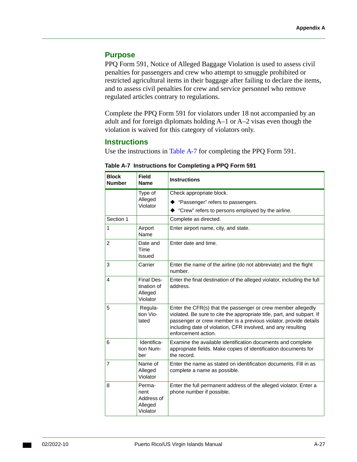### **Purpose**

PPQ Form 591, Notice of Alleged Baggage Violation is used to assess civil penalties for passengers and crew who attempt to smuggle prohibited or restricted agricultural items in their baggage after failing to declare the items, and to assess civil penalties for crew and service personnel who remove regulated articles contrary to regulations.

Complete the PPQ Form 591 for violators under 18 not accompanied by an adult and for foreign diplomats holding A–1 or A–2 visas even though the violation is waived for this category of violators only.

### **Instructions**

Use the instructions in [Table A-7](#page-68-0) for completing the PPQ Form 591.

| <b>Block</b><br><b>Number</b> | <b>Field</b><br><b>Name</b>                             | <b>Instructions</b>                                                                                                                                                                                                                                                                               |
|-------------------------------|---------------------------------------------------------|---------------------------------------------------------------------------------------------------------------------------------------------------------------------------------------------------------------------------------------------------------------------------------------------------|
|                               | Type of                                                 | Check appropriate block.                                                                                                                                                                                                                                                                          |
| Alleged<br>Violator           |                                                         | "Passenger" refers to passengers.                                                                                                                                                                                                                                                                 |
|                               |                                                         | "Crew" refers to persons employed by the airline.                                                                                                                                                                                                                                                 |
| Section 1                     |                                                         | Complete as directed.                                                                                                                                                                                                                                                                             |
| 1                             | Airport<br>Name                                         | Enter airport name, city, and state.                                                                                                                                                                                                                                                              |
| $\overline{c}$                | Date and<br>Time<br>Issued                              | Enter date and time.                                                                                                                                                                                                                                                                              |
| 3                             | Carrier                                                 | Enter the name of the airline (do not abbreviate) and the flight<br>number.                                                                                                                                                                                                                       |
| 4                             | <b>Final Des-</b><br>tination of<br>Alleged<br>Violator | Enter the final destination of the alleged violator, including the full<br>address.                                                                                                                                                                                                               |
| 5                             | Regula-<br>tion Vio-<br>lated                           | Enter the CFR(s) that the passenger or crew member allegedly<br>violated. Be sure to cite the appropriate title, part, and subpart. If<br>passenger or crew member is a previous violator, provide details<br>including date of violation, CFR involved, and any resulting<br>enforcement action. |
| 6                             | Identifica-<br>tion Num-<br>ber                         | Examine the available identification documents and complete<br>appropriate fields. Make copies of identification documents for<br>the record.                                                                                                                                                     |
| 7                             | Name of<br>Alleged<br>Violator                          | Enter the name as stated on identification documents. Fill in as<br>complete a name as possible.                                                                                                                                                                                                  |
| 8                             | Perma-<br>nent<br>Address of<br>Alleged<br>Violator     | Enter the full permanent address of the alleged violator. Enter a<br>phone number if possible.                                                                                                                                                                                                    |

<span id="page-68-0"></span>**Table A-7 Instructions for Completing a PPQ Form 591**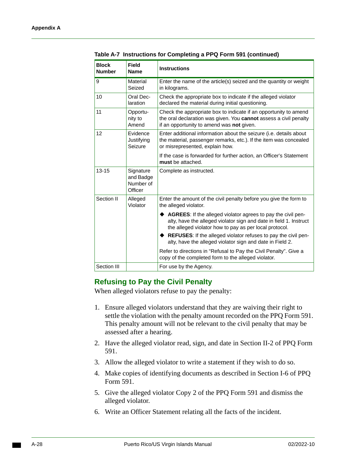| <b>Block</b><br><b>Number</b> | <b>Field</b><br><b>Name</b>                    | <b>Instructions</b>                                                                                                                                                                                 |
|-------------------------------|------------------------------------------------|-----------------------------------------------------------------------------------------------------------------------------------------------------------------------------------------------------|
| 9                             | Material<br>Seized                             | Enter the name of the article(s) seized and the quantity or weight<br>in kilograms.                                                                                                                 |
| 10                            | Oral Dec-<br>laration                          | Check the appropriate box to indicate if the alleged violator<br>declared the material during initial questioning.                                                                                  |
| 11                            | Opportu-<br>nity to<br>Amend                   | Check the appropriate box to indicate if an opportunity to amend<br>the oral declaration was given. You cannot assess a civil penalty<br>if an opportunity to amend was not given.                  |
| 12                            | Evidence<br>Justifying<br>Seizure              | Enter additional information about the seizure (i.e. details about<br>the material, passenger remarks, etc.). If the item was concealed<br>or misrepresented, explain how.                          |
|                               |                                                | If the case is forwarded for further action, an Officer's Statement<br>must be attached.                                                                                                            |
| $13 - 15$                     | Signature<br>and Badge<br>Number of<br>Officer | Complete as instructed.                                                                                                                                                                             |
| Section II                    | Alleged<br>Violator                            | Enter the amount of the civil penalty before you give the form to<br>the alleged violator.                                                                                                          |
|                               |                                                | <b>AGREES:</b> If the alleged violator agrees to pay the civil pen-<br>alty, have the alleged violator sign and date in field 1. Instruct<br>the alleged violator how to pay as per local protocol. |
|                               |                                                | <b>REFUSES:</b> If the alleged violator refuses to pay the civil pen-<br>alty, have the alleged violator sign and date in Field 2.                                                                  |
|                               |                                                | Refer to directions in "Refusal to Pay the Civil Penalty". Give a<br>copy of the completed form to the alleged violator.                                                                            |
| Section III                   |                                                | For use by the Agency.                                                                                                                                                                              |

**Table A-7 Instructions for Completing a PPQ Form 591 (continued)** 

# <span id="page-69-0"></span>**Refusing to Pay the Civil Penalty**

When alleged violators refuse to pay the penalty:

- 1. Ensure alleged violators understand that they are waiving their right to settle the violation with the penalty amount recorded on the PPQ Form 591. This penalty amount will not be relevant to the civil penalty that may be assessed after a hearing.
- 2. Have the alleged violator read, sign, and date in Section II-2 of PPQ Form 591.
- 3. Allow the alleged violator to write a statement if they wish to do so.
- 4. Make copies of identifying documents as described in Section I-6 of PPQ Form 591.
- 5. Give the alleged violator Copy 2 of the PPQ Form 591 and dismiss the alleged violator.
- 6. Write an Officer Statement relating all the facts of the incident.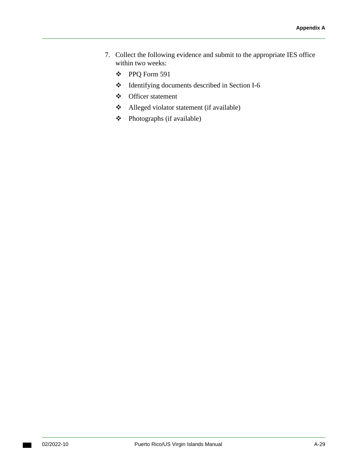- 7. Collect the following evidence and submit to the appropriate IES office within two weeks:
	- PPQ Form 591
	- Identifying documents described in Section I-6
	- Officer statement
	- Alleged violator statement (if available)
	- Photographs (if available)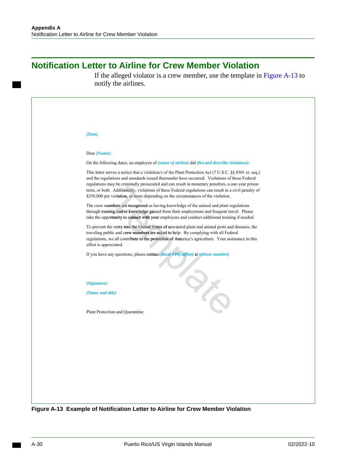# <span id="page-71-0"></span>**Notification Letter to Airline for Crew Member Violation**

If the alleged violator is a crew member, use the template in [Figure A-13](#page-71-1) to notify the airlines.

|  | . |  |
|--|---|--|

Dear *(Name):* 

On the following dates, an employee of *(name of airline)* did *(list and describe violations):* 

This letter serves a notice that a violation/s of the Plant Protection Act (7 U.S.C. §§ 8301 et. seq.) and the regulations and standards issued thereunder have occurred. Violations of these Federal regulations may be criminally prosecuted and can result in monetary penalties, a one-year prison m term, or both. Additionally, violations of these Federal regulations can result in a civil penalty of \$250,000 per violation, or more depending on the circumstances of the violation.

through training and/or knowledge gained from their employment and frequent travel. Please members are recognized as take the opportunity to consult with your employees and conduct additional training if needed.

traveling public and crew members are asked to help. By complying with all Federal To prevent the entry into the United States of unwanted plant and animal pests and diseases, the regulations, we all contribute to the protection of America's agriculture. Your assistance in this effort is appreciated.

 $\hat{Q}_{\vec{k}}$ 

If you have any questions, please contact *(local PPQ office)* at *(phone number)*.

*(Signature)* 

*(Name and title)* 

Plant Protection and Quarantine

<span id="page-71-1"></span>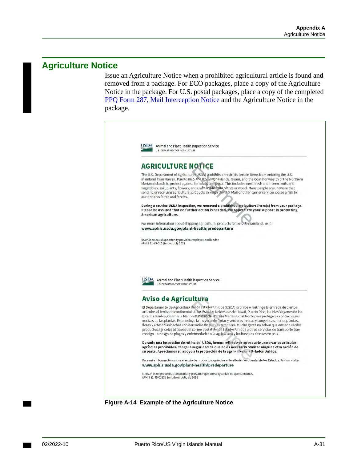### **Agriculture Notice**

<span id="page-72-0"></span>Issue an Agriculture Notice when a prohibited agricultural article is found and removed from a package. For ECO packages, place a copy of the Agriculture Notice in the package. For U.S. postal packages, place a copy of the completed [PPQ Form 287, Mail Interception Notice](#page-44-0) and the Agriculture Notice in the package.



 **Figure A-14 Example of the Agriculture Notice**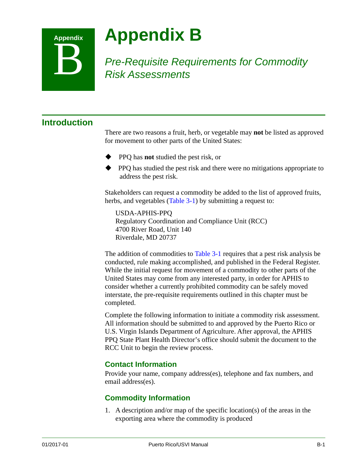# B **Appendix B**

## *Pre-Requisite Requirements for Commodity Risk Assessments*

### **Introduction**

**Appendix**

There are two reasons a fruit, herb, or vegetable may **not** be listed as approved for movement to other parts of the United States:

- PPQ has **not** studied the pest risk, or
- PPQ has studied the pest risk and there were no mitigations appropriate to address the pest risk.

Stakeholders can request a commodity be added to the list of approved fruits, herbs, and vegetables ([Table 3-1](#page-27-0)) by submitting a request to:

USDA-APHIS-PPQ Regulatory Coordination and Compliance Unit (RCC) 4700 River Road, Unit 140 Riverdale, MD 20737

The addition of commodities to [Table 3-1](#page-27-0) requires that a pest risk analysis be conducted, rule making accomplished, and published in the Federal Register. While the initial request for movement of a commodity to other parts of the United States may come from any interested party, in order for APHIS to consider whether a currently prohibited commodity can be safely moved interstate, the pre-requisite requirements outlined in this chapter must be completed.

Complete the following information to initiate a commodity risk assessment. All information should be submitted to and approved by the Puerto Rico or U.S. Virgin Islands Department of Agriculture. After approval, the APHIS PPQ State Plant Health Director's office should submit the document to the RCC Unit to begin the review process.

### **Contact Information**

Provide your name, company address(es), telephone and fax numbers, and email address(es).

### **Commodity Information**

1. A description and/or map of the specific location(s) of the areas in the exporting area where the commodity is produced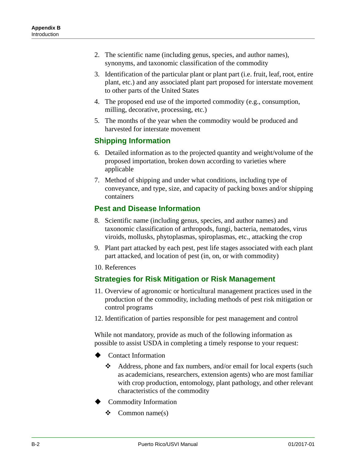- 2. The scientific name (including genus, species, and author names), synonyms, and taxonomic classification of the commodity
- 3. Identification of the particular plant or plant part (i.e. fruit, leaf, root, entire plant, etc.) and any associated plant part proposed for interstate movement to other parts of the United States
- 4. The proposed end use of the imported commodity (e.g., consumption, milling, decorative, processing, etc.)
- 5. The months of the year when the commodity would be produced and harvested for interstate movement

### **Shipping Information**

- 6. Detailed information as to the projected quantity and weight/volume of the proposed importation, broken down according to varieties where applicable
- 7. Method of shipping and under what conditions, including type of conveyance, and type, size, and capacity of packing boxes and/or shipping containers

### **Pest and Disease Information**

- 8. Scientific name (including genus, species, and author names) and taxonomic classification of arthropods, fungi, bacteria, nematodes, virus viroids, mollusks, phytoplasmas, spiroplasmas, etc., attacking the crop
- 9. Plant part attacked by each pest, pest life stages associated with each plant part attacked, and location of pest (in, on, or with commodity)
- 10. References

### **Strategies for Risk Mitigation or Risk Management**

- 11. Overview of agronomic or horticultural management practices used in the production of the commodity, including methods of pest risk mitigation or control programs
- 12. Identification of parties responsible for pest management and control

While not mandatory, provide as much of the following information as possible to assist USDA in completing a timely response to your request:

- Contact Information
	- \* Address, phone and fax numbers, and/or email for local experts (such as academicians, researchers, extension agents) who are most familiar with crop production, entomology, plant pathology, and other relevant characteristics of the commodity
- Commodity Information
	- $\div$  Common name(s)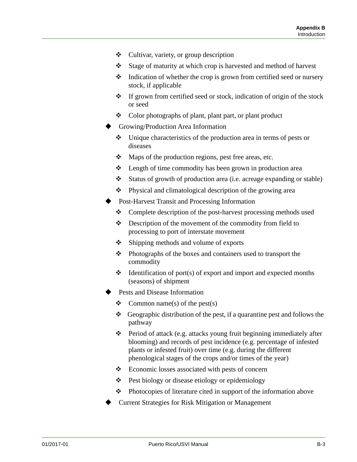- Cultivar, variety, or group description
- Stage of maturity at which crop is harvested and method of harvest
- $\triangleleft$  Indication of whether the crop is grown from certified seed or nursery stock, if applicable
- $\cdot \cdot$  If grown from certified seed or stock, indication of origin of the stock or seed
- Color photographs of plant, plant part, or plant product
- Growing/Production Area Information
	- Unique characteristics of the production area in terms of pests or diseases
	- Maps of the production regions, pest free areas, etc.
	- $\triangle$  Length of time commodity has been grown in production area
	- Status of growth of production area (i.e. acreage expanding or stable)
	- $\bullet$  Physical and climatological description of the growing area
- Post-Harvest Transit and Processing Information
	- Complete description of the post-harvest processing methods used
	- $\triangle$  Description of the movement of the commodity from field to processing to port of interstate movement
	- Shipping methods and volume of exports
	- Photographs of the boxes and containers used to transport the commodity
	- $\triangle$  Identification of port(s) of export and import and expected months (seasons) of shipment
- Pests and Disease Information
	- Common name(s) of the pest(s)
	- $\triangleleft$  Geographic distribution of the pest, if a quarantine pest and follows the pathway
	- Period of attack (e.g. attacks young fruit beginning immediately after blooming) and records of pest incidence (e.g. percentage of infested plants or infested fruit) over time (e.g. during the different phenological stages of the crops and/or times of the year)
	- Economic losses associated with pests of concern
	- ❖ Pest biology or disease etiology or epidemiology
	- Photocopies of literature cited in support of the information above
- Current Strategies for Risk Mitigation or Management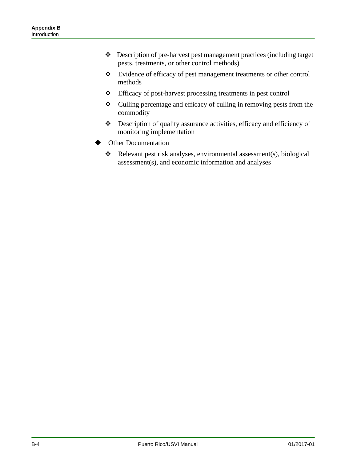- Description of pre-harvest pest management practices (including target pests, treatments, or other control methods)
- Evidence of efficacy of pest management treatments or other control methods
- Efficacy of post-harvest processing treatments in pest control
- Culling percentage and efficacy of culling in removing pests from the commodity
- Description of quality assurance activities, efficacy and efficiency of monitoring implementation
- Other Documentation
	- Relevant pest risk analyses, environmental assessment(s), biological assessment(s), and economic information and analyses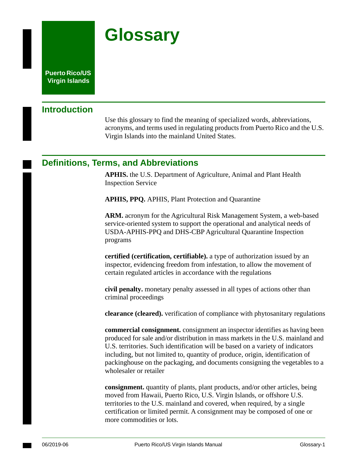# **Glossary**

**Puerto Rico/US Virgin Islands** 

### **Introduction**

Use this glossary to find the meaning of specialized words, abbreviations, acronyms, and terms used in regulating products from Puerto Rico and the U.S. Virgin Islands into the mainland United States.

### **Definitions, Terms, and Abbreviations**

**APHIS.** the U.S. Department of Agriculture, Animal and Plant Health Inspection Service

**APHIS, PPQ.** APHIS, Plant Protection and Quarantine

**ARM.** acronym for the Agricultural Risk Management System, a web-based service-oriented system to support the operational and analytical needs of USDA-APHIS-PPQ and DHS-CBP Agricultural Quarantine Inspection programs

**certified (certification, certifiable).** a type of authorization issued by an inspector, evidencing freedom from infestation, to allow the movement of certain regulated articles in accordance with the regulations

**civil penalty.** monetary penalty assessed in all types of actions other than criminal proceedings

**clearance (cleared).** verification of compliance with phytosanitary regulations

**commercial consignment.** consignment an inspector identifies as having been produced for sale and/or distribution in mass markets in the U.S. mainland and U.S. territories. Such identification will be based on a variety of indicators including, but not limited to, quantity of produce, origin, identification of packinghouse on the packaging, and documents consigning the vegetables to a wholesaler or retailer

**consignment.** quantity of plants, plant products, and/or other articles, being moved from Hawaii, Puerto Rico, U.S. Virgin Islands, or offshore U.S. territories to the U.S. mainland and covered, when required, by a single certification or limited permit. A consignment may be composed of one or more commodities or lots.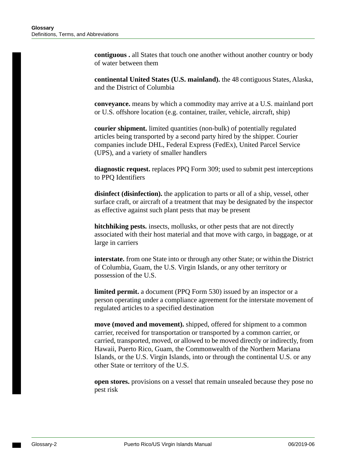**contiguous .** all States that touch one another without another country or body of water between them

**continental United States (U.S. mainland).** the 48 contiguous States, Alaska, and the District of Columbia

**conveyance.** means by which a commodity may arrive at a U.S. mainland port or U.S. offshore location (e.g. container, trailer, vehicle, aircraft, ship)

**courier shipment.** limited quantities (non-bulk) of potentially regulated articles being transported by a second party hired by the shipper. Courier companies include DHL, Federal Express (FedEx), United Parcel Service (UPS), and a variety of smaller handlers

**diagnostic request.** replaces PPQ Form 309; used to submit pest interceptions to PPQ Identifiers

**disinfect (disinfection).** the application to parts or all of a ship, vessel, other surface craft, or aircraft of a treatment that may be designated by the inspector as effective against such plant pests that may be present

**hitchhiking pests.** insects, mollusks, or other pests that are not directly associated with their host material and that move with cargo, in baggage, or at large in carriers

**interstate.** from one State into or through any other State; or within the District of Columbia, Guam, the U.S. Virgin Islands, or any other territory or possession of the U.S.

**limited permit.** a document (PPQ Form 530) issued by an inspector or a person operating under a compliance agreement for the interstate movement of regulated articles to a specified destination

**move (moved and movement).** shipped, offered for shipment to a common carrier, received for transportation or transported by a common carrier, or carried, transported, moved, or allowed to be moved directly or indirectly, from Hawaii, Puerto Rico, Guam, the Commonwealth of the Northern Mariana Islands, or the U.S. Virgin Islands, into or through the continental U.S. or any other State or territory of the U.S.

**open stores.** provisions on a vessel that remain unsealed because they pose no pest risk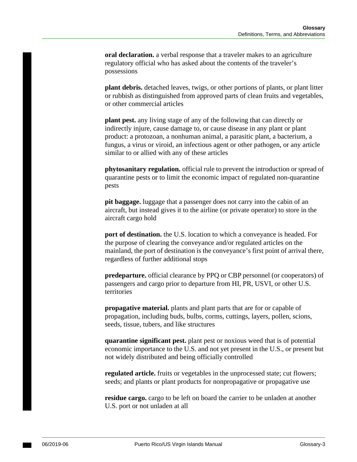**oral declaration.** a verbal response that a traveler makes to an agriculture regulatory official who has asked about the contents of the traveler's possessions

**plant debris.** detached leaves, twigs, or other portions of plants, or plant litter or rubbish as distinguished from approved parts of clean fruits and vegetables, or other commercial articles

**plant pest.** any living stage of any of the following that can directly or indirectly injure, cause damage to, or cause disease in any plant or plant product: a protozoan, a nonhuman animal, a parasitic plant, a bacterium, a fungus, a virus or viroid, an infectious agent or other pathogen, or any article similar to or allied with any of these articles

**phytosanitary regulation.** official rule to prevent the introduction or spread of quarantine pests or to limit the economic impact of regulated non-quarantine pests

**pit baggage.** luggage that a passenger does not carry into the cabin of an aircraft, but instead gives it to the airline (or private operator) to store in the aircraft cargo hold

**port of destination.** the U.S. location to which a conveyance is headed. For the purpose of clearing the conveyance and/or regulated articles on the mainland, the port of destination is the conveyance's first point of arrival there, regardless of further additional stops

**predeparture.** official clearance by PPQ or CBP personnel (or cooperators) of passengers and cargo prior to departure from HI, PR, USVI, or other U.S. territories

**propagative material.** plants and plant parts that are for or capable of propagation, including buds, bulbs, corms, cuttings, layers, pollen, scions, seeds, tissue, tubers, and like structures

**quarantine significant pest.** plant pest or noxious weed that is of potential economic importance to the U.S. and not yet present in the U.S., or present but not widely distributed and being officially controlled

**regulated article.** fruits or vegetables in the unprocessed state; cut flowers; seeds; and plants or plant products for nonpropagative or propagative use

**residue cargo.** cargo to be left on board the carrier to be unladen at another U.S. port or not unladen at all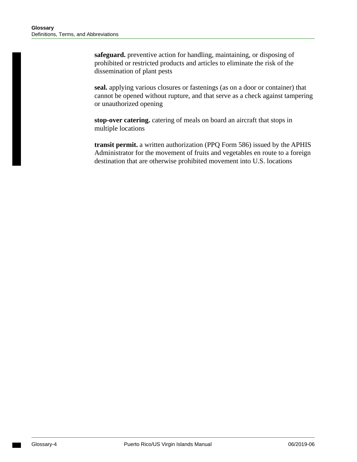**safeguard.** preventive action for handling, maintaining, or disposing of prohibited or restricted products and articles to eliminate the risk of the dissemination of plant pests

**seal.** applying various closures or fastenings (as on a door or container) that cannot be opened without rupture, and that serve as a check against tampering or unauthorized opening

**stop-over catering.** catering of meals on board an aircraft that stops in multiple locations

**transit permit.** a written authorization (PPQ Form 586) issued by the APHIS Administrator for the movement of fruits and vegetables en route to a foreign destination that are otherwise prohibited movement into U.S. locations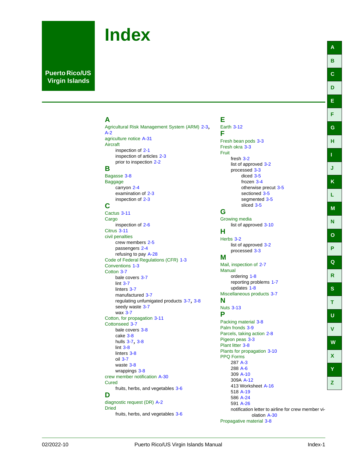**Puerto Rico/US Virgin Islands** 

### <span id="page-82-0"></span>**A**

Agricultural Risk Management System (ARM) [2-3](#page-18-0), [A-2](#page-43-0)  agriculture notice [A-31](#page-72-0)  Aircraft inspection of [2-1](#page-16-0)  inspection of articles [2-3](#page-18-1)  prior to inspection [2-2](#page-17-0)  **B**  Bagasse [3-8](#page-33-0)  **Baggage** 

<span id="page-82-1"></span>carryon [2-4](#page-19-0)  examination of [2-3](#page-18-2)  inspection of [2-3](#page-18-3) 

### <span id="page-82-2"></span>**C**

Cactus [3-11](#page-36-0)  Cargo inspection of [2-6](#page-21-0)  Citrus [3-11](#page-36-1)  civil penalties crew members [2-5](#page-20-0)  passengers [2-4](#page-19-1)  refusing to pay [A-28](#page-69-0)  Code of Federal Regulations (CFR) [1-3](#page-10-0)  Conventions [1-3](#page-10-1)  Cotton [3-7](#page-32-0)  bale covers [3-7](#page-32-1)  lint 3-7 linters [3-7](#page-32-3)  manufactured [3-7](#page-32-4)  regulating unfumigated products [3-7](#page-32-5), [3-8](#page-33-1)  seedy waste [3-7](#page-32-6)  wax [3-7](#page-32-7)  Cotton, for propagation [3-11](#page-36-2)  Cottonseed [3-7](#page-32-5)  bale covers [3-8](#page-33-2)  cake [3-8](#page-33-3)  hulls [3-7](#page-32-8), [3-8](#page-33-4)  lint [3-8](#page-33-5)  linters [3-8](#page-33-6)  oil [3-7](#page-32-9)  waste [3-8](#page-33-7)  wrappings [3-8](#page-33-8)  crew member notification [A-30](#page-71-0)  **Cured** fruits, herbs, and vegetables [3-6](#page-31-0)  **D**  diagnostic request (DR) [A-2](#page-43-1)  Dried

<span id="page-82-3"></span>fruits, herbs, and vegetables [3-6](#page-31-1) 

#### <span id="page-82-4"></span>**E**

<span id="page-82-7"></span><span id="page-82-6"></span><span id="page-82-5"></span>Earth [3-12](#page-37-0)  **F**  Fresh bean pods [3-3](#page-28-0)  Fresh okra [3-3](#page-28-1)  Fruit fresh [3-2](#page-27-1)  list of approved [3-2](#page-27-2)  processed [3-3](#page-28-2)  diced [3-5](#page-30-0)  frozen [3-4](#page-29-0)  otherwise precut [3-5](#page-30-1)  sectioned [3-5](#page-30-2)  segmented [3-5](#page-30-3)  sliced [3-5](#page-30-4)  **G**  Growing media list of approved [3-10](#page-35-0)  **H**  Herbs [3-2](#page-27-3)  list of approved [3-2](#page-27-4)  processed [3-3](#page-28-2)  **M**  Mail, inspection of [2-7](#page-22-0)  **Manual** ordering [1-8](#page-15-0)  reporting problems [1-7](#page-14-0)  updates [1-8](#page-15-1)  Miscellaneous products [3-7](#page-32-10)  **N**  Nuts [3-13](#page-38-0)  **P**  Packing material [3-8](#page-33-9)  Palm fronds [3-9](#page-34-0)  Parcels, taking action [2-8](#page-23-0)  Pigeon peas [3-3](#page-28-3)  Plant litter [3-8](#page-33-10)  Plants for propagation [3-10](#page-35-1) 

<span id="page-82-10"></span><span id="page-82-9"></span><span id="page-82-8"></span>PPQ Forms 287 [A-3](#page-44-1)  288 [A-6](#page-47-0)  309 [A-10](#page-51-0)  309A [A-12](#page-53-0)  413 Worksheet [A-16](#page-57-0) 

> 518 [A-19](#page-60-0)  586 [A-24](#page-65-0)  591 [A-26](#page-67-0)

Propagative material [3-8](#page-33-11) 

notification letter to airline for crew member vi-

olation [A-30](#page-71-0) 

**[A](#page-82-0)  [B](#page-82-1)  [C](#page-82-2)  [D](#page-82-3)  [E](#page-82-4)  [F](#page-82-5)  [G](#page-82-6)  [H](#page-82-7)  [I](#page-82-8)  [J](#page-82-8)  [K](#page-82-8)  [L](#page-82-8)  [M](#page-82-8)  [N](#page-82-9)  [O](#page-82-10)  [P](#page-82-10)  [Q](#page-83-0)  [R](#page-83-0)  [S](#page-83-1)  [T](#page-83-2)  [U](#page-83-2)  [V](#page-83-3)  W X Y Z**